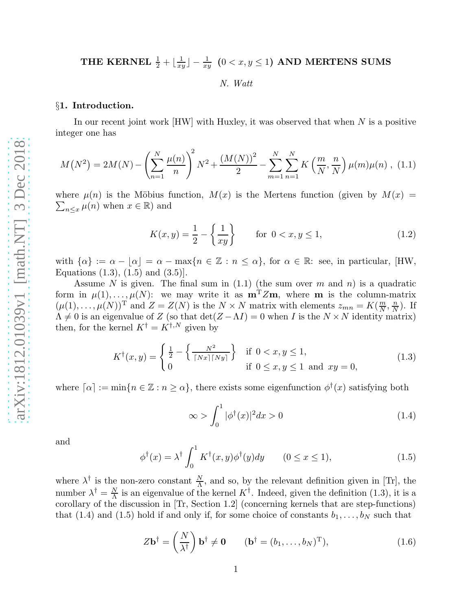# THE KERNEL  $\frac{1}{2} + \lfloor \frac{1}{x_i} \rfloor$  $\frac{1}{xy}\rfloor-\frac{1}{xy}\ \ (0< x,y\leq 1) \ \ {\rm AND\ MERTENS\ SUMS}$

# *N. Watt*

#### §1. Introduction.

In our recent joint work [HW] with Huxley, it was observed that when N is a positive integer one has

$$
M(N^{2}) = 2M(N) - \left(\sum_{n=1}^{N} \frac{\mu(n)}{n}\right)^{2} N^{2} + \frac{\left(M(N)\right)^{2}}{2} - \sum_{m=1}^{N} \sum_{n=1}^{N} K\left(\frac{m}{N}, \frac{n}{N}\right) \mu(m) \mu(n) , (1.1)
$$

where  $\mu(n)$  is the Möbius function,  $M(x)$  is the Mertens function (given by  $M(x) =$  $\sum_{n\leq x}\mu(n)$  when  $x\in\mathbb{R}$ ) and

$$
K(x,y) = \frac{1}{2} - \left\{ \frac{1}{xy} \right\} \quad \text{for } 0 < x, y \le 1,\tag{1.2}
$$

with  $\{\alpha\} := \alpha - \lfloor \alpha \rfloor = \alpha - \max\{n \in \mathbb{Z} : n \leq \alpha\}$ , for  $\alpha \in \mathbb{R}$ : see, in particular, [HW, Equations  $(1.3)$ ,  $(1.5)$  and  $(3.5)$ ].

Assume N is given. The final sum in  $(1.1)$  (the sum over m and n) is a quadratic form in  $\mu(1), \ldots, \mu(N)$ : we may write it as  $\mathbf{m}^T Z\mathbf{m}$ , where **m** is the column-matrix  $(\mu(1), \ldots, \mu(N))^T$  and  $Z = Z(N)$  is the  $N \times N$  matrix with elements  $z_{mn} = K(\frac{m}{N})$  $\frac{m}{N}$ ,  $\frac{n}{N}$  $\frac{n}{N}$ ). If  $\Lambda \neq 0$  is an eigenvalue of Z (so that  $\det(Z - \Lambda I) = 0$  when I is the  $N \times N$  identity matrix) then, for the kernel  $K^{\dagger} = \hat{K^{\dagger,N}}$  given by

$$
K^{\dagger}(x,y) = \begin{cases} \frac{1}{2} - \left\{ \frac{N^2}{\lceil Nx \rceil Ny \rceil} \right\} & \text{if } 0 < x, y \le 1, \\ 0 & \text{if } 0 \le x, y \le 1 \text{ and } xy = 0, \end{cases}
$$
(1.3)

where  $\lceil \alpha \rceil := \min\{n \in \mathbb{Z} : n \ge \alpha\}$ , there exists some eigenfunction  $\phi^{\dagger}(x)$  satisfying both

$$
\infty > \int_0^1 |\phi^\dagger(x)|^2 dx > 0 \tag{1.4}
$$

and

$$
\phi^{\dagger}(x) = \lambda^{\dagger} \int_0^1 K^{\dagger}(x, y)\phi^{\dagger}(y)dy \qquad (0 \le x \le 1), \tag{1.5}
$$

where  $\lambda^{\dagger}$  is the non-zero constant  $\frac{N}{\Lambda}$ , and so, by the relevant definition given in [Tr], the number  $\lambda^{\dagger} = \frac{N}{\Lambda}$  $\frac{N}{\Lambda}$  is an eigenvalue of the kernel  $K^{\dagger}$ . Indeed, given the definition (1.3), it is a corollary of the discussion in [Tr, Section 1.2] (concerning kernels that are step-functions) that (1.4) and (1.5) hold if and only if, for some choice of constants  $b_1, \ldots, b_N$  such that

$$
Z\mathbf{b}^{\dagger} = \left(\frac{N}{\lambda^{\dagger}}\right)\mathbf{b}^{\dagger} \neq \mathbf{0} \qquad (\mathbf{b}^{\dagger} = (b_1, \dots, b_N)^{\mathrm{T}}), \tag{1.6}
$$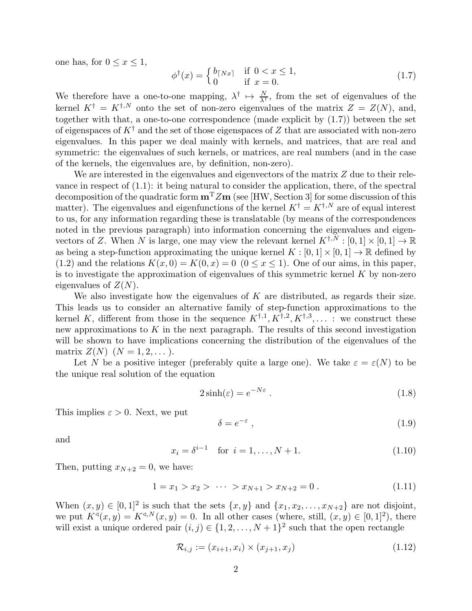one has, for  $0 \leq x \leq 1$ ,

$$
\phi^{\dagger}(x) = \begin{cases} b_{\lceil Nx\rceil} & \text{if } 0 < x \le 1, \\ 0 & \text{if } x = 0. \end{cases}
$$
\n(1.7)

We therefore have a one-to-one mapping,  $\lambda^{\dagger} \mapsto \frac{N}{\lambda^{\dagger}}$ , from the set of eigenvalues of the kernel  $K^{\dagger} = K^{\dagger,N}$  onto the set of non-zero eigenvalues of the matrix  $Z = Z(N)$ , and, together with that, a one-to-one correspondence (made explicit by (1.7)) between the set of eigenspaces of  $K^{\dagger}$  and the set of those eigenspaces of Z that are associated with non-zero eigenvalues. In this paper we deal mainly with kernels, and matrices, that are real and symmetric: the eigenvalues of such kernels, or matrices, are real numbers (and in the case of the kernels, the eigenvalues are, by definition, non-zero).

We are interested in the eigenvalues and eigenvectors of the matrix  $Z$  due to their relevance in respect of  $(1.1)$ : it being natural to consider the application, there, of the spectral decomposition of the quadratic form  $m<sup>T</sup>Zm$  (see [HW, Section 3] for some discussion of this matter). The eigenvalues and eigenfunctions of the kernel  $K^{\dagger} = K^{\dagger,N}$  are of equal interest to us, for any information regarding these is translatable (by means of the correspondences noted in the previous paragraph) into information concerning the eigenvalues and eigenvectors of Z. When N is large, one may view the relevant kernel  $K^{\dagger,\bar{N}}: [0,1] \times [0,1] \to \mathbb{R}$ as being a step-function approximating the unique kernel  $K : [0, 1] \times [0, 1] \rightarrow \mathbb{R}$  defined by (1.2) and the relations  $K(x, 0) = K(0, x) = 0$  ( $0 \le x \le 1$ ). One of our aims, in this paper, is to investigate the approximation of eigenvalues of this symmetric kernel  $K$  by non-zero eigenvalues of  $Z(N)$ .

We also investigate how the eigenvalues of  $K$  are distributed, as regards their size. This leads us to consider an alternative family of step-function approximations to the kernel K, different from those in the sequence  $K^{\dagger,1}, K^{\dagger,2}, K^{\dagger,3}, \ldots$  : we construct these new approximations to  $K$  in the next paragraph. The results of this second investigation will be shown to have implications concerning the distribution of the eigenvalues of the matrix  $Z(N)$   $(N = 1, 2, ...)$ .

Let N be a positive integer (preferably quite a large one). We take  $\varepsilon = \varepsilon(N)$  to be the unique real solution of the equation

$$
2\sinh(\varepsilon) = e^{-N\varepsilon} \tag{1.8}
$$

This implies  $\varepsilon > 0$ . Next, we put

$$
\delta = e^{-\varepsilon} \,,\tag{1.9}
$$

and

$$
x_i = \delta^{i-1} \quad \text{for } i = 1, \dots, N+1. \tag{1.10}
$$

Then, putting  $x_{N+2} = 0$ , we have:

$$
1 = x_1 > x_2 > \cdots > x_{N+1} > x_{N+2} = 0.
$$
 (1.11)

When  $(x, y) \in [0, 1]^2$  is such that the sets  $\{x, y\}$  and  $\{x_1, x_2, \ldots, x_{N+2}\}$  are not disjoint, we put  $K^{\triangleleft}(x, y) = K^{\triangleleft, N}(x, y) = 0$ . In all other cases (where, still,  $(x, y) \in [0, 1]^2$ ), there will exist a unique ordered pair  $(i, j) \in \{1, 2, ..., N + 1\}^2$  such that the open rectangle

$$
\mathcal{R}_{i,j} := (x_{i+1}, x_i) \times (x_{j+1}, x_j) \tag{1.12}
$$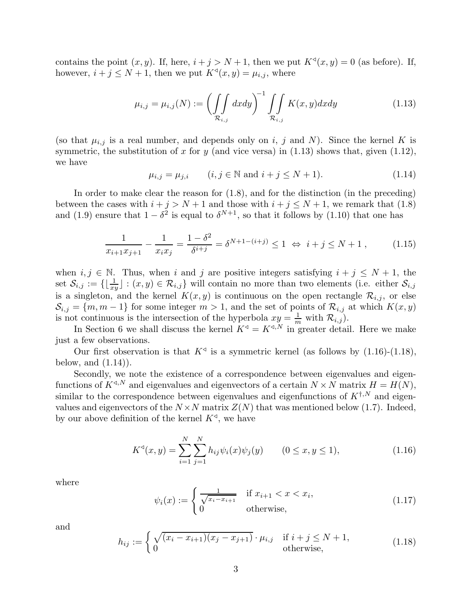contains the point  $(x, y)$ . If, here,  $i + j > N + 1$ , then we put  $K^{\triangleleft}(x, y) = 0$  (as before). If, however,  $i + j \leq N + 1$ , then we put  $K^{\triangleleft}(x, y) = \mu_{i,j}$ , where

$$
\mu_{i,j} = \mu_{i,j}(N) := \left(\int\int\limits_{\mathcal{R}_{i,j}} dx dy\right)^{-1} \int\int\limits_{\mathcal{R}_{i,j}} K(x,y) dx dy \tag{1.13}
$$

(so that  $\mu_{i,j}$  is a real number, and depends only on i, j and N). Since the kernel K is symmetric, the substitution of x for y (and vice versa) in  $(1.13)$  shows that, given  $(1.12)$ , we have

$$
\mu_{i,j} = \mu_{j,i}
$$
  $(i, j \in \mathbb{N} \text{ and } i + j \le N + 1).$  (1.14)

In order to make clear the reason for (1.8), and for the distinction (in the preceding) between the cases with  $i + j > N + 1$  and those with  $i + j \le N + 1$ , we remark that (1.8) and (1.9) ensure that  $1 - \delta^2$  is equal to  $\delta^{N+1}$ , so that it follows by (1.10) that one has

$$
\frac{1}{x_{i+1}x_{j+1}} - \frac{1}{x_ix_j} = \frac{1 - \delta^2}{\delta^{i+j}} = \delta^{N+1-(i+j)} \le 1 \iff i+j \le N+1,
$$
 (1.15)

when  $i, j \in \mathbb{N}$ . Thus, when i and j are positive integers satisfying  $i + j \leq N + 1$ , the set  $\mathcal{S}_{i,j} := \{\lfloor \frac{1}{xy} \rfloor : (x,y) \in \mathcal{R}_{i,j}\}\$  will contain no more than two elements (i.e. either  $\mathcal{S}_{i,j}$ is a singleton, and the kernel  $K(x, y)$  is continuous on the open rectangle  $\mathcal{R}_{i,j}$ , or else  $\mathcal{S}_{i,j} = \{m, m-1\}$  for some integer  $m > 1$ , and the set of points of  $\mathcal{R}_{i,j}$  at which  $K(x, y)$ is not continuous is the intersection of the hyperbola  $xy = \frac{1}{m}$  with  $\mathcal{R}_{i,j}$ .

In Section 6 we shall discuss the kernel  $K^{\triangleleft} = K^{\triangleleft, N}$  in greater detail. Here we make just a few observations.

Our first observation is that  $K^{\triangleleft}$  is a symmetric kernel (as follows by  $(1.16)-(1.18)$ , below, and  $(1.14)$ .

Secondly, we note the existence of a correspondence between eigenvalues and eigenfunctions of  $K^{\triangleleft,N}$  and eigenvalues and eigenvectors of a certain  $N \times N$  matrix  $H = H(N)$ , similar to the correspondence between eigenvalues and eigenfunctions of  $K^{\dagger,N}$  and eigenvalues and eigenvectors of the  $N \times N$  matrix  $Z(N)$  that was mentioned below (1.7). Indeed, by our above definition of the kernel  $K^{\triangleleft}$ , we have

$$
K^{q}(x, y) = \sum_{i=1}^{N} \sum_{j=1}^{N} h_{ij} \psi_{i}(x) \psi_{j}(y) \qquad (0 \le x, y \le 1), \qquad (1.16)
$$

where

$$
\psi_i(x) := \begin{cases} \frac{1}{\sqrt{x_i - x_{i+1}}} & \text{if } x_{i+1} < x < x_i, \\ 0 & \text{otherwise,} \end{cases} \tag{1.17}
$$

and

$$
h_{ij} := \begin{cases} \sqrt{(x_i - x_{i+1})(x_j - x_{j+1})} \cdot \mu_{i,j} & \text{if } i + j \le N + 1, \\ 0 & \text{otherwise,} \end{cases}
$$
(1.18)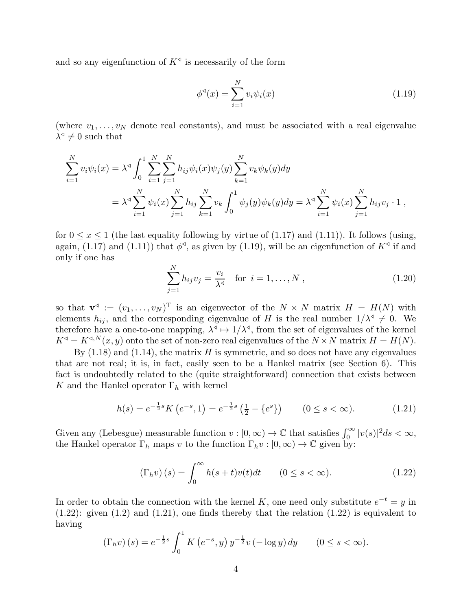and so any eigenfunction of  $K^{\triangleleft}$  is necessarily of the form

$$
\phi^{\triangleleft}(x) = \sum_{i=1}^{N} v_i \psi_i(x) \tag{1.19}
$$

(where  $v_1, \ldots, v_N$  denote real constants), and must be associated with a real eigenvalue  $\lambda^{\triangleleft} \neq 0$  such that

$$
\sum_{i=1}^{N} v_i \psi_i(x) = \lambda^4 \int_0^1 \sum_{i=1}^{N} \sum_{j=1}^{N} h_{ij} \psi_i(x) \psi_j(y) \sum_{k=1}^{N} v_k \psi_k(y) dy
$$
  
=  $\lambda^4 \sum_{i=1}^{N} \psi_i(x) \sum_{j=1}^{N} h_{ij} \sum_{k=1}^{N} v_k \int_0^1 \psi_j(y) \psi_k(y) dy = \lambda^4 \sum_{i=1}^{N} \psi_i(x) \sum_{j=1}^{N} h_{ij} v_j \cdot 1$ ,

for  $0 \le x \le 1$  (the last equality following by virtue of (1.17) and (1.11)). It follows (using, again, (1.17) and (1.11)) that  $\phi^{\triangleleft}$ , as given by (1.19), will be an eigenfunction of  $K^{\triangleleft}$  if and only if one has

$$
\sum_{j=1}^{N} h_{ij} v_j = \frac{v_i}{\lambda^{\triangleleft}} \quad \text{for } i = 1, ..., N ,
$$
 (1.20)

so that  $\mathbf{v}^{\triangleleft} := (v_1, \ldots, v_N)^{\mathrm{T}}$  is an eigenvector of the  $N \times N$  matrix  $H = H(N)$  with elements  $h_{ij}$ , and the corresponding eigenvalue of H is the real number  $1/\lambda^4 \neq 0$ . We therefore have a one-to-one mapping,  $\lambda^q \mapsto 1/\lambda^q$ , from the set of eigenvalues of the kernel  $K^{\triangleleft} = K^{\triangleleft, N}(x, y)$  onto the set of non-zero real eigenvalues of the  $N \times N$  matrix  $H = H(N)$ .

By  $(1.18)$  and  $(1.14)$ , the matrix H is symmetric, and so does not have any eigenvalues that are not real; it is, in fact, easily seen to be a Hankel matrix (see Section 6). This fact is undoubtedly related to the (quite straightforward) connection that exists between K and the Hankel operator  $\Gamma_h$  with kernel

$$
h(s) = e^{-\frac{1}{2}s} K\left(e^{-s}, 1\right) = e^{-\frac{1}{2}s} \left(\frac{1}{2} - \{e^s\}\right) \qquad (0 \le s < \infty). \tag{1.21}
$$

Given any (Lebesgue) measurable function  $v : [0, \infty) \to \mathbb{C}$  that satisfies  $\int_0^\infty |v(s)|^2 ds < \infty$ , the Hankel operator  $\Gamma_h$  maps v to the function  $\Gamma_h v : [0, \infty) \to \mathbb{C}$  given by:

$$
\left(\Gamma_h v\right)(s) = \int_0^\infty h(s+t)v(t)dt \qquad (0 \le s < \infty). \tag{1.22}
$$

In order to obtain the connection with the kernel K, one need only substitute  $e^{-t} = y$  in  $(1.22)$ : given  $(1.2)$  and  $(1.21)$ , one finds thereby that the relation  $(1.22)$  is equivalent to having

$$
\left(\Gamma_h v\right)(s) = e^{-\frac{1}{2}s} \int_0^1 K\left(e^{-s}, y\right) y^{-\frac{1}{2}} v\left(-\log y\right) dy \qquad (0 \le s < \infty).
$$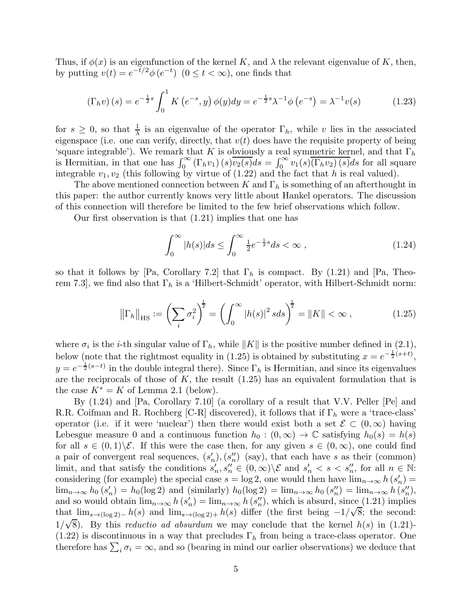Thus, if  $\phi(x)$  is an eigenfunction of the kernel K, and  $\lambda$  the relevant eigenvalue of K, then, by putting  $v(t) = e^{-t/2} \phi(e^{-t})$   $(0 \le t < \infty)$ , one finds that

$$
\left(\Gamma_h v\right)(s) = e^{-\frac{1}{2}s} \int_0^1 K\left(e^{-s}, y\right) \phi(y) dy = e^{-\frac{1}{2}s} \lambda^{-1} \phi\left(e^{-s}\right) = \lambda^{-1} v(s) \tag{1.23}
$$

for  $s \geq 0$ , so that  $\frac{1}{\lambda}$  is an eigenvalue of the operator  $\Gamma_h$ , while v lies in the associated eigenspace (i.e. one can verify, directly, that  $v(t)$  does have the requisite property of being 'square integrable'). We remark that K is obviously a real symmetric kernel, and that  $\Gamma_h$ is Hermitian, in that one has  $\int_0^\infty (\Gamma_h v_1)(s)\overline{v_2(s)}ds = \int_0^\infty v_1(s)(\Gamma_h v_2)(s)ds$  for all square integrable  $v_1, v_2$  (this following by virtue of (1.22) and the fact that h is real valued).

The above mentioned connection between K and  $\Gamma_h$  is something of an afterthought in this paper: the author currently knows very little about Hankel operators. The discussion of this connection will therefore be limited to the few brief observations which follow.

Our first observation is that (1.21) implies that one has

$$
\int_0^\infty |h(s)|ds \le \int_0^\infty \frac{1}{2} e^{-\frac{1}{2}s} ds < \infty \,,\tag{1.24}
$$

so that it follows by [Pa, Corollary 7.2] that  $\Gamma_h$  is compact. By (1.21) and [Pa, Theorem 7.3, we find also that  $\Gamma_h$  is a 'Hilbert-Schmidt' operator, with Hilbert-Schmidt norm:

$$
\left\| \Gamma_h \right\|_{\text{HS}} := \left( \sum_i \sigma_i^2 \right)^{\frac{1}{2}} = \left( \int_0^\infty |h(s)|^2 \, s ds \right)^{\frac{1}{2}} = \|K\| < \infty \;, \tag{1.25}
$$

where  $\sigma_i$  is the *i*-th singular value of  $\Gamma_h$ , while  $||K||$  is the positive number defined in (2.1), below (note that the rightmost equality in (1.25) is obtained by substituting  $x = e^{-\frac{1}{2}(s+t)}$ ,  $y = e^{-\frac{1}{2}(s-t)}$  in the double integral there). Since  $\Gamma_h$  is Hermitian, and since its eigenvalues are the reciprocals of those of  $K$ , the result  $(1.25)$  has an equivalent formulation that is the case  $K^* = K$  of Lemma 2.1 (below).

By (1.24) and [Pa, Corollary 7.10] (a corollary of a result that V.V. Peller [Pe] and R.R. Coifman and R. Rochberg [C-R] discovered), it follows that if  $\Gamma_h$  were a 'trace-class' operator (i.e. if it were 'nuclear') then there would exist both a set  $\mathcal{E} \subset (0,\infty)$  having Lebesgue measure 0 and a continuous function  $h_0 : (0, \infty) \to \mathbb{C}$  satisfying  $h_0(s) = h(s)$ for all  $s \in (0,1)\setminus \mathcal{E}$ . If this were the case then, for any given  $s \in (0,\infty)$ , one could find a pair of convergent real sequences,  $(s'_n)$ ,  $(s''_n)$  (say), that each have s as their (common) limit, and that satisfy the conditions  $s'_n, s''_n \in (0, \infty) \setminus \mathcal{E}$  and  $s'_n < s < s''_n$ , for all  $n \in \mathbb{N}$ : considering (for example) the special case  $s = \log 2$ , one would then have  $\lim_{n\to\infty} h(s'_n) =$  $\lim_{n\to\infty} h_0(s'_n) = h_0(\log 2)$  and (similarly)  $h_0(\log 2) = \lim_{n\to\infty} h_0(s''_n) = \lim_{n\to\infty} h(s''_n)$ , and so would obtain  $\lim_{n\to\infty} h(s'_n) = \lim_{n\to\infty} h(s''_n)$ , which is absurd, since (1.21) implies that  $\lim_{s\to(\log 2)-} h(s)$  and  $\lim_{s\to(\log 2)+} h(s)$  differ (the first being  $-1/\sqrt{8}$ ; the second:  $1/\sqrt{8}$ ). By this *reductio ad absurdum* we may conclude that the kernel  $h(s)$  in (1.21)- $(1.22)$  is discontinuous in a way that precludes  $\Gamma_h$  from being a trace-class operator. One therefore has  $\sum_i \sigma_i = \infty$ , and so (bearing in mind our earlier observations) we deduce that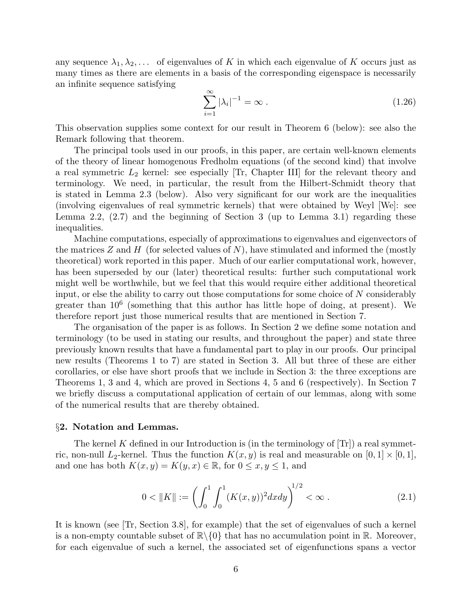any sequence  $\lambda_1, \lambda_2, \ldots$  of eigenvalues of K in which each eigenvalue of K occurs just as many times as there are elements in a basis of the corresponding eigenspace is necessarily an infinite sequence satisfying

$$
\sum_{i=1}^{\infty} |\lambda_i|^{-1} = \infty \tag{1.26}
$$

This observation supplies some context for our result in Theorem 6 (below): see also the Remark following that theorem.

The principal tools used in our proofs, in this paper, are certain well-known elements of the theory of linear homogenous Fredholm equations (of the second kind) that involve a real symmetric  $L_2$  kernel: see especially [Tr, Chapter III] for the relevant theory and terminology. We need, in particular, the result from the Hilbert-Schmidt theory that is stated in Lemma 2.3 (below). Also very significant for our work are the inequalities (involving eigenvalues of real symmetric kernels) that were obtained by Weyl [We]: see Lemma 2.2,  $(2.7)$  and the beginning of Section 3 (up to Lemma 3.1) regarding these inequalities.

Machine computations, especially of approximations to eigenvalues and eigenvectors of the matrices  $Z$  and  $H$  (for selected values of N), have stimulated and informed the (mostly theoretical) work reported in this paper. Much of our earlier computational work, however, has been superseded by our (later) theoretical results: further such computational work might well be worthwhile, but we feel that this would require either additional theoretical input, or else the ability to carry out those computations for some choice of N considerably greater than 10<sup>6</sup> (something that this author has little hope of doing, at present). We therefore report just those numerical results that are mentioned in Section 7.

The organisation of the paper is as follows. In Section 2 we define some notation and terminology (to be used in stating our results, and throughout the paper) and state three previously known results that have a fundamental part to play in our proofs. Our principal new results (Theorems 1 to 7) are stated in Section 3. All but three of these are either corollaries, or else have short proofs that we include in Section 3: the three exceptions are Theorems 1, 3 and 4, which are proved in Sections 4, 5 and 6 (respectively). In Section 7 we briefly discuss a computational application of certain of our lemmas, along with some of the numerical results that are thereby obtained.

#### §2. Notation and Lemmas.

The kernel K defined in our Introduction is (in the terminology of  $|Tr|$ ) a real symmetric, non-null  $L_2$ -kernel. Thus the function  $K(x, y)$  is real and measurable on  $[0, 1] \times [0, 1]$ , and one has both  $K(x, y) = K(y, x) \in \mathbb{R}$ , for  $0 \le x, y \le 1$ , and

$$
0 < \|K\| := \left(\int_0^1 \int_0^1 (K(x, y))^2 dx dy\right)^{1/2} < \infty \tag{2.1}
$$

It is known (see [Tr, Section 3.8], for example) that the set of eigenvalues of such a kernel is a non-empty countable subset of  $\mathbb{R}\setminus\{0\}$  that has no accumulation point in R. Moreover, for each eigenvalue of such a kernel, the associated set of eigenfunctions spans a vector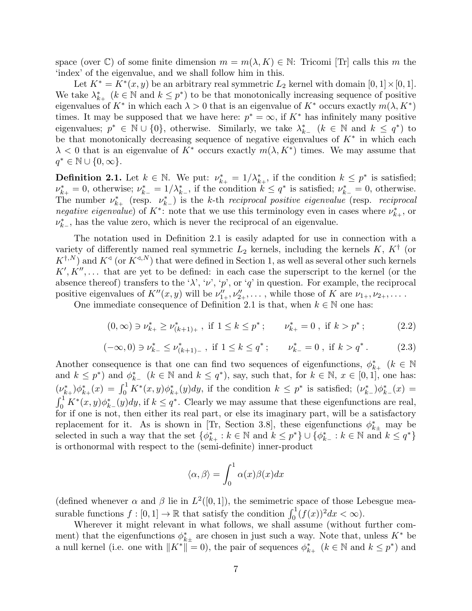space (over  $\mathbb{C}$ ) of some finite dimension  $m = m(\lambda, K) \in \mathbb{N}$ : Tricomi [Tr] calls this m the 'index' of the eigenvalue, and we shall follow him in this.

Let  $K^* = K^*(x, y)$  be an arbitrary real symmetric  $L_2$  kernel with domain  $[0, 1] \times [0, 1]$ . We take  $\lambda_{k+1}^*$   $(k \in \mathbb{N}$  and  $k \leq p^*$ ) to be that monotonically increasing sequence of positive eigenvalues of  $K^*$  in which each  $\lambda > 0$  that is an eigenvalue of  $K^*$  occurs exactly  $m(\lambda, K^*)$ times. It may be supposed that we have here:  $p^* = \infty$ , if  $K^*$  has infinitely many positive eigenvalues;  $p^* \in \mathbb{N} \cup \{0\}$ , otherwise. Similarly, we take  $\lambda_{k-1}^*$   $(k \in \mathbb{N}$  and  $k \leq q^*$ ) to be that monotonically decreasing sequence of negative eigenvalues of  $K^*$  in which each  $\lambda < 0$  that is an eigenvalue of  $K^*$  occurs exactly  $m(\lambda, K^*)$  times. We may assume that  $q^* \in \mathbb{N} \cup \{0, \infty\}.$ 

**Definition 2.1.** Let  $k \in \mathbb{N}$ . We put:  $\nu_{k+}^* = 1/\lambda_{k+}^*$ , if the condition  $k \leq p^*$  is satisfied;  $\nu_{k+}^* = 0$ , otherwise;  $\nu_{k-}^* = 1/\lambda_{k-}^*$ , if the condition  $k \leq q^*$  is satisfied;  $\nu_{k-}^* = 0$ , otherwise. The number  $\nu_{k+}^*$  (resp.  $\nu_{k-}^*$ ) is the k-th *reciprocal positive eigenvalue* (resp. *reciprocal negative eigenvalue*) of  $K^*$ : note that we use this terminology even in cases where  $\nu_{k+}^*$ , or  $\nu_{k-}^*$ , has the value zero, which is never the reciprocal of an eigenvalue.

The notation used in Definition 2.1 is easily adapted for use in connection with a variety of differently named real symmetric  $L_2$  kernels, including the kernels  $K, K^{\dagger}$  (or  $K^{\dagger,N}$  and  $K^{\lhd}$  (or  $K^{\lhd,N}$ ) that were defined in Section 1, as well as several other such kernels  $K', K'', \ldots$  that are yet to be defined: in each case the superscript to the kernel (or the absence thereof) transfers to the ' $\lambda$ ', ' $\nu$ ', 'p', or 'q' in question. For example, the reciprocal positive eigenvalues of  $K''(x, y)$  will be  $\nu''_{1+}, \nu''_{2+}, \ldots$ , while those of K are  $\nu_{1+}, \nu_{2+}, \ldots$ .

One immediate consequence of Definition 2.1 is that, when  $k \in \mathbb{N}$  one has:

$$
(0, \infty) \ni \nu_{k+}^* \ge \nu_{(k+1)+}^*, \text{ if } 1 \le k \le p^*; \qquad \nu_{k+}^* = 0, \text{ if } k > p^*; \tag{2.2}
$$

$$
(-\infty, 0) \ni \nu_{k-}^* \le \nu_{(k+1)-}^*, \text{ if } 1 \le k \le q^*; \qquad \nu_{k-}^* = 0, \text{ if } k > q^*.
$$
 (2.3)

Another consequence is that one can find two sequences of eigenfunctions,  $\phi_{k+}^*$  ( $k \in \mathbb{N}$ ) and  $k \leq p^*$ ) and  $\phi_{k-}^*$   $(k \in \mathbb{N}$  and  $k \leq q^*$ ), say, such that, for  $k \in \mathbb{N}$ ,  $x \in [0,1]$ , one has:  $(\nu_{k+}^*)\phi_{k+}^*(x) = \int_0^1 K^*(x,y)\phi_{k+}^*(y)dy$ , if the condition  $k \leq p^*$  is satisfied;  $(\nu_{k-}^*)\phi_{k-}^*(x) =$  $\int_0^1 K^*(x, y)\phi_{k-}^*(y)dy$ , if  $k \leq q^*$ . Clearly we may assume that these eigenfunctions are real, for if one is not, then either its real part, or else its imaginary part, will be a satisfactory replacement for it. As is shown in [Tr, Section 3.8], these eigenfunctions  $\phi_{k\pm}^*$  may be selected in such a way that the set  $\{\phi_{k+}^*: k \in \mathbb{N} \text{ and } k \leq p^*\} \cup \{\phi_{k-}^*: k \in \mathbb{N} \text{ and } k \leq q^*\}$ is orthonormal with respect to the (semi-definite) inner-product

$$
\langle \alpha, \beta \rangle = \int_0^1 \alpha(x) \beta(x) dx
$$

(defined whenever  $\alpha$  and  $\beta$  lie in  $L^2([0,1])$ , the semimetric space of those Lebesgue measurable functions  $f : [0,1] \to \mathbb{R}$  that satisfy the condition  $\int_0^1 (f(x))^2 dx < \infty$ .

Wherever it might relevant in what follows, we shall assume (without further comment) that the eigenfunctions  $\phi_{k\pm}^*$  are chosen in just such a way. Note that, unless  $K^*$  be a null kernel (i.e. one with  $||K^*|| = 0$ ), the pair of sequences  $\phi_{k+}^*$  ( $k \in \mathbb{N}$  and  $k \leq p^*$ ) and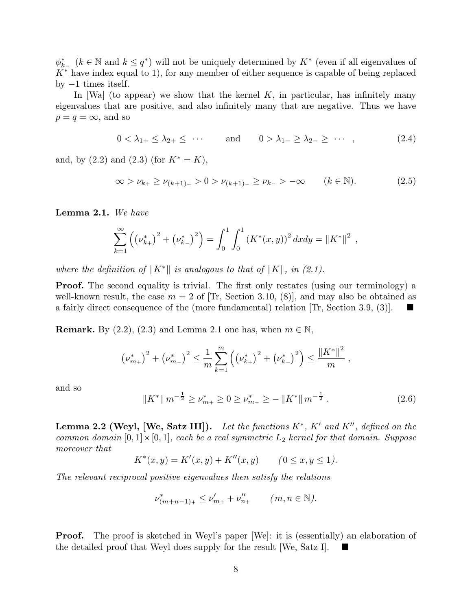$\phi_{k-1}^*$  ( $k \in \mathbb{N}$  and  $k \leq q^*$ ) will not be uniquely determined by  $K^*$  (even if all eigenvalues of  $K^*$  have index equal to 1), for any member of either sequence is capable of being replaced by  $-1$  times itself.

In [Wa] (to appear) we show that the kernel  $K$ , in particular, has infinitely many eigenvalues that are positive, and also infinitely many that are negative. Thus we have  $p = q = \infty$ , and so

$$
0 < \lambda_{1+} \leq \lambda_{2+} \leq \cdots \qquad \text{and} \qquad 0 > \lambda_{1-} \geq \lambda_{2-} \geq \cdots \quad (2.4)
$$

and, by  $(2.2)$  and  $(2.3)$  (for  $K^* = K$ ),

$$
\infty > \nu_{k+} \ge \nu_{(k+1)+} > 0 > \nu_{(k+1)-} \ge \nu_{k-} > -\infty \qquad (k \in \mathbb{N}).
$$
 (2.5)

Lemma 2.1. *We have*

$$
\sum_{k=1}^{\infty} \left( \left( \nu_{k+}^* \right)^2 + \left( \nu_{k-}^* \right)^2 \right) = \int_0^1 \int_0^1 \left( K^*(x, y) \right)^2 dx dy = \| K^* \|^2,
$$

*where the definition of*  $||K^*||$  *is analogous to that of*  $||K||$ *, in (2.1).* 

**Proof.** The second equality is trivial. The first only restates (using our terminology) a well-known result, the case  $m = 2$  of [Tr, Section 3.10, (8)], and may also be obtained as a fairly direct consequence of the (more fundamental) relation  $[\text{Tr}, \text{Section 3.9}, (3)]$ .

**Remark.** By  $(2.2)$ ,  $(2.3)$  and Lemma 2.1 one has, when  $m \in \mathbb{N}$ ,

$$
\left(\nu_{m+}^*\right)^2 + \left(\nu_{m-}^*\right)^2 \leq \frac{1}{m} \sum_{k=1}^m \left(\left(\nu_{k+}^*\right)^2 + \left(\nu_{k-}^*\right)^2\right) \leq \frac{\left\|K^*\right\|^2}{m},
$$

and so

$$
||K^*|| m^{-\frac{1}{2}} \ge \nu_{m+}^* \ge 0 \ge \nu_{m-}^* \ge -||K^*|| m^{-\frac{1}{2}}.
$$
 (2.6)

Lemma 2.2 (Weyl, [We, Satz III]). *Let the functions* K<sup>∗</sup> *,* K′ *and* K′′*, defined on the common domain*  $[0, 1] \times [0, 1]$ *, each be a real symmetric*  $L_2$  *kernel for that domain. Suppose moreover that*

$$
K^*(x, y) = K'(x, y) + K''(x, y) \qquad (0 \le x, y \le 1).
$$

*The relevant reciprocal positive eigenvalues then satisfy the relations*

$$
\nu_{(m+n-1)+}^* \le \nu_{m+}' + \nu_{n+}'' \qquad (m, n \in \mathbb{N}).
$$

**Proof.** The proof is sketched in Weyl's paper [We]: it is (essentially) an elaboration of the detailed proof that Weyl does supply for the result [We, Satz I].  $\blacksquare$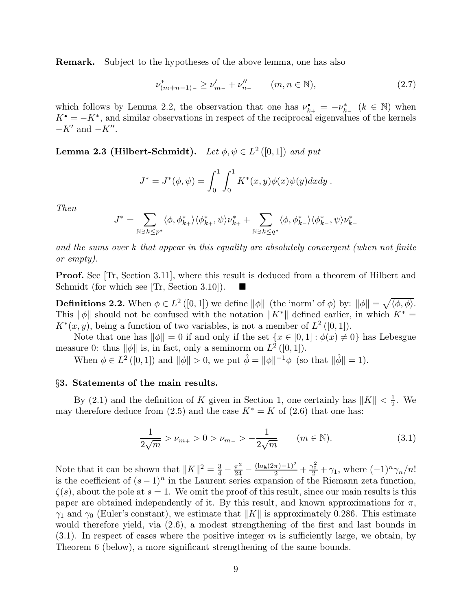Remark. Subject to the hypotheses of the above lemma, one has also

$$
\nu_{(m+n-1)-}^* \ge \nu_{m-}'+\nu_{n-}'' \qquad (m, n \in \mathbb{N}),\tag{2.7}
$$

which follows by Lemma 2.2, the observation that one has  $\nu_{k+}^{\bullet} = -\nu_{k-}^*$  ( $k \in \mathbb{N}$ ) when  $K^{\bullet} = -K^*$ , and similar observations in respect of the reciprocal eigenvalues of the kernels  $-K'$  and  $-K''$ .

**Lemma 2.3 (Hilbert-Schmidt).** Let  $\phi, \psi \in L^2([0,1])$  and put

$$
J^* = J^*(\phi, \psi) = \int_0^1 \int_0^1 K^*(x, y) \phi(x) \psi(y) dx dy.
$$

*Then*

$$
J^*=\sum_{{\mathbb N}\ni k\leq p^*}\langle \phi,\phi^*_{k+}\rangle\langle \phi^*_{k+},\psi\rangle\nu^*_{k+}+\sum_{{\mathbb N}\ni k\leq q^*}\langle \phi,\phi^*_{k-}\rangle\langle \phi^*_{k-},\psi\rangle\nu^*_{k-}
$$

*and the sums over* k *that appear in this equality are absolutely convergent (when not finite or empty).*

Proof. See [Tr, Section 3.11], where this result is deduced from a theorem of Hilbert and Schmidt (for which see [Tr, Section 3.10]).

**Definitions 2.2.** When  $\phi \in L^2([0,1])$  we define  $\|\phi\|$  (the 'norm' of  $\phi$ ) by:  $\|\phi\| = \sqrt{\langle \phi, \phi \rangle}$ . This  $\|\phi\|$  should not be confused with the notation  $\|K^*\|$  defined earlier, in which  $K^* =$  $K^*(x, y)$ , being a function of two variables, is not a member of  $L^2([0,1])$ .

Note that one has  $\|\phi\| = 0$  if and only if the set  $\{x \in [0, 1] : \phi(x) \neq 0\}$  has Lebesgue measure 0: thus  $\|\phi\|$  is, in fact, only a seminorm on  $L^2([0,1])$ .

When  $\phi \in L^2([0,1])$  and  $\|\phi\| > 0$ , we put  $\hat{\phi} = \|\phi\|^{-1}\phi$  (so that  $\|\hat{\phi}\| = 1$ ).

## §3. Statements of the main results.

By (2.1) and the definition of K given in Section 1, one certainly has  $||K|| < \frac{1}{2}$  $\frac{1}{2}$ . We may therefore deduce from (2.5) and the case  $K^* = K$  of (2.6) that one has:

$$
\frac{1}{2\sqrt{m}} > \nu_{m+} > 0 > \nu_{m-} > -\frac{1}{2\sqrt{m}} \qquad (m \in \mathbb{N}).
$$
 (3.1)

Note that it can be shown that  $||K||^2 = \frac{3}{4} - \frac{\pi^2}{24} - \frac{(\log(2\pi) - 1)^2}{2} + \frac{\gamma_0^2}{2} + \gamma_1$ , where  $(-1)^n \gamma_n/n!$ is the coefficient of  $(s-1)^n$  in the Laurent series expansion of the Riemann zeta function,  $\zeta(s)$ , about the pole at  $s = 1$ . We omit the proof of this result, since our main results is this paper are obtained independently of it. By this result, and known approximations for  $\pi$ ,  $\gamma_1$  and  $\gamma_0$  (Euler's constant), we estimate that  $||K||$  is approximately 0.286. This estimate would therefore yield, via (2.6), a modest strengthening of the first and last bounds in  $(3.1)$ . In respect of cases where the positive integer m is sufficiently large, we obtain, by Theorem 6 (below), a more significant strengthening of the same bounds.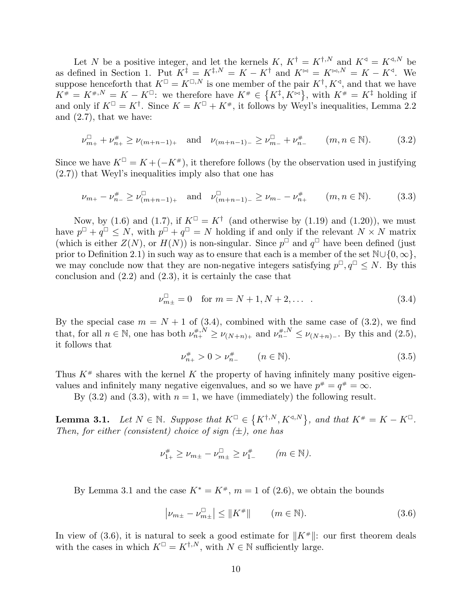Let N be a positive integer, and let the kernels K,  $K^{\dagger} = K^{\dagger,N}$  and  $K^{\dagger} = K^{\dagger,N}$  be as defined in Section 1. Put  $K^{\ddagger} = K^{\ddagger,N} = K - K^{\dagger}$  and  $K^{\bowtie} = K^{\bowtie,N} = K - K^{\triangleleft}$ . We suppose henceforth that  $K^{\square} = K^{\square,N}$  is one member of the pair  $K^{\dagger}, K^{\triangleleft}$ , and that we have  $K^{\#} = K^{\#}, N = K - K^{\Box}$ ; we therefore have  $K^{\#} \in \{K^{\ddagger}, K^{\bowtie}\},$  with  $K^{\#} = K^{\ddagger}$  holding if and only if  $K^{\square} = K^{\dagger}$ . Since  $K = K^{\square} + K^{\#}$ , it follows by Weyl's inequalities, Lemma 2.2 and (2.7), that we have:

$$
\nu_{m+}^{\square} + \nu_{n+}^{\#} \ge \nu_{(m+n-1)+} \quad \text{and} \quad \nu_{(m+n-1)-} \ge \nu_{m-}^{\square} + \nu_{n-}^{\#} \qquad (m, n \in \mathbb{N}). \tag{3.2}
$$

Since we have  $K^{\square} = K + (-K^{\#})$ , it therefore follows (by the observation used in justifying (2.7)) that Weyl's inequalities imply also that one has

$$
\nu_{m+} - \nu_{n-}^{\#} \ge \nu_{(m+n-1)+}^{\Box} \quad \text{and} \quad \nu_{(m+n-1)-}^{\Box} \ge \nu_{m-} - \nu_{n+}^{\#} \qquad (m, n \in \mathbb{N}). \tag{3.3}
$$

Now, by (1.6) and (1.7), if  $K^{\square} = K^{\dagger}$  (and otherwise by (1.19) and (1.20)), we must have  $p^{\Box} + q^{\Box} \leq N$ , with  $p^{\Box} + q^{\Box} = N$  holding if and only if the relevant  $N \times N$  matrix (which is either  $Z(N)$ , or  $H(N)$ ) is non-singular. Since  $p^{\Box}$  and  $q^{\Box}$  have been defined (just prior to Definition 2.1) in such way as to ensure that each is a member of the set  $\mathbb{N}\cup\{0,\infty\}$ , we may conclude now that they are non-negative integers satisfying  $p^{\Box}, q^{\Box} \leq N$ . By this conclusion and (2.2) and (2.3), it is certainly the case that

$$
\nu_{m\pm}^{\square} = 0 \quad \text{for } m = N + 1, N + 2, \dots \tag{3.4}
$$

By the special case  $m = N + 1$  of (3.4), combined with the same case of (3.2), we find that, for all  $n \in \mathbb{N}$ , one has both  $\nu_{n+1}^{*,N} \ge \nu_{(N+n)+}$  and  $\nu_{n-1}^{*,N} \le \nu_{(N+n)-}$ . By this and  $(2.5)$ , it follows that

$$
\nu_{n+}^{\#} > 0 > \nu_{n-}^{\#} \qquad (n \in \mathbb{N}). \tag{3.5}
$$

Thus  $K^*$  shares with the kernel K the property of having infinitely many positive eigenvalues and infinitely many negative eigenvalues, and so we have  $p^* = q^* = \infty$ .

By  $(3.2)$  and  $(3.3)$ , with  $n = 1$ , we have (immediately) the following result.

**Lemma 3.1.** Let  $N \in \mathbb{N}$ . Suppose that  $K^{\square} \in \{K^{\dagger,N}, K^{\triangleleft,N}\}\$ , and that  $K^{\#} = K - K^{\square}$ . *Then, for either (consistent) choice of sign (*±*), one has*

$$
\nu_{1+}^{\#} \ge \nu_{m+} - \nu_{m+}^{\Box} \ge \nu_{1-}^{\#} \qquad (m \in \mathbb{N}).
$$

By Lemma 3.1 and the case  $K^* = K^*$ ,  $m = 1$  of (2.6), we obtain the bounds

$$
|\nu_{m\pm} - \nu_{m\pm}^{\Box}| \le ||K^{\#}|| \qquad (m \in \mathbb{N}).
$$
 (3.6)

In view of (3.6), it is natural to seek a good estimate for  $||K^*||$ : our first theorem deals with the cases in which  $K^{\square} = K^{\dagger,N}$ , with  $N \in \mathbb{N}$  sufficiently large.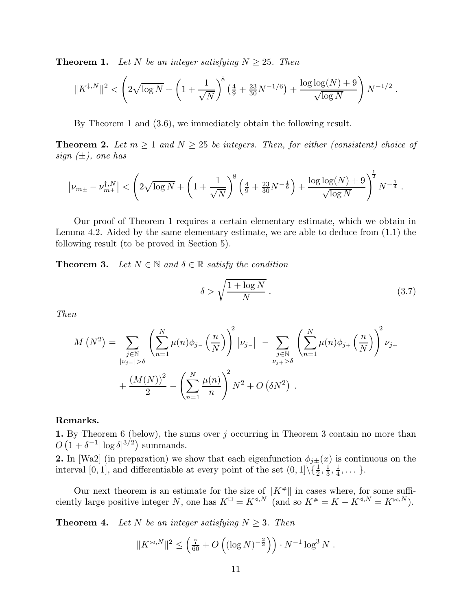**Theorem 1.** Let N be an integer satisfying  $N \geq 25$ . Then

$$
||K^{\ddagger,N}||^2 < \left(2\sqrt{\log N} + \left(1 + \frac{1}{\sqrt{N}}\right)^8 \left(\frac{4}{9} + \frac{23}{30}N^{-1/6}\right) + \frac{\log\log(N) + 9}{\sqrt{\log N}}\right) N^{-1/2}.
$$

By Theorem 1 and (3.6), we immediately obtain the following result.

**Theorem 2.** Let  $m \geq 1$  and  $N \geq 25$  be integers. Then, for either (consistent) choice of *sign (*±*), one has*

$$
\left|\nu_{m\pm} - \nu_{m\pm}^{\dagger,N}\right| < \left(2\sqrt{\log N} + \left(1 + \frac{1}{\sqrt{N}}\right)^8 \left(\frac{4}{9} + \frac{23}{30}N^{-\frac{1}{6}}\right) + \frac{\log\log(N) + 9}{\sqrt{\log N}}\right)^{\frac{1}{2}} N^{-\frac{1}{4}}.
$$

Our proof of Theorem 1 requires a certain elementary estimate, which we obtain in Lemma 4.2. Aided by the same elementary estimate, we are able to deduce from (1.1) the following result (to be proved in Section 5).

**Theorem 3.** Let  $N \in \mathbb{N}$  and  $\delta \in \mathbb{R}$  satisfy the condition

$$
\delta > \sqrt{\frac{1 + \log N}{N}} \,. \tag{3.7}
$$

*Then*

$$
M(N^{2}) = \sum_{\substack{j \in \mathbb{N} \\ |\nu_{j-}| > \delta}} \left( \sum_{n=1}^{N} \mu(n) \phi_{j-} \left( \frac{n}{N} \right) \right)^{2} |\nu_{j-}| - \sum_{\substack{j \in \mathbb{N} \\ \nu_{j+} > \delta}} \left( \sum_{n=1}^{N} \mu(n) \phi_{j+} \left( \frac{n}{N} \right) \right)^{2} \nu_{j+}
$$
  
+ 
$$
\frac{\left( M(N) \right)^{2}}{2} - \left( \sum_{n=1}^{N} \frac{\mu(n)}{n} \right)^{2} N^{2} + O\left( \delta N^{2} \right).
$$

## Remarks.

**1.** By Theorem 6 (below), the sums over  $j$  occurring in Theorem 3 contain no more than  $O(1+\delta^{-1}|\log \delta|^{3/2})$  summands.

**2.** In [Wa2] (in preparation) we show that each eigenfunction  $\phi_{j\pm}(x)$  is continuous on the interval [0, 1], and differentiable at every point of the set  $(0, 1] \setminus {\frac{1}{2}, \frac{1}{3}}$  $\frac{1}{3}, \frac{1}{4}$  $\frac{1}{4}, \ldots \}$ .

Our next theorem is an estimate for the size of  $||K^*||$  in cases where, for some sufficiently large positive integer N, one has  $K^{\square} = K^{\triangleleft, N}$  (and so  $K^{\#} = K - K^{\triangleleft, N} = K^{\bowtie, N}$ ).

**Theorem 4.** Let N be an integer satisfying  $N \geq 3$ . Then

$$
||K^{\bowtie, N}||^{2} \leq \left(\frac{7}{60} + O\left((\log N)^{-\frac{2}{3}}\right)\right) \cdot N^{-1} \log^{3} N.
$$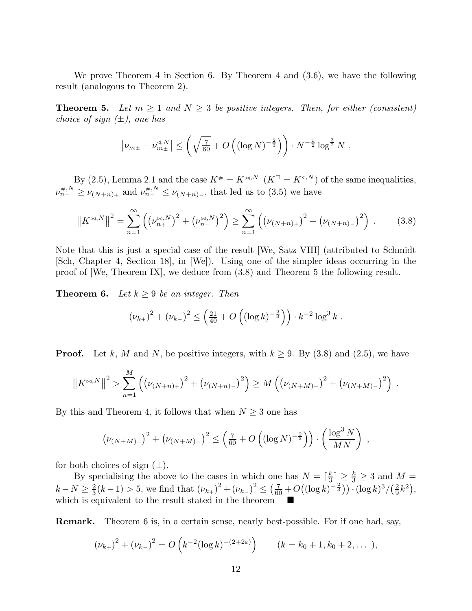We prove Theorem 4 in Section 6. By Theorem 4 and (3.6), we have the following result (analogous to Theorem 2).

**Theorem 5.** Let  $m \geq 1$  and  $N \geq 3$  be positive integers. Then, for either (consistent) *choice of sign (*±*), one has*

$$
\left|\nu_{m\pm} - \nu_{m\pm}^{\mathfrak{A},N}\right| \leq \left(\sqrt{\tfrac{7}{60}} + O\left((\log N)^{-\frac{2}{3}}\right)\right) \cdot N^{-\frac{1}{2}} \log^{\frac{3}{2}} N.
$$

By (2.5), Lemma 2.1 and the case  $K^* = K^{\bowtie N}$   $(K^{\square} = K^{\triangleleft N})$  of the same inequalities,  $\nu_{n_{+}}^{\#,N} \geq \nu_{(N+n)_{+}}$  and  $\nu_{n_{-}}^{\#,N} \leq \nu_{(N+n)_{-}}$ , that led us to (3.5) we have

$$
\left\|K^{\bowtie,N}\right\|^2 = \sum_{n=1}^{\infty} \left( \left(\nu_{n+}^{\bowtie,N}\right)^2 + \left(\nu_{n-}^{\bowtie,N}\right)^2 \right) \ge \sum_{n=1}^{\infty} \left( \left(\nu_{(N+n)+}\right)^2 + \left(\nu_{(N+n)-}\right)^2 \right) \,. \tag{3.8}
$$

Note that this is just a special case of the result [We, Satz VIII] (attributed to Schmidt [Sch, Chapter 4, Section 18], in [We]). Using one of the simpler ideas occurring in the proof of [We, Theorem IX], we deduce from (3.8) and Theorem 5 the following result.

**Theorem 6.** *Let*  $k \geq 9$  *be an integer. Then* 

$$
(\nu_{k+})^2 + (\nu_{k-})^2 \le \left(\frac{21}{40} + O\left((\log k)^{-\frac{2}{3}}\right)\right) \cdot k^{-2} \log^3 k.
$$

**Proof.** Let k, M and N, be positive integers, with  $k \geq 9$ . By (3.8) and (2.5), we have

$$
\left\|K^{\bowtie,N}\right\|^2 > \sum_{n=1}^M \left( \left(\nu_{(N+n)+}\right)^2 + \left(\nu_{(N+n)-}\right)^2 \right) \geq M \left( \left(\nu_{(N+M)+}\right)^2 + \left(\nu_{(N+M)-}\right)^2 \right).
$$

By this and Theorem 4, it follows that when  $N \geq 3$  one has

$$
\left(\nu_{(N+M)+}\right)^2 + \left(\nu_{(N+M)-}\right)^2 \le \left(\frac{7}{60} + O\left((\log N)^{-\frac{2}{3}}\right)\right) \cdot \left(\frac{\log^3 N}{MN}\right) ,
$$

for both choices of sign  $(\pm)$ .

By specialising the above to the cases in which one has  $N = \lceil \frac{k}{3} \rceil$  $\frac{k}{3}$   $\geq \frac{k}{3} \geq 3$  and  $M =$  $k-N\geq \frac{2}{3}$  $\frac{2}{3}(k-1) > 5$ , we find that  $(\nu_{k+1})^2 + (\nu_{k-1})^2 \leq (\frac{7}{60} + O((\log k)^{-\frac{2}{3}})) \cdot (\log k)^3 / (\frac{2}{9})$  $\frac{2}{9}k^2$ , which is equivalent to the result stated in the theorem

Remark. Theorem 6 is, in a certain sense, nearly best-possible. For if one had, say,

$$
(\nu_{k+})^2 + (\nu_{k-})^2 = O\left(k^{-2}(\log k)^{-(2+2\varepsilon)}\right) \qquad (k = k_0 + 1, k_0 + 2, \dots),
$$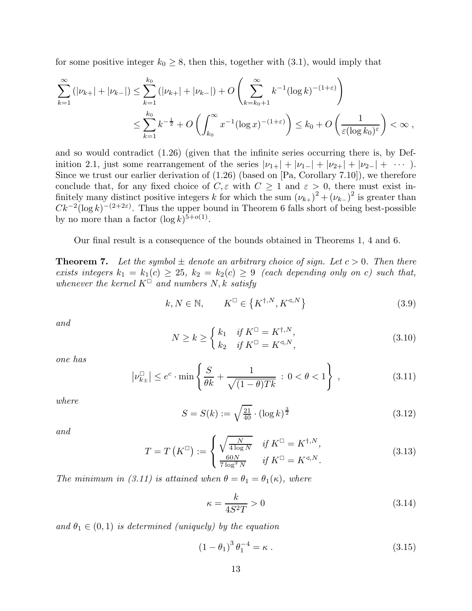for some positive integer  $k_0 \geq 8$ , then this, together with (3.1), would imply that

$$
\sum_{k=1}^{\infty} (|\nu_{k+}| + |\nu_{k-}|) \le \sum_{k=1}^{k_0} (|\nu_{k+}| + |\nu_{k-}|) + O\left(\sum_{k=k_0+1}^{\infty} k^{-1} (\log k)^{-(1+\varepsilon)}\right)
$$
  

$$
\le \sum_{k=1}^{k_0} k^{-\frac{1}{2}} + O\left(\int_{k_0}^{\infty} x^{-1} (\log x)^{-(1+\varepsilon)}\right) \le k_0 + O\left(\frac{1}{\varepsilon (\log k_0)^{\varepsilon}}\right) < \infty,
$$

and so would contradict (1.26) (given that the infinite series occurring there is, by Definition 2.1, just some rearrangement of the series  $|\nu_{1+}| + |\nu_{1-}| + |\nu_{2+}| + |\nu_{2-}| + \cdots$ ). Since we trust our earlier derivation of (1.26) (based on [Pa, Corollary 7.10]), we therefore conclude that, for any fixed choice of  $C, \varepsilon$  with  $C \geq 1$  and  $\varepsilon > 0$ , there must exist infinitely many distinct positive integers k for which the sum  $(\nu_{k+}^2)^2 + (\nu_{k-}^2)^2$  is greater than  $Ck^{-2}(\log k)^{-(2+2\varepsilon)}$ . Thus the upper bound in Theorem 6 falls short of being best-possible by no more than a factor  $(\log k)^{5+o(1)}$ .

Our final result is a consequence of the bounds obtained in Theorems 1, 4 and 6.

**Theorem 7.** Let the symbol  $\pm$  denote an arbitrary choice of sign. Let  $c > 0$ . Then there *exists integers*  $k_1 = k_1(c) \geq 25$ ,  $k_2 = k_2(c) \geq 9$  *(each depending only on c) such that, whenever the kernel*  $K^{\square}$  *and numbers*  $N, k$  *satisfy* 

$$
k, N \in \mathbb{N}, \qquad K^{\square} \in \left\{K^{\dagger, N}, K^{\triangleleft, N}\right\} \tag{3.9}
$$

*and*

$$
N \ge k \ge \begin{cases} k_1 & \text{if } K^{\square} = K^{\dagger, N}, \\ k_2 & \text{if } K^{\square} = K^{\triangleleft, N}, \end{cases}
$$
\n(3.10)

*one has*

$$
\left|\nu_{k\pm}^{\square}\right| \le e^c \cdot \min\left\{\frac{S}{\theta k} + \frac{1}{\sqrt{(1-\theta)Tk}} : 0 < \theta < 1\right\},\tag{3.11}
$$

*where*

$$
S = S(k) := \sqrt{\frac{21}{40}} \cdot (\log k)^{\frac{3}{2}}
$$
 (3.12)

*and*

$$
T = T\left(K^{\square}\right) := \begin{cases} \sqrt{\frac{N}{4 \log N}} & \text{if } K^{\square} = K^{\dagger, N}, \\ \frac{60N}{7 \log^{3} N} & \text{if } K^{\square} = K^{\triangleleft, N}. \end{cases}
$$
\n(3.13)

*The minimum in (3.11) is attained when*  $\theta = \theta_1 = \theta_1(\kappa)$ *, where* 

$$
\kappa = \frac{k}{4S^2T} > 0\tag{3.14}
$$

and  $\theta_1 \in (0,1)$  *is determined (uniquely) by the equation* 

$$
(1 - \theta_1)^3 \theta_1^{-4} = \kappa \,. \tag{3.15}
$$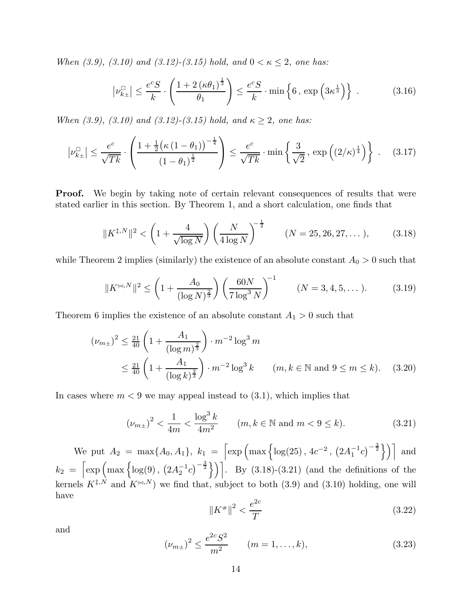*When*  $(3.9)$ ,  $(3.10)$  and  $(3.12)$ - $(3.15)$  hold, and  $0 < \kappa \leq 2$ , one has:

$$
\left|\nu_{k\pm}^{\square}\right| \leq \frac{e^c S}{k} \cdot \left(\frac{1 + 2\left(\kappa \theta_1\right)^{\frac{1}{3}}}{\theta_1}\right) \leq \frac{e^c S}{k} \cdot \min\left\{6, \exp\left(3\kappa^{\frac{1}{3}}\right)\right\} \,. \tag{3.16}
$$

*When (3.9), (3.10) and (3.12)-(3.15) hold, and*  $\kappa \geq 2$ *, one has:* 

$$
\left| \nu_{k\pm}^{\square} \right| \le \frac{e^c}{\sqrt{Tk}} \cdot \left( \frac{1 + \frac{1}{2} \left( \kappa \left( 1 - \theta_1 \right) \right)^{-\frac{1}{4}}}{\left( 1 - \theta_1 \right)^{\frac{1}{2}}} \right) \le \frac{e^c}{\sqrt{Tk}} \cdot \min \left\{ \frac{3}{\sqrt{2}}, \exp \left( \left( 2/\kappa \right)^{\frac{1}{4}} \right) \right\} . \tag{3.17}
$$

**Proof.** We begin by taking note of certain relevant consequences of results that were stated earlier in this section. By Theorem 1, and a short calculation, one finds that

$$
\|K^{\ddagger,N}\|^2 < \left(1 + \frac{4}{\sqrt{\log N}}\right) \left(\frac{N}{4\log N}\right)^{-\frac{1}{2}} \qquad (N = 25, 26, 27, \dots), \tag{3.18}
$$

while Theorem 2 implies (similarly) the existence of an absolute constant  $A_0 > 0$  such that

$$
||K^{\bowtie,N}||^2 \le \left(1 + \frac{A_0}{(\log N)^{\frac{2}{3}}}\right) \left(\frac{60N}{7\log^3 N}\right)^{-1} \qquad (N = 3, 4, 5, ...).
$$
 (3.19)

Theorem 6 implies the existence of an absolute constant  $A_1 > 0$  such that

$$
(\nu_{m\pm})^2 \le \frac{21}{40} \left( 1 + \frac{A_1}{(\log m)^{\frac{2}{3}}} \right) \cdot m^{-2} \log^3 m
$$
  
 
$$
\le \frac{21}{40} \left( 1 + \frac{A_1}{(\log k)^{\frac{2}{3}}} \right) \cdot m^{-2} \log^3 k \qquad (m, k \in \mathbb{N} \text{ and } 9 \le m \le k). \quad (3.20)
$$

In cases where  $m < 9$  we may appeal instead to  $(3.1)$ , which implies that

$$
(\nu_{m\pm})^2 < \frac{1}{4m} < \frac{\log^3 k}{4m^2} \qquad (m, k \in \mathbb{N} \text{ and } m < 9 \le k). \tag{3.21}
$$

We put  $A_2 = \max\{A_0, A_1\}, k_1 = \left[\exp\left(\max\left\{\log(25), 4c^{-2}, (2A_1^{-1}c)^{-\frac{3}{2}}\right\}\right)\right]$  and  $k_2 = \left[\exp\left(\max\left\{\log(9), (2A_2^{-1}c)^{-\frac{3}{2}}\right\}\right)\right]$ . By (3.18)-(3.21) (and the definitions of the kernels  $K^{\ddagger,N}$  and  $K^{\bowtie,N}$ ) we find that, subject to both (3.9) and (3.10) holding, one will have

$$
||K^*||^2 < \frac{e^{2c}}{T} \tag{3.22}
$$

and

$$
(\nu_{m\pm})^2 \le \frac{e^{2c} S^2}{m^2} \qquad (m = 1, \dots, k),
$$
 (3.23)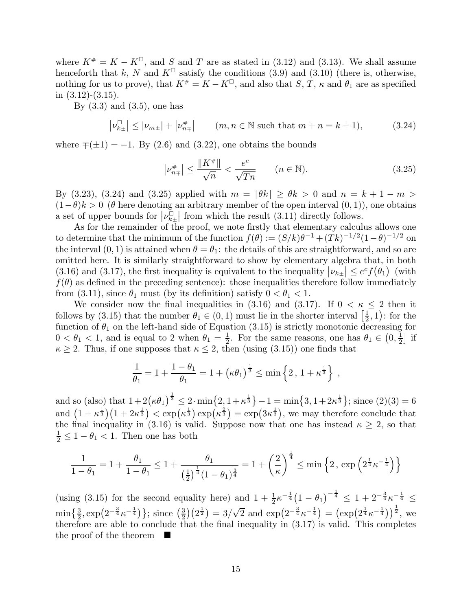where  $K^* = K - K^{\square}$ , and S and T are as stated in (3.12) and (3.13). We shall assume henceforth that k, N and  $K^{\square}$  satisfy the conditions (3.9) and (3.10) (there is, otherwise, nothing for us to prove), that  $K^* = K - K^{\square}$ , and also that  $S, T, \kappa$  and  $\theta_1$  are as specified in  $(3.12)-(3.15)$ .

By  $(3.3)$  and  $(3.5)$ , one has

$$
\left| \nu_{k\pm}^{\square} \right| \leq \left| \nu_{m\pm} \right| + \left| \nu_{n\mp}^{\#} \right| \qquad (m, n \in \mathbb{N} \text{ such that } m+n=k+1), \tag{3.24}
$$

where  $\mp(\pm 1) = -1$ . By (2.6) and (3.22), one obtains the bounds

$$
\left|\nu_{n\mp}^{\#}\right| \le \frac{\|K^{\#}\|}{\sqrt{n}} < \frac{e^c}{\sqrt{Tn}} \qquad (n \in \mathbb{N}).\tag{3.25}
$$

By (3.23), (3.24) and (3.25) applied with  $m = \lfloor \theta k \rfloor \ge \theta k > 0$  and  $n = k + 1 - m > 0$  $(1-\theta)k > 0$  ( $\theta$  here denoting an arbitrary member of the open interval  $(0, 1)$ ), one obtains a set of upper bounds for  $|\nu_{k\pm}^{\square}|$  from which the result (3.11) directly follows.

As for the remainder of the proof, we note firstly that elementary calculus allows one to determine that the minimum of the function  $f(\theta) := (S/k)\theta^{-1} + (Tk)^{-1/2}(1-\theta)^{-1/2}$  on the interval  $(0, 1)$  is attained when  $\theta = \theta_1$ : the details of this are straightforward, and so are omitted here. It is similarly straightforward to show by elementary algebra that, in both (3.16) and (3.17), the first inequality is equivalent to the inequality  $|\nu_{k\pm}| \leq e^c f(\theta_1)$  (with  $f(\theta)$  as defined in the preceding sentence): those inequalities therefore follow immediately from (3.11), since  $\theta_1$  must (by its definition) satisfy  $0 < \theta_1 < 1$ .

We consider now the final inequalities in (3.16) and (3.17). If  $0 < \kappa \leq 2$  then it follows by (3.15) that the number  $\theta_1 \in (0, 1)$  must lie in the shorter interval  $\left[\frac{1}{2}\right]$  $(\frac{1}{2}, 1)$ : for the function of  $\theta_1$  on the left-hand side of Equation (3.15) is strictly monotonic decreasing for  $0 < \theta_1 < 1$ , and is equal to 2 when  $\theta_1 = \frac{1}{2}$  $\frac{1}{2}$ . For the same reasons, one has  $\theta_1 \in (0, \frac{1}{2})$  $\frac{1}{2}$  if  $\kappa \geq 2$ . Thus, if one supposes that  $\kappa \leq 2$ , then (using (3.15)) one finds that

$$
\frac{1}{\theta_1} = 1 + \frac{1 - \theta_1}{\theta_1} = 1 + (\kappa \theta_1)^{\frac{1}{3}} \le \min \left\{ 2 \, , \, 1 + \kappa^{\frac{1}{3}} \right\} \, ,
$$

and so (also) that  $1+2(\kappa\theta_1)^{\frac{1}{3}} \leq 2 \cdot \min\{2, 1+\kappa^{\frac{1}{3}}\}-1 = \min\{3, 1+2\kappa^{\frac{1}{3}}\}$ ; since  $(2)(3) = 6$ and  $(1 + \kappa^{\frac{1}{3}})(1 + 2\kappa^{\frac{1}{3}}) < \exp(\kappa^{\frac{1}{3}}) \exp(\kappa^{\frac{2}{3}}) = \exp(3\kappa^{\frac{1}{3}})$ , we may therefore conclude that the final inequality in (3.16) is valid. Suppose now that one has instead  $\kappa \geq 2$ , so that  $\frac{1}{2} \leq 1 - \theta_1 < 1$ . Then one has both

$$
\frac{1}{1-\theta_1} = 1 + \frac{\theta_1}{1-\theta_1} \le 1 + \frac{\theta_1}{\left(\frac{1}{2}\right)^{\frac{1}{4}}(1-\theta_1)^{\frac{3}{4}}} = 1 + \left(\frac{2}{\kappa}\right)^{\frac{1}{4}} \le \min\left\{2, \exp\left(2^{\frac{1}{4}}\kappa^{-\frac{1}{4}}\right)\right\}
$$

(using (3.15) for the second equality here) and  $1 + \frac{1}{2} \kappa^{-\frac{1}{4}} (1 - \theta_1)^{-\frac{1}{4}} \leq 1 + 2^{-\frac{3}{4}} \kappa^{-\frac{1}{4}} \leq$  $\min\left\{\frac{3}{2}, \exp\left(2^{-\frac{3}{4}}\kappa^{-\frac{1}{4}}\right)\right\}; \text{ since } \left(\frac{3}{2}\right)$  $\left(2^{\frac{1}{2}}\right) = 3/\sqrt{2}$  and  $\exp\left(2^{-\frac{3}{4}}\kappa^{-\frac{1}{4}}\right) = \left(\exp\left(2^{\frac{1}{4}}\kappa^{-\frac{1}{4}}\right)\right)^{\frac{1}{2}}$ , we therefore are able to conclude that the final inequality in (3.17) is valid. This completes the proof of the theorem  $\blacksquare$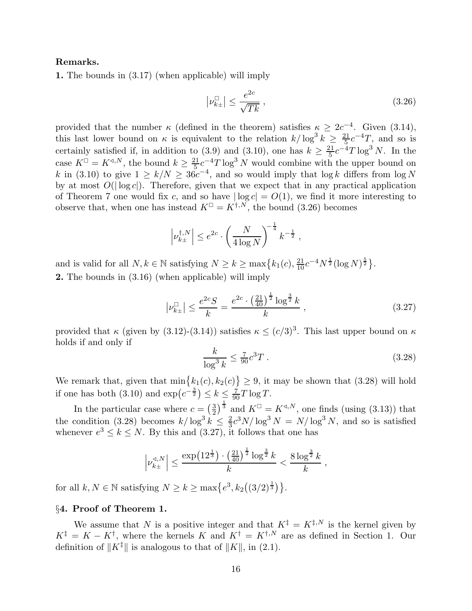## Remarks.

1. The bounds in (3.17) (when applicable) will imply

$$
\left|\nu_{k\pm}^{\square}\right| \le \frac{e^{2c}}{\sqrt{Tk}},\tag{3.26}
$$

provided that the number  $\kappa$  (defined in the theorem) satisfies  $\kappa \geq 2c^{-4}$ . Given (3.14), this last lower bound on  $\kappa$  is equivalent to the relation  $k/\log^3 k \geq \frac{21}{5}$  $\frac{21}{5}c^{-4}T$ , and so is certainly satisfied if, in addition to (3.9) and (3.10), one has  $k \geq \frac{21}{5}$  $\frac{21}{5}c^{-4}T\log^3 N$ . In the case  $K^{\square} = K^{\triangleleft, N}$ , the bound  $k \geq \frac{21}{5}$  $\frac{21}{5}c^{-4}T\log^3 N$  would combine with the upper bound on k in (3.10) to give  $1 \ge k/N \ge 36c^{-4}$ , and so would imply that  $\log k$  differs from  $\log N$ by at most  $O(|\log c|)$ . Therefore, given that we expect that in any practical application of Theorem 7 one would fix c, and so have  $|\log c| = O(1)$ , we find it more interesting to observe that, when one has instead  $K^{\square} = K^{\dagger,N}$ , the bound (3.26) becomes

$$
\left|\nu_{k\pm}^{\dagger,N}\right| \leq e^{2c} \cdot \left(\frac{N}{4\log N}\right)^{-\frac{1}{4}} k^{-\frac{1}{2}},
$$

and is valid for all  $N, k \in \mathbb{N}$  satisfying  $N \ge k \ge \max\left\{k_1(c), \frac{21}{10}c^{-4}N^{\frac{1}{2}}(\log N)^{\frac{5}{2}}\right\}$ . 2. The bounds in (3.16) (when applicable) will imply

$$
\left|\nu_{k\pm}^{\Box}\right| \le \frac{e^{2c}S}{k} = \frac{e^{2c} \cdot \left(\frac{21}{40}\right)^{\frac{1}{2}} \log^{\frac{3}{2}} k}{k},\tag{3.27}
$$

provided that  $\kappa$  (given by (3.12)-(3.14)) satisfies  $\kappa \leq (c/3)^3$ . This last upper bound on  $\kappa$ holds if and only if

$$
\frac{k}{\log^3 k} \le \frac{7}{90} c^3 T \,. \tag{3.28}
$$

We remark that, given that  $\min\{k_1(c), k_2(c)\}\geq 9$ , it may be shown that (3.28) will hold if one has both (3.10) and  $\exp(c^{-\frac{3}{2}}) \leq k \leq \frac{7}{90}T \log T$ .

In the particular case where  $c = \left(\frac{3}{2}\right)$  $\frac{3}{2}$ ,  $\frac{3}{2}$  and  $K^{\square} = K^{\triangleleft, N}$ , one finds (using (3.13)) that the condition (3.28) becomes  $k/\log^3 k \leq \frac{2}{3}$  $\frac{2}{3}c^3N/\log^3 N = N/\log^3 N$ , and so is satisfied whenever  $e^3 \leq k \leq N$ . By this and (3.27), it follows that one has

$$
\left|\nu_{k\pm}^{\triangleleft,N}\right| \leq \frac{\exp\left(12^{\frac{1}{3}}\right) \cdot \left(\frac{21}{40}\right)^{\frac{1}{2}} \log^{\frac{3}{2}} k}{k} < \frac{8 \log^{\frac{3}{2}} k}{k},
$$

for all  $k, N \in \mathbb{N}$  satisfying  $N \ge k \ge \max\left\{e^3, k_2\left(\frac{3}{2}\right)^{\frac{1}{3}}\right\}.$ 

## §4. Proof of Theorem 1.

We assume that N is a positive integer and that  $K^{\ddagger} = K^{\ddagger,N}$  is the kernel given by  $K^{\dagger} = K - K^{\dagger}$ , where the kernels K and  $K^{\dagger} = K^{\dagger,N}$  are as defined in Section 1. Our definition of  $||K^{\ddagger}||$  is analogous to that of  $||K||$ , in (2.1).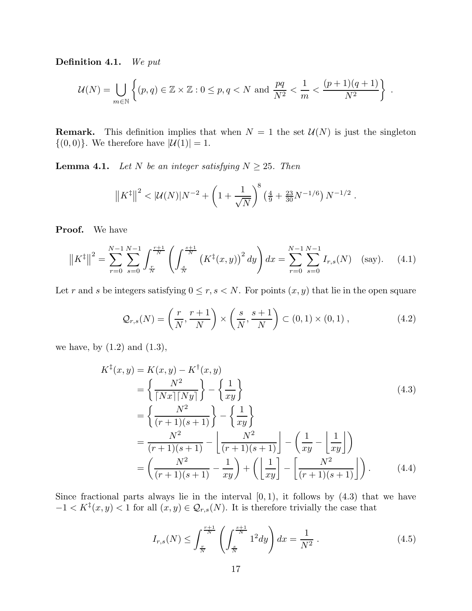Definition 4.1. *We put*

$$
\mathcal{U}(N) = \bigcup_{m \in \mathbb{N}} \left\{ (p,q) \in \mathbb{Z} \times \mathbb{Z} : 0 \le p, q < N \text{ and } \frac{pq}{N^2} < \frac{1}{m} < \frac{(p+1)(q+1)}{N^2} \right\} \; .
$$

**Remark.** This definition implies that when  $N = 1$  the set  $\mathcal{U}(N)$  is just the singleton  $\{(0,0)\}.$  We therefore have  $|\mathcal{U}(1)|=1$ .

**Lemma 4.1.** *Let*  $N$  *be an integer satisfying*  $N \geq 25$ *. Then* 

$$
\left\|K^{\ddagger}\right\|^2 < |\mathcal{U}(N)|N^{-2} + \left(1 + \frac{1}{\sqrt{N}}\right)^8 \left(\frac{4}{9} + \frac{23}{30}N^{-1/6}\right)N^{-1/2}
$$

Proof. We have

$$
\left\|K^{\ddagger}\right\|^2 = \sum_{r=0}^{N-1} \sum_{s=0}^{N-1} \int_{\frac{r}{N}}^{\frac{r+1}{N}} \left(\int_{\frac{s}{N}}^{\frac{s+1}{N}} \left(K^{\ddagger}(x,y)\right)^2 dy\right) dx = \sum_{r=0}^{N-1} \sum_{s=0}^{N-1} I_{r,s}(N) \quad \text{(say)}.
$$
 (4.1)

Let r and s be integers satisfying  $0 \le r, s < N$ . For points  $(x, y)$  that lie in the open square

$$
\mathcal{Q}_{r,s}(N) = \left(\frac{r}{N}, \frac{r+1}{N}\right) \times \left(\frac{s}{N}, \frac{s+1}{N}\right) \subset (0,1) \times (0,1) ,\tag{4.2}
$$

.

we have, by  $(1.2)$  and  $(1.3)$ ,

$$
K^{\dagger}(x,y) = K(x,y) - K^{\dagger}(x,y)
$$
  
=  $\left\{ \frac{N^2}{\lceil Nx \rceil Ny \rceil} \right\} - \left\{ \frac{1}{xy} \right\}$  (4.3)  
=  $\left\{ \frac{N^2}{(r+1)(s+1)} \right\} - \left\{ \frac{1}{xy} \right\}$   
=  $\frac{N^2}{(r+1)(s+1)} - \left\lfloor \frac{N^2}{(r+1)(s+1)} \right\rfloor - \left\{ \frac{1}{xy} - \left\lfloor \frac{1}{xy} \right\rfloor \right\}$   
=  $\left( \frac{N^2}{(r+1)(s+1)} - \frac{1}{xy} \right) + \left( \left\lfloor \frac{1}{xy} \right\rfloor - \left\lfloor \frac{N^2}{(r+1)(s+1)} \right\rfloor \right).$  (4.4)

Since fractional parts always lie in the interval  $[0, 1)$ , it follows by  $(4.3)$  that we have  $-1 < K^{\ddagger}(x, y) < 1$  for all  $(x, y) \in \mathcal{Q}_{r,s}(N)$ . It is therefore trivially the case that

$$
I_{r,s}(N) \le \int_{\frac{r}{N}}^{\frac{r+1}{N}} \left( \int_{\frac{s}{N}}^{\frac{s+1}{N}} 1^2 dy \right) dx = \frac{1}{N^2} . \tag{4.5}
$$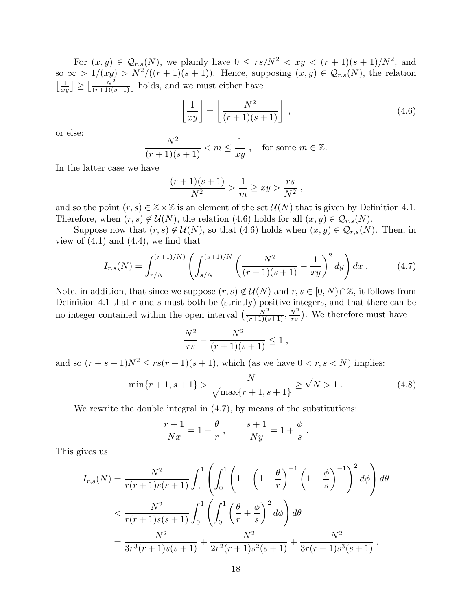For  $(x, y) \in \mathcal{Q}_{r,s}(N)$ , we plainly have  $0 \leq rs/N^2 < xy < (r+1)(s+1)/N^2$ , and so  $\infty > 1/(xy) > N^2/((r+1)(s+1))$ . Hence, supposing  $(x, y) \in \mathcal{Q}_{r,s}(N)$ , the relation  $\left\lfloor \frac{1}{xy} \right\rfloor \ge \left\lfloor \frac{N^2}{(r+1)(s+1)} \right\rfloor$  holds, and we must either have

$$
\left\lfloor \frac{1}{xy} \right\rfloor = \left\lfloor \frac{N^2}{(r+1)(s+1)} \right\rfloor , \tag{4.6}
$$

or else:

$$
\frac{N^2}{(r+1)(s+1)} < m \le \frac{1}{xy}, \quad \text{for some } m \in \mathbb{Z}.
$$

In the latter case we have

$$
\frac{(r+1)(s+1)}{N^2} > \frac{1}{m} \geq xy > \frac{rs}{N^2} ,
$$

and so the point  $(r, s) \in \mathbb{Z} \times \mathbb{Z}$  is an element of the set  $\mathcal{U}(N)$  that is given by Definition 4.1. Therefore, when  $(r, s) \notin \mathcal{U}(N)$ , the relation (4.6) holds for all  $(x, y) \in \mathcal{Q}_{r,s}(N)$ .

Suppose now that  $(r, s) \notin \mathcal{U}(N)$ , so that  $(4.6)$  holds when  $(x, y) \in \mathcal{Q}_{r,s}(N)$ . Then, in view of  $(4.1)$  and  $(4.4)$ , we find that

$$
I_{r,s}(N) = \int_{r/N}^{(r+1)/N)} \left( \int_{s/N}^{(s+1)/N} \left( \frac{N^2}{(r+1)(s+1)} - \frac{1}{xy} \right)^2 dy \right) dx \,. \tag{4.7}
$$

Note, in addition, that since we suppose  $(r, s) \notin \mathcal{U}(N)$  and  $r, s \in [0, N) \cap \mathbb{Z}$ , it follows from Definition 4.1 that  $r$  and  $s$  must both be (strictly) positive integers, and that there can be no integer contained within the open interval  $\left(\frac{N^2}{(r+1)(s+1)}, \frac{N^2}{rs}\right)$ . We therefore must have

$$
\frac{N^2}{rs} - \frac{N^2}{(r+1)(s+1)} \le 1 ,
$$

and so  $(r + s + 1)N^2 \le rs(r + 1)(s + 1)$ , which (as we have  $0 < r, s < N$ ) implies:

$$
\min\{r+1, s+1\} > \frac{N}{\sqrt{\max\{r+1, s+1\}}} \ge \sqrt{N} > 1. \tag{4.8}
$$

We rewrite the double integral in  $(4.7)$ , by means of the substitutions:

$$
\frac{r+1}{Nx} = 1 + \frac{\theta}{r} \,, \qquad \frac{s+1}{Ny} = 1 + \frac{\phi}{s} \,.
$$

This gives us

$$
I_{r,s}(N) = \frac{N^2}{r(r+1)s(s+1)} \int_0^1 \left( \int_0^1 \left( 1 - \left( 1 + \frac{\theta}{r} \right)^{-1} \left( 1 + \frac{\phi}{s} \right)^{-1} \right)^2 d\phi \right) d\theta
$$
  

$$
< \frac{N^2}{r(r+1)s(s+1)} \int_0^1 \left( \int_0^1 \left( \frac{\theta}{r} + \frac{\phi}{s} \right)^2 d\phi \right) d\theta
$$
  

$$
= \frac{N^2}{3r^3(r+1)s(s+1)} + \frac{N^2}{2r^2(r+1)s^2(s+1)} + \frac{N^2}{3r(r+1)s^3(s+1)}.
$$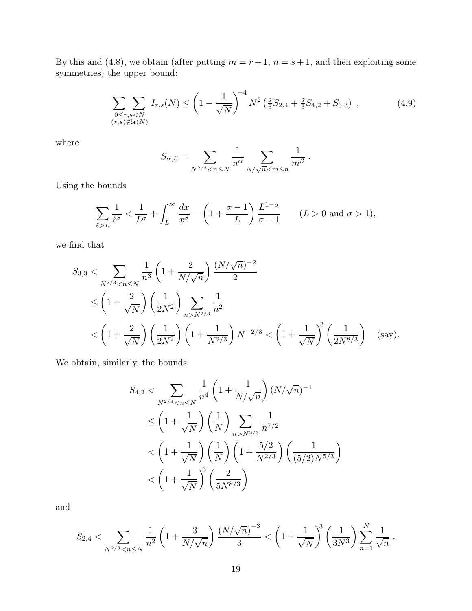By this and (4.8), we obtain (after putting  $m = r + 1$ ,  $n = s + 1$ , and then exploiting some symmetries) the upper bound:

$$
\sum_{\substack{0 \le r,s < N \\ (r,s) \notin \mathcal{U}(N)}} I_{r,s}(N) \le \left(1 - \frac{1}{\sqrt{N}}\right)^{-4} N^2 \left(\frac{2}{3}S_{2,4} + \frac{2}{3}S_{4,2} + S_{3,3}\right) ,\tag{4.9}
$$

where

$$
S_{\alpha,\beta} = \sum_{N^{2/3} < n \le N} \frac{1}{n^{\alpha}} \sum_{N/\sqrt{n} < m \le n} \frac{1}{m^{\beta}}.
$$

Using the bounds

$$
\sum_{\ell>L} \frac{1}{\ell^{\sigma}} < \frac{1}{L^{\sigma}} + \int_{L}^{\infty} \frac{dx}{x^{\sigma}} = \left(1 + \frac{\sigma - 1}{L}\right) \frac{L^{1-\sigma}}{\sigma - 1} \qquad (L > 0 \text{ and } \sigma > 1),
$$

we find that

$$
S_{3,3} < \sum_{N^{2/3} < n \le N} \frac{1}{n^3} \left( 1 + \frac{2}{N/\sqrt{n}} \right) \frac{(N/\sqrt{n})^{-2}}{2}
$$
\n
$$
\le \left( 1 + \frac{2}{\sqrt{N}} \right) \left( \frac{1}{2N^2} \right) \sum_{n > N^{2/3}} \frac{1}{n^2}
$$
\n
$$
< \left( 1 + \frac{2}{\sqrt{N}} \right) \left( \frac{1}{2N^2} \right) \left( 1 + \frac{1}{N^{2/3}} \right) N^{-2/3} < \left( 1 + \frac{1}{\sqrt{N}} \right)^3 \left( \frac{1}{2N^{8/3}} \right) \quad \text{(say)}.
$$

We obtain, similarly, the bounds

$$
S_{4,2} < \sum_{N^{2/3} < n \le N} \frac{1}{n^4} \left( 1 + \frac{1}{N/\sqrt{n}} \right) (N/\sqrt{n})^{-1}
$$
\n
$$
\le \left( 1 + \frac{1}{\sqrt{N}} \right) \left( \frac{1}{N} \right) \sum_{n > N^{2/3}} \frac{1}{n^{7/2}}
$$
\n
$$
< \left( 1 + \frac{1}{\sqrt{N}} \right) \left( \frac{1}{N} \right) \left( 1 + \frac{5/2}{N^{2/3}} \right) \left( \frac{1}{(5/2)N^{5/3}} \right)
$$
\n
$$
< \left( 1 + \frac{1}{\sqrt{N}} \right)^3 \left( \frac{2}{5N^{8/3}} \right)
$$

and

$$
S_{2,4} < \sum_{N^{2/3} < n \le N} \frac{1}{n^2} \left( 1 + \frac{3}{N/\sqrt{n}} \right) \frac{\left(N/\sqrt{n}\right)^{-3}}{3} < \left( 1 + \frac{1}{\sqrt{N}} \right)^3 \left( \frac{1}{3N^3} \right) \sum_{n=1}^N \frac{1}{\sqrt{n}}.
$$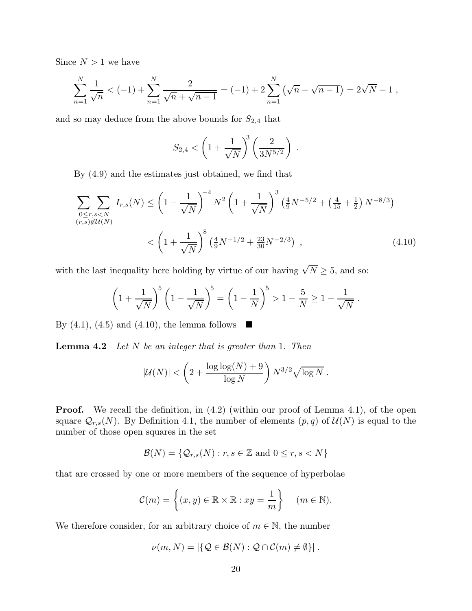Since  $N > 1$  we have

$$
\sum_{n=1}^{N} \frac{1}{\sqrt{n}} < (-1) + \sum_{n=1}^{N} \frac{2}{\sqrt{n} + \sqrt{n-1}} = (-1) + 2\sum_{n=1}^{N} (\sqrt{n} - \sqrt{n-1}) = 2\sqrt{N} - 1,
$$

and so may deduce from the above bounds for  $S_{2,4}$  that

$$
S_{2,4} < \left(1 + \frac{1}{\sqrt{N}}\right)^3 \left(\frac{2}{3N^{5/2}}\right) .
$$

By (4.9) and the estimates just obtained, we find that

$$
\sum_{\substack{0 \le r,s < N \\ (r,s) \notin U(N)}} I_{r,s}(N) \le \left(1 - \frac{1}{\sqrt{N}}\right)^{-4} N^2 \left(1 + \frac{1}{\sqrt{N}}\right)^3 \left(\frac{4}{9}N^{-5/2} + \left(\frac{4}{15} + \frac{1}{2}\right)N^{-8/3}\right)
$$

$$
< \left(1 + \frac{1}{\sqrt{N}}\right)^8 \left(\frac{4}{9}N^{-1/2} + \frac{23}{30}N^{-2/3}\right) ,\tag{4.10}
$$

with the last inequality here holding by virtue of our having  $\sqrt{N} \geq 5$ , and so:

$$
\left(1 + \frac{1}{\sqrt{N}}\right)^5 \left(1 - \frac{1}{\sqrt{N}}\right)^5 = \left(1 - \frac{1}{N}\right)^5 > 1 - \frac{5}{N} \ge 1 - \frac{1}{\sqrt{N}}.
$$

By  $(4.1)$ ,  $(4.5)$  and  $(4.10)$ , the lemma follows

Lemma 4.2 *Let* N *be an integer that is greater than* 1*. Then*

$$
|\mathcal{U}(N)| < \left(2 + \frac{\log\log(N) + 9}{\log N}\right) N^{3/2} \sqrt{\log N} .
$$

**Proof.** We recall the definition, in  $(4.2)$  (within our proof of Lemma 4.1), of the open square  $\mathcal{Q}_{r,s}(N)$ . By Definition 4.1, the number of elements  $(p,q)$  of  $\mathcal{U}(N)$  is equal to the number of those open squares in the set

$$
\mathcal{B}(N) = \{ \mathcal{Q}_{r,s}(N) : r, s \in \mathbb{Z} \text{ and } 0 \le r, s < N \}
$$

that are crossed by one or more members of the sequence of hyperbolae

$$
\mathcal{C}(m) = \left\{ (x, y) \in \mathbb{R} \times \mathbb{R} : xy = \frac{1}{m} \right\} \quad (m \in \mathbb{N}).
$$

We therefore consider, for an arbitrary choice of  $m \in \mathbb{N}$ , the number

$$
\nu(m,N) = |\{ \mathcal{Q} \in \mathcal{B}(N) : \mathcal{Q} \cap \mathcal{C}(m) \neq \emptyset \}|.
$$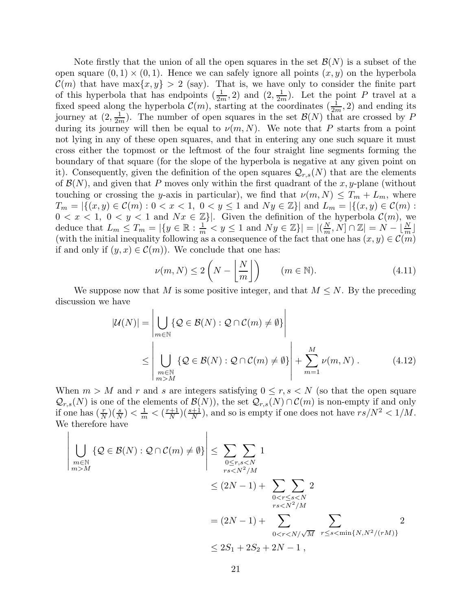Note firstly that the union of all the open squares in the set  $\mathcal{B}(N)$  is a subset of the open square  $(0, 1) \times (0, 1)$ . Hence we can safely ignore all points  $(x, y)$  on the hyperbola  $\mathcal{C}(m)$  that have max $\{x, y\} > 2$  (say). That is, we have only to consider the finite part of this hyperbola that has endpoints  $(\frac{1}{2m}, 2)$  and  $(2, \frac{1}{2m})$ . Let the point P travel at a fixed speed along the hyperbola  $\mathcal{C}(m)$ , starting at the coordinates  $(\frac{1}{2m}, 2)$  and ending its journey at  $(2, \frac{1}{2m})$ . The number of open squares in the set  $\mathcal{B}(N)$  that are crossed by P during its journey will then be equal to  $\nu(m, N)$ . We note that P starts from a point not lying in any of these open squares, and that in entering any one such square it must cross either the topmost or the leftmost of the four straight line segments forming the boundary of that square (for the slope of the hyperbola is negative at any given point on it). Consequently, given the definition of the open squares  $\mathcal{Q}_{r,s}(N)$  that are the elements of  $\mathcal{B}(N)$ , and given that P moves only within the first quadrant of the x, y-plane (without touching or crossing the y-axis in particular), we find that  $\nu(m, N) \leq T_m + L_m$ , where  $T_m = |\{(x, y) \in \mathcal{C}(m) : 0 < x < 1, 0 < y \le 1 \text{ and } Ny \in \mathbb{Z}\}|$  and  $L_m = |\{(x, y) \in \mathcal{C}(m) : 0 < x < 1, 0 < y \le 1 \}$  $0 < x < 1, 0 < y < 1$  and  $Nx \in \mathbb{Z}$ . Given the definition of the hyperbola  $\mathcal{C}(m)$ , we deduce that  $L_m \leq T_m = |\{y \in \mathbb{R} : \frac{1}{m} < y \leq 1 \text{ and } Ny \in \mathbb{Z}\}| = |(\frac{N}{m}, N] \cap \mathbb{Z}| = N - \lfloor \frac{N}{m} \rfloor$ (with the initial inequality following as a consequence of the fact that one has  $(x, y) \in \mathcal{C}(m)$ if and only if  $(y, x) \in C(m)$ . We conclude that one has:

$$
\nu(m, N) \le 2\left(N - \left\lfloor \frac{N}{m} \right\rfloor\right) \qquad (m \in \mathbb{N}).\tag{4.11}
$$

We suppose now that M is some positive integer, and that  $M \leq N$ . By the preceding discussion we have

$$
|\mathcal{U}(N)| = \left| \bigcup_{m \in \mathbb{N}} \{ \mathcal{Q} \in \mathcal{B}(N) : \mathcal{Q} \cap \mathcal{C}(m) \neq \emptyset \} \right|
$$
  
\$\leq\$ 
$$
\left| \bigcup_{\substack{m \in \mathbb{N} \\ m > M}} \{ \mathcal{Q} \in \mathcal{B}(N) : \mathcal{Q} \cap \mathcal{C}(m) \neq \emptyset \} \right| + \sum_{m=1}^{M} \nu(m, N). \tag{4.12}
$$

When  $m > M$  and r and s are integers satisfying  $0 \le r, s < N$  (so that the open square  $\mathcal{Q}_{r,s}(N)$  is one of the elements of  $\mathcal{B}(N)$ , the set  $\mathcal{Q}_{r,s}(N) \cap \mathcal{C}(m)$  is non-empty if and only if one has  $(\frac{r}{N})(\frac{s}{N}) < \frac{1}{m} < (\frac{r+1}{N})$  $\frac{N+1}{N}$ )( $\frac{s+1}{N}$ ), and so is empty if one does not have  $rs/N^2 < 1/M$ . We therefore have

 $\overline{\phantom{a}}$  $\overline{\phantom{a}}$  $\overline{\phantom{a}}$  $\overline{\phantom{a}}$  $\overline{\phantom{a}}$  $\overline{\phantom{a}}$  $\vert$ 

$$
\left| \bigcup_{\substack{m \in \mathbb{N} \\ m > M}} \{ Q \in \mathcal{B}(N) : Q \cap \mathcal{C}(m) \neq \emptyset \} \right| \leq \sum_{\substack{0 \leq r, s < N \\ rs < N^2/M}} 1
$$
\n
$$
\leq (2N - 1) + \sum_{\substack{0 < r \leq s < N \\ rs < N^2/M}} 2
$$
\n
$$
= (2N - 1) + \sum_{\substack{0 < r \leq s < N \\ 0 < r < N/\sqrt{M} \}} \sum_{\substack{r \leq s < \min\{N, N^2/(rM)\} \\ s < 2S_1 + 2S_2 + 2N - 1},
$$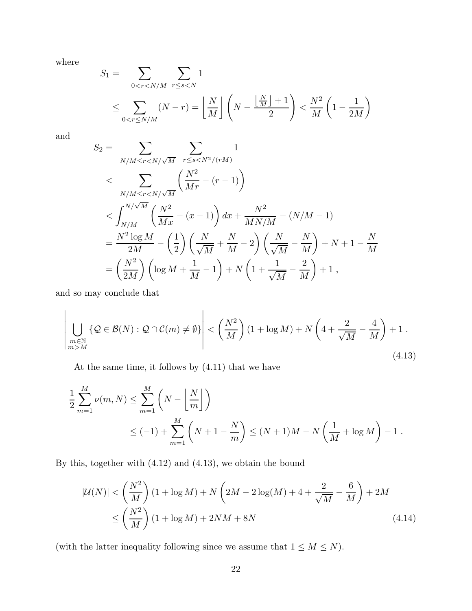where

$$
S_1 = \sum_{0 < r < N/M} \sum_{r \le s < N} 1
$$
\n
$$
\le \sum_{0 < r \le N/M} (N - r) = \left\lfloor \frac{N}{M} \right\rfloor \left( N - \frac{\left\lfloor \frac{N}{M} \right\rfloor + 1}{2} \right) < \frac{N^2}{M} \left( 1 - \frac{1}{2M} \right)
$$

and

$$
S_2 = \sum_{N/M \le r < N/\sqrt{M}} \sum_{r \le s < N^2/(rM)} 1
$$
\n
$$
\langle \sum_{N/M \le r < N/\sqrt{M}} \left( \frac{N^2}{Mr} - (r - 1) \right) \right.
$$
\n
$$
\langle \int_{N/M}^{N/\sqrt{M}} \left( \frac{N^2}{Mx} - (x - 1) \right) dx + \frac{N^2}{MN/M} - (N/M - 1)
$$
\n
$$
= \frac{N^2 \log M}{2M} - \left( \frac{1}{2} \right) \left( \frac{N}{\sqrt{M}} + \frac{N}{M} - 2 \right) \left( \frac{N}{\sqrt{M}} - \frac{N}{M} \right) + N + 1 - \frac{N}{M}
$$
\n
$$
= \left( \frac{N^2}{2M} \right) \left( \log M + \frac{1}{M} - 1 \right) + N \left( 1 + \frac{1}{\sqrt{M}} - \frac{2}{M} \right) + 1,
$$

and so may conclude that

$$
\left| \bigcup_{\substack{m \in \mathbb{N} \\ m > M}} \{ \mathcal{Q} \in \mathcal{B}(N) : \mathcal{Q} \cap \mathcal{C}(m) \neq \emptyset \} \right| < \left( \frac{N^2}{M} \right) (1 + \log M) + N \left( 4 + \frac{2}{\sqrt{M}} - \frac{4}{M} \right) + 1 \,. \tag{4.13}
$$

At the same time, it follows by (4.11) that we have

$$
\frac{1}{2} \sum_{m=1}^{M} \nu(m, N) \le \sum_{m=1}^{M} \left( N - \left\lfloor \frac{N}{m} \right\rfloor \right)
$$
  
 
$$
\le (-1) + \sum_{m=1}^{M} \left( N + 1 - \frac{N}{m} \right) \le (N + 1)M - N \left( \frac{1}{M} + \log M \right) - 1.
$$

By this, together with (4.12) and (4.13), we obtain the bound

$$
|\mathcal{U}(N)| < \left(\frac{N^2}{M}\right)(1 + \log M) + N\left(2M - 2\log(M) + 4 + \frac{2}{\sqrt{M}} - \frac{6}{M}\right) + 2M
$$
  

$$
\leq \left(\frac{N^2}{M}\right)(1 + \log M) + 2NM + 8N
$$
 (4.14)

(with the latter inequality following since we assume that  $1 \leq M \leq N$ ).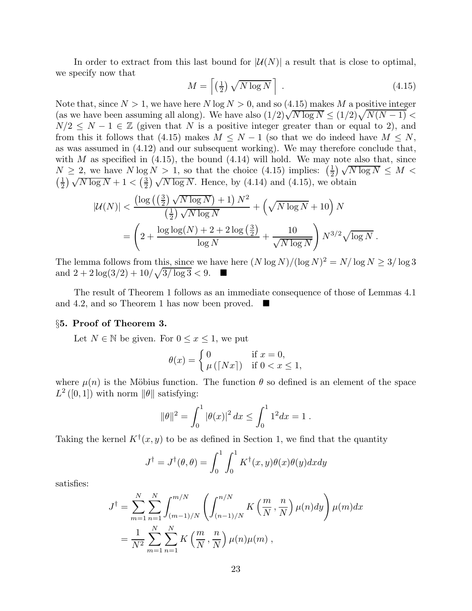In order to extract from this last bound for  $|\mathcal{U}(N)|$  a result that is close to optimal, we specify now that

$$
M = \left\lceil \left(\frac{1}{2}\right) \sqrt{N \log N} \right\rceil \tag{4.15}
$$

Note that, since  $N > 1$ , we have here N log  $N > 0$ , and so (4.15) makes M a positive integer (as we have been assuming all along). We have also  $(1/2)\sqrt{N \log N} \le (1/2)\sqrt{N(N-1)}$  $N/2 \leq N-1 \in \mathbb{Z}$  (given that N is a positive integer greater than or equal to 2), and from this it follows that (4.15) makes  $M \leq N-1$  (so that we do indeed have  $M \leq N$ , as was assumed in (4.12) and our subsequent working). We may therefore conclude that, with M as specified in  $(4.15)$ , the bound  $(4.14)$  will hold. We may note also that, since  $N \geq 2$ , we have  $N \log N > 1$ , so that the choice (4.15) implies:  $\left(\frac{1}{2}\right)$  $\frac{1}{2}$ )  $\sqrt{N \log N} \leq M$  $\left(\frac{1}{2}\right)$  $\frac{1}{2}$ )  $\sqrt{N \log N} + 1 < (\frac{3}{2})$  $\left(\frac{2}{2}\right)\sqrt{N\log N}$ . Hence, by (4.14) and (4.15), we obtain

$$
|\mathcal{U}(N)| < \frac{\left(\log\left(\left(\frac{3}{2}\right)\sqrt{N\log N}\right) + 1\right)N^2}{\left(\frac{1}{2}\right)\sqrt{N\log N}} + \left(\sqrt{N\log N} + 10\right)N
$$
\n
$$
= \left(2 + \frac{\log\log(N) + 2 + 2\log\left(\frac{3}{2}\right)}{\log N} + \frac{10}{\sqrt{N\log N}}\right)N^{3/2}\sqrt{\log N}.
$$

The lemma follows from this, since we have here  $(N \log N)/(\log N)^2 = N/\log N \ge 3/\log 3$ and  $2 + 2\log(3/2) + 10/\sqrt{3/\log 3} < 9$ .

The result of Theorem 1 follows as an immediate consequence of those of Lemmas 4.1 and 4.2, and so Theorem 1 has now been proved.

## §5. Proof of Theorem 3.

Let  $N \in \mathbb{N}$  be given. For  $0 \le x \le 1$ , we put

$$
\theta(x) = \begin{cases} 0 & \text{if } x = 0, \\ \mu(\lceil Nx\rceil) & \text{if } 0 < x \le 1, \end{cases}
$$

where  $\mu(n)$  is the Möbius function. The function  $\theta$  so defined is an element of the space  $L^2([0,1])$  with norm  $\|\theta\|$  satisfying:

$$
\|\theta\|^2 = \int_0^1 |\theta(x)|^2 dx \le \int_0^1 1^2 dx = 1.
$$

Taking the kernel  $K^{\dagger}(x, y)$  to be as defined in Section 1, we find that the quantity

$$
J^{\dagger} = J^{\dagger}(\theta, \theta) = \int_0^1 \int_0^1 K^{\dagger}(x, y) \theta(x) \theta(y) dx dy
$$

satisfies:

$$
J^{\dagger} = \sum_{m=1}^{N} \sum_{n=1}^{N} \int_{(m-1)/N}^{m/N} \left( \int_{(n-1)/N}^{n/N} K\left(\frac{m}{N}, \frac{n}{N}\right) \mu(n) dy \right) \mu(m) dx
$$
  
= 
$$
\frac{1}{N^2} \sum_{m=1}^{N} \sum_{n=1}^{N} K\left(\frac{m}{N}, \frac{n}{N}\right) \mu(n) \mu(m),
$$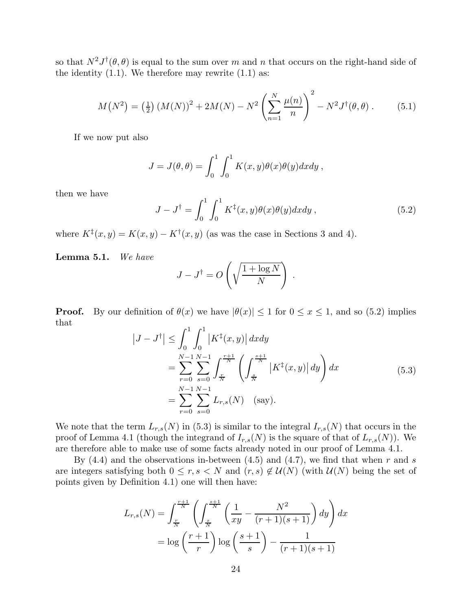so that  $N^2 J^{\dagger}(\theta, \theta)$  is equal to the sum over m and n that occurs on the right-hand side of the identity  $(1.1)$ . We therefore may rewrite  $(1.1)$  as:

$$
M(N^{2}) = \left(\frac{1}{2}\right) \left(M(N)\right)^{2} + 2M(N) - N^{2} \left(\sum_{n=1}^{N} \frac{\mu(n)}{n}\right)^{2} - N^{2} J^{\dagger}(\theta, \theta).
$$
 (5.1)

If we now put also

$$
J = J(\theta, \theta) = \int_0^1 \int_0^1 K(x, y) \theta(x) \theta(y) dx dy,
$$

then we have

$$
J - J^{\dagger} = \int_0^1 \int_0^1 K^{\ddagger}(x, y) \theta(x) \theta(y) dx dy , \qquad (5.2)
$$

where  $K^{\dagger}(x, y) = K(x, y) - K^{\dagger}(x, y)$  (as was the case in Sections 3 and 4).

Lemma 5.1. *We have*

$$
J - J^{\dagger} = O\left(\sqrt{\frac{1 + \log N}{N}}\right) .
$$

**Proof.** By our definition of  $\theta(x)$  we have  $|\theta(x)| \leq 1$  for  $0 \leq x \leq 1$ , and so (5.2) implies that

$$
\left|J - J^{\dagger}\right| \leq \int_{0}^{1} \int_{0}^{1} \left|K^{\ddagger}(x, y)\right| dxdy
$$
  
\n
$$
= \sum_{r=0}^{N-1} \sum_{s=0}^{N-1} \int_{\frac{r}{N}}^{\frac{r+1}{N}} \left(\int_{\frac{s}{N}}^{\frac{s+1}{N}} \left|K^{\ddagger}(x, y)\right| dy\right) dx
$$
  
\n
$$
= \sum_{r=0}^{N-1} \sum_{s=0}^{N-1} L_{r,s}(N) \quad \text{(say)}.
$$
 (5.3)

We note that the term  $L_{r,s}(N)$  in (5.3) is similar to the integral  $I_{r,s}(N)$  that occurs in the proof of Lemma 4.1 (though the integrand of  $I_{r,s}(N)$  is the square of that of  $L_{r,s}(N)$ ). We are therefore able to make use of some facts already noted in our proof of Lemma 4.1.

By  $(4.4)$  and the observations in-between  $(4.5)$  and  $(4.7)$ , we find that when r and s are integers satisfying both  $0 \leq r, s \leq N$  and  $(r, s) \notin \mathcal{U}(N)$  (with  $\mathcal{U}(N)$  being the set of points given by Definition 4.1) one will then have:

$$
L_{r,s}(N) = \int_{\frac{r}{N}}^{\frac{r+1}{N}} \left( \int_{\frac{s}{N}}^{\frac{s+1}{N}} \left( \frac{1}{xy} - \frac{N^2}{(r+1)(s+1)} \right) dy \right) dx
$$
  
=  $\log \left( \frac{r+1}{r} \right) \log \left( \frac{s+1}{s} \right) - \frac{1}{(r+1)(s+1)}$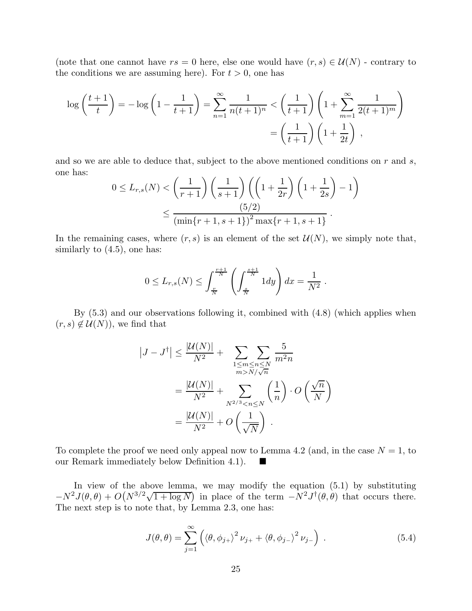(note that one cannot have  $rs = 0$  here, else one would have  $(r, s) \in \mathcal{U}(N)$  - contrary to the conditions we are assuming here). For  $t > 0$ , one has

$$
\log\left(\frac{t+1}{t}\right) = -\log\left(1 - \frac{1}{t+1}\right) = \sum_{n=1}^{\infty} \frac{1}{n(t+1)^n} < \left(\frac{1}{t+1}\right) \left(1 + \sum_{m=1}^{\infty} \frac{1}{2(t+1)^m}\right) \\
= \left(\frac{1}{t+1}\right) \left(1 + \frac{1}{2t}\right) \,,
$$

and so we are able to deduce that, subject to the above mentioned conditions on  $r$  and  $s$ , one has:

$$
0 \le L_{r,s}(N) < \left(\frac{1}{r+1}\right) \left(\frac{1}{s+1}\right) \left(\left(1 + \frac{1}{2r}\right) \left(1 + \frac{1}{2s}\right) - 1\right) \\
 \le \frac{(5/2)}{\left(\min\{r+1, s+1\}\right)^2 \max\{r+1, s+1\}}.
$$

In the remaining cases, where  $(r, s)$  is an element of the set  $\mathcal{U}(N)$ , we simply note that, similarly to  $(4.5)$ , one has:

$$
0 \le L_{r,s}(N) \le \int_{\frac{r}{N}}^{\frac{r+1}{N}} \left( \int_{\frac{s}{N}}^{\frac{s+1}{N}} 1 dy \right) dx = \frac{1}{N^2}.
$$

By (5.3) and our observations following it, combined with (4.8) (which applies when  $(r, s) \notin \mathcal{U}(N)$ , we find that

$$
|J-J^{\dagger}| \leq \frac{|U(N)|}{N^2} + \sum_{\substack{1 \leq m \leq n \leq N \\ m > N/\sqrt{n}}} \frac{5}{m^2 n}
$$
  
= 
$$
\frac{|U(N)|}{N^2} + \sum_{N^{2/3} < n \leq N} \left(\frac{1}{n}\right) \cdot O\left(\frac{\sqrt{n}}{N}\right)
$$
  
= 
$$
\frac{|U(N)|}{N^2} + O\left(\frac{1}{\sqrt{N}}\right).
$$

To complete the proof we need only appeal now to Lemma 4.2 (and, in the case  $N = 1$ , to our Remark immediately below Definition 4.1).  $\blacksquare$ 

In view of the above lemma, we may modify the equation (5.1) by substituting  $-N^2J(\theta,\theta) + O(N^{3/2}\sqrt{1+\log N})$  in place of the term  $-N^2J^{\dagger}(\theta,\theta)$  that occurs there. The next step is to note that, by Lemma 2.3, one has:

$$
J(\theta, \theta) = \sum_{j=1}^{\infty} \left( \langle \theta, \phi_{j+} \rangle^2 \nu_{j+} + \langle \theta, \phi_{j-} \rangle^2 \nu_{j-} \right) . \tag{5.4}
$$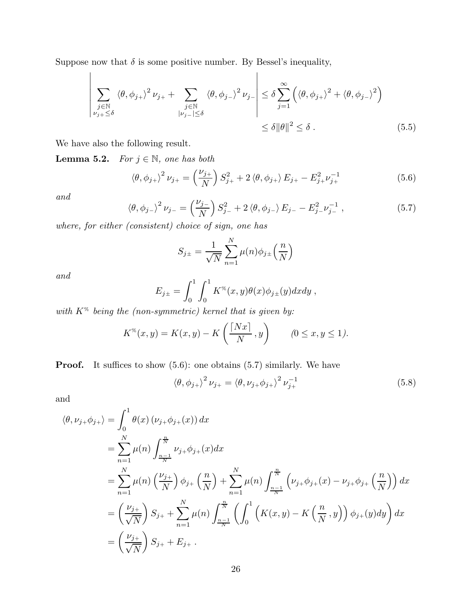Suppose now that  $\delta$  is some positive number. By Bessel's inequality,

$$
\left| \sum_{\substack{j \in \mathbb{N} \\ \nu_{j+} \leq \delta}} \langle \theta, \phi_{j+} \rangle^2 \nu_{j+} + \sum_{\substack{j \in \mathbb{N} \\ |\nu_{j-} | \leq \delta}} \langle \theta, \phi_{j-} \rangle^2 \nu_{j-} \right| \leq \delta \sum_{j=1}^{\infty} \left( \langle \theta, \phi_{j+} \rangle^2 + \langle \theta, \phi_{j-} \rangle^2 \right) \tag{5.5}
$$

We have also the following result.

**Lemma 5.2.** *For*  $j \in \mathbb{N}$ *, one has both* 

$$
\langle \theta, \phi_{j+} \rangle^2 \nu_{j+} = \left(\frac{\nu_{j+}}{N}\right) S_{j+}^2 + 2 \langle \theta, \phi_{j+} \rangle E_{j+} - E_{j+}^2 \nu_{j+}^{-1}
$$
(5.6)

*and*

$$
\langle \theta, \phi_{j-} \rangle^2 \nu_{j-} = \left(\frac{\nu_{j-}}{N}\right) S_{j-}^2 + 2 \langle \theta, \phi_{j-} \rangle E_{j-} - E_{j-}^2 \nu_{j-}^{-1} , \qquad (5.7)
$$

*where, for either (consistent) choice of sign, one has*

$$
S_{j\pm} = \frac{1}{\sqrt{N}} \sum_{n=1}^{N} \mu(n) \phi_{j\pm} \left(\frac{n}{N}\right)
$$

*and*

$$
E_{j\pm} = \int_0^1 \int_0^1 K^{g}(x, y) \theta(x) \phi_{j\pm}(y) dx dy,
$$

*with* K% *being the (non-symmetric) kernel that is given by:*

$$
K^{\mathcal{H}}(x,y) = K(x,y) - K\left(\frac{\lceil Nx\rceil}{N},y\right) \qquad (0 \le x, y \le 1).
$$

**Proof.** It suffices to show  $(5.6)$ : one obtains  $(5.7)$  similarly. We have

$$
\langle \theta, \phi_{j+} \rangle^2 \nu_{j+} = \langle \theta, \nu_{j+} \phi_{j+} \rangle^2 \nu_{j+}^{-1}
$$
\n(5.8)

and

$$
\langle \theta, \nu_{j+} \phi_{j+} \rangle = \int_0^1 \theta(x) (\nu_{j+} \phi_{j+}(x)) dx
$$
  
\n
$$
= \sum_{n=1}^N \mu(n) \int_{\frac{n-1}{N}}^{\frac{n}{N}} \nu_{j+} \phi_{j+}(x) dx
$$
  
\n
$$
= \sum_{n=1}^N \mu(n) \left(\frac{\nu_{j+}}{N}\right) \phi_{j+} \left(\frac{n}{N}\right) + \sum_{n=1}^N \mu(n) \int_{\frac{n-1}{N}}^{\frac{n}{N}} \left(\nu_{j+} \phi_{j+}(x) - \nu_{j+} \phi_{j+}\left(\frac{n}{N}\right)\right) dx
$$
  
\n
$$
= \left(\frac{\nu_{j+}}{\sqrt{N}}\right) S_{j+} + \sum_{n=1}^N \mu(n) \int_{\frac{n-1}{N}}^{\frac{n}{N}} \left(\int_0^1 \left(K(x, y) - K\left(\frac{n}{N}, y\right)\right) \phi_{j+}(y) dy\right) dx
$$
  
\n
$$
= \left(\frac{\nu_{j+}}{\sqrt{N}}\right) S_{j+} + E_{j+}.
$$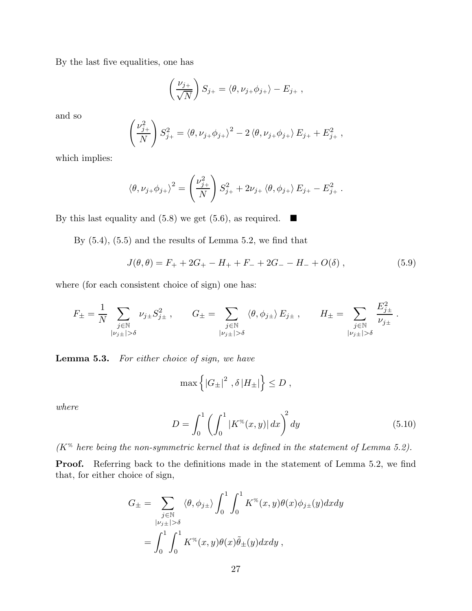By the last five equalities, one has

$$
\left(\frac{\nu_{j+}}{\sqrt{N}}\right)S_{j+} = \langle \theta, \nu_{j+} \phi_{j+} \rangle - E_{j+} ,
$$

and so

$$
\left(\frac{\nu_{j+}^2}{N}\right)S_{j+}^2 = \langle \theta, \nu_{j+} \phi_{j+} \rangle^2 - 2 \langle \theta, \nu_{j+} \phi_{j+} \rangle E_{j+} + E_{j+}^2,
$$

which implies:

$$
\langle \theta, \nu_{j+} \phi_{j+} \rangle^2 = \left( \frac{\nu_{j+}^2}{N} \right) S_{j+}^2 + 2\nu_{j+} \langle \theta, \phi_{j+} \rangle E_{j+} - E_{j+}^2.
$$

By this last equality and (5.8) we get (5.6), as required.  $\blacksquare$ 

By  $(5.4)$ ,  $(5.5)$  and the results of Lemma 5.2, we find that

$$
J(\theta, \theta) = F_+ + 2G_+ - H_+ + F_- + 2G_- - H_- + O(\delta) , \qquad (5.9)
$$

where (for each consistent choice of sign) one has:

$$
F_{\pm} = \frac{1}{N} \sum_{\substack{j \in \mathbb{N} \\ |\nu_{j\pm}| > \delta}} \nu_{j\pm} S_{j\pm}^2 , \qquad G_{\pm} = \sum_{\substack{j \in \mathbb{N} \\ |\nu_{j\pm}| > \delta}} \langle \theta, \phi_{j\pm} \rangle E_{j\pm} , \qquad H_{\pm} = \sum_{\substack{j \in \mathbb{N} \\ |\nu_{j\pm}| > \delta}} \frac{E_{j\pm}^2}{\nu_{j\pm}} .
$$

Lemma 5.3. *For either choice of sign, we have*

$$
\max\left\{\left|G_{\pm}\right|^2, \delta\left|H_{\pm}\right|\right\} \leq D\;,
$$

*where*

$$
D = \int_0^1 \left( \int_0^1 |K^\%(x, y)| \, dx \right)^2 dy \tag{5.10}
$$

*(*K% *here being the non-symmetric kernel that is defined in the statement of Lemma 5.2).*

Proof. Referring back to the definitions made in the statement of Lemma 5.2, we find that, for either choice of sign,

$$
G_{\pm} = \sum_{\substack{j \in \mathbb{N} \\ |\nu_{j\pm}| > \delta}} \langle \theta, \phi_{j\pm} \rangle \int_0^1 \int_0^1 K^{\mathscr{C}}(x, y) \theta(x) \phi_{j\pm}(y) dx dy
$$
  
= 
$$
\int_0^1 \int_0^1 K^{\mathscr{C}}(x, y) \theta(x) \tilde{\theta}_{\pm}(y) dx dy,
$$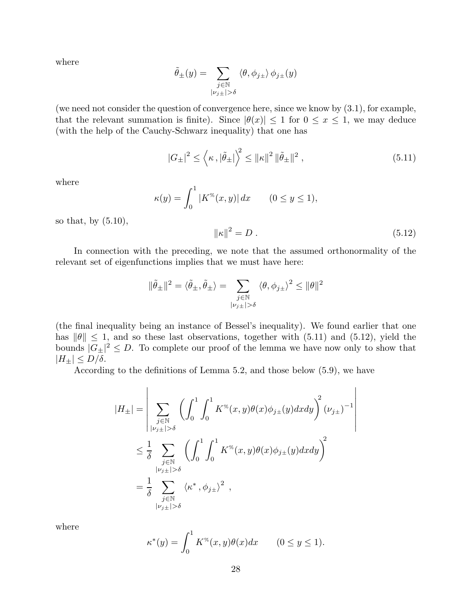where

$$
\tilde{\theta}_{\pm}(y) = \sum_{\substack{j \in \mathbb{N} \\ |\nu_j \pm| > \delta}} \langle \theta, \phi_{j\pm} \rangle \phi_{j\pm}(y)
$$

(we need not consider the question of convergence here, since we know by (3.1), for example, that the relevant summation is finite). Since  $|\theta(x)| \leq 1$  for  $0 \leq x \leq 1$ , we may deduce (with the help of the Cauchy-Schwarz inequality) that one has

$$
|G_{\pm}|^{2} \le \left\langle \kappa \, , |\tilde{\theta}_{\pm}| \right\rangle^{2} \le ||\kappa||^{2} \, ||\tilde{\theta}_{\pm}||^{2} \,, \tag{5.11}
$$

where

$$
\kappa(y) = \int_0^1 |K^\%(x, y)| \, dx \qquad (0 \le y \le 1),
$$

so that, by  $(5.10)$ ,

$$
\|\kappa\|^2 = D \,. \tag{5.12}
$$

In connection with the preceding, we note that the assumed orthonormality of the relevant set of eigenfunctions implies that we must have here:

$$
\|\tilde{\theta}_{\pm}\|^2 = \langle \tilde{\theta}_{\pm}, \tilde{\theta}_{\pm} \rangle = \sum_{\substack{j \in \mathbb{N} \\ |\nu_j \pm | > \delta}} \langle \theta, \phi_{j\pm} \rangle^2 \le \|\theta\|^2
$$

(the final inequality being an instance of Bessel's inequality). We found earlier that one has  $\|\theta\| \leq 1$ , and so these last observations, together with (5.11) and (5.12), yield the bounds  $|G_{\pm}|^2 \leq D$ . To complete our proof of the lemma we have now only to show that  $|H_{\pm}| \leq D/\delta.$ 

According to the definitions of Lemma 5.2, and those below (5.9), we have

$$
|H_{\pm}| = \left| \sum_{\substack{j \in \mathbb{N} \\ |\nu_{j\pm}| > \delta}} \left( \int_0^1 \int_0^1 K^{\mathcal{R}}(x, y) \theta(x) \phi_{j\pm}(y) dx dy \right)^2 (\nu_{j\pm})^{-1} \right|
$$
  

$$
\leq \frac{1}{\delta} \sum_{\substack{j \in \mathbb{N} \\ |\nu_{j\pm}| > \delta}} \left( \int_0^1 \int_0^1 K^{\mathcal{R}}(x, y) \theta(x) \phi_{j\pm}(y) dx dy \right)^2
$$
  

$$
= \frac{1}{\delta} \sum_{\substack{j \in \mathbb{N} \\ |\nu_{j\pm}| > \delta}} \langle \kappa^*, \phi_{j\pm} \rangle^2,
$$

where

$$
\kappa^*(y) = \int_0^1 K^\mathcal{K}(x, y)\theta(x)dx \qquad (0 \le y \le 1).
$$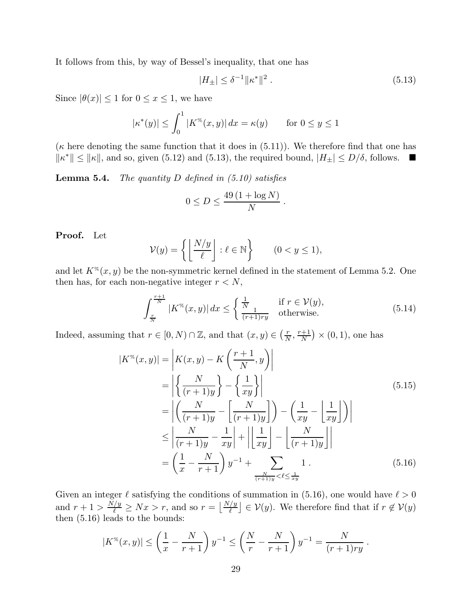It follows from this, by way of Bessel's inequality, that one has

$$
|H_{\pm}| \le \delta^{-1} \|\kappa^*\|^2 \,. \tag{5.13}
$$

Since  $|\theta(x)| \leq 1$  for  $0 \leq x \leq 1$ , we have

$$
|\kappa^*(y)| \le \int_0^1 |K^\%(x, y)| \, dx = \kappa(y) \qquad \text{for } 0 \le y \le 1
$$

( $\kappa$  here denoting the same function that it does in (5.11)). We therefore find that one has  $\|\kappa^*\| \le \|\kappa\|$ , and so, given (5.12) and (5.13), the required bound,  $|H_{\pm}| \le D/\delta$ , follows.  $\blacksquare$ 

Lemma 5.4. *The quantity* D *defined in (5.10) satisfies*

$$
0 \le D \le \frac{49\left(1 + \log N\right)}{N}
$$

Proof. Let

$$
\mathcal{V}(y) = \left\{ \left\lfloor \frac{N/y}{\ell} \right\rfloor : \ell \in \mathbb{N} \right\} \qquad (0 < y \le 1),
$$

and let  $K^{%}(x, y)$  be the non-symmetric kernel defined in the statement of Lemma 5.2. One then has, for each non-negative integer  $r < N,$ 

$$
\int_{\frac{r}{N}}^{\frac{r+1}{N}} |K^{\%}(x,y)| dx \le \begin{cases} \frac{1}{N} & \text{if } r \in \mathcal{V}(y), \\ \frac{1}{(r+1)ry} & \text{otherwise.} \end{cases}
$$
(5.14)

.

Indeed, assuming that  $r \in [0, N) \cap \mathbb{Z}$ , and that  $(x, y) \in (\frac{r}{N})$  $\frac{r}{N}, \frac{r+1}{N}$  $\frac{n+1}{N}$   $\times$  (0, 1), one has

$$
|K^{\infty}(x,y)| = \left| K(x,y) - K\left(\frac{r+1}{N},y\right) \right|
$$
  
\n
$$
= \left| \left\{ \frac{N}{(r+1)y} \right\} - \left\{ \frac{1}{xy} \right\} \right|
$$
  
\n
$$
= \left| \left( \frac{N}{(r+1)y} - \left[ \frac{N}{(r+1)y} \right] \right) - \left( \frac{1}{xy} - \left[ \frac{1}{xy} \right] \right) \right|
$$
  
\n
$$
\leq \left| \frac{N}{(r+1)y} - \frac{1}{xy} \right| + \left| \left[ \frac{1}{xy} \right] - \left[ \frac{N}{(r+1)y} \right] \right|
$$
  
\n
$$
= \left( \frac{1}{x} - \frac{N}{r+1} \right) y^{-1} + \sum_{\frac{N}{(r+1)y} < \ell \leq \frac{1}{xy}} 1.
$$
 (5.16)

.

Given an integer  $\ell$  satisfying the conditions of summation in (5.16), one would have  $\ell > 0$ and  $r + 1 > \frac{N/y}{\ell} \geq Nx > r$ , and so  $r = \left\lfloor \frac{N/y}{\ell} \right\rfloor \in V(y)$ . We therefore find that if  $r \notin V(y)$ then (5.16) leads to the bounds:

$$
|K^{\%}(x,y)| \le \left(\frac{1}{x} - \frac{N}{r+1}\right)y^{-1} \le \left(\frac{N}{r} - \frac{N}{r+1}\right)y^{-1} = \frac{N}{(r+1)ry}
$$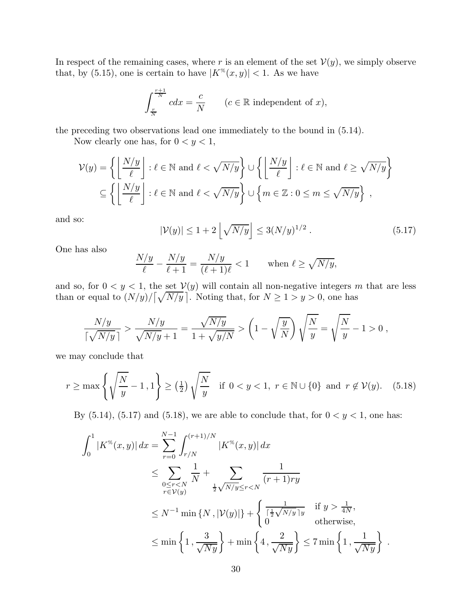In respect of the remaining cases, where r is an element of the set  $V(y)$ , we simply observe that, by (5.15), one is certain to have  $|K^{\%}(x, y)| < 1$ . As we have

$$
\int_{\frac{r}{N}}^{\frac{r+1}{N}} c dx = \frac{c}{N} \qquad (c \in \mathbb{R} \text{ independent of } x),
$$

the preceding two observations lead one immediately to the bound in (5.14).

Now clearly one has, for  $0 < y < 1$ ,

$$
\mathcal{V}(y) = \left\{ \left\lfloor \frac{N/y}{\ell} \right\rfloor : \ell \in \mathbb{N} \text{ and } \ell < \sqrt{N/y} \right\} \cup \left\{ \left\lfloor \frac{N/y}{\ell} \right\rfloor : \ell \in \mathbb{N} \text{ and } \ell \ge \sqrt{N/y} \right\}
$$

$$
\subseteq \left\{ \left\lfloor \frac{N/y}{\ell} \right\rfloor : \ell \in \mathbb{N} \text{ and } \ell < \sqrt{N/y} \right\} \cup \left\{ m \in \mathbb{Z} : 0 \le m \le \sqrt{N/y} \right\},\
$$

and so:

$$
|\mathcal{V}(y)| \le 1 + 2 \left\lfloor \sqrt{N/y} \right\rfloor \le 3(N/y)^{1/2} \,. \tag{5.17}
$$

One has also

$$
\frac{N/y}{\ell} - \frac{N/y}{\ell+1} = \frac{N/y}{(\ell+1)\ell} < 1 \qquad \text{when } \ell \ge \sqrt{N/y},
$$

and so, for  $0 < y < 1$ , the set  $V(y)$  will contain all non-negative integers m that are less than or equal to  $(N/y)/[\sqrt{N/y}]$ . Noting that, for  $N \ge 1 > y > 0$ , one has

$$
\frac{N/y}{\lceil {\sqrt{N/y}}\rceil} > \frac{N/y}{\sqrt{N/y} + 1} = \frac{\sqrt{N/y}}{1 + \sqrt{y/N}} > \left(1 - \sqrt{\frac{y}{N}}\right)\sqrt{\frac{N}{y}} = \sqrt{\frac{N}{y}} - 1 > 0,
$$

we may conclude that

$$
r \ge \max\left\{\sqrt{\frac{N}{y}} - 1, 1\right\} \ge \left(\frac{1}{2}\right)\sqrt{\frac{N}{y}} \quad \text{if } 0 < y < 1, \ r \in \mathbb{N} \cup \{0\} \text{ and } r \notin \mathcal{V}(y). \tag{5.18}
$$

By  $(5.14)$ ,  $(5.17)$  and  $(5.18)$ , we are able to conclude that, for  $0 < y < 1$ , one has:

$$
\int_{0}^{1} |K^{\%}(x,y)| dx = \sum_{r=0}^{N-1} \int_{r/N}^{(r+1)/N} |K^{\%}(x,y)| dx
$$
  
\n
$$
\leq \sum_{\substack{0 \leq r < N \\ r \in \mathcal{V}(y)}} \frac{1}{N} + \sum_{\substack{\frac{1}{2}\sqrt{N/y} \leq r < N \\ \frac{1}{2}\sqrt{N/y} \leq r \leq N}} \frac{1}{(r+1)ry}
$$
  
\n
$$
\leq N^{-1} \min\{N, |\mathcal{V}(y)|\} + \left\{ \frac{1}{\sqrt{N/y}} \text{ if } y > \frac{1}{4N}, \text{otherwise,}
$$
  
\n
$$
\leq \min\left\{1, \frac{3}{\sqrt{Ny}}\right\} + \min\left\{4, \frac{2}{\sqrt{Ny}}\right\} \leq 7 \min\left\{1, \frac{1}{\sqrt{Ny}}\right\}.
$$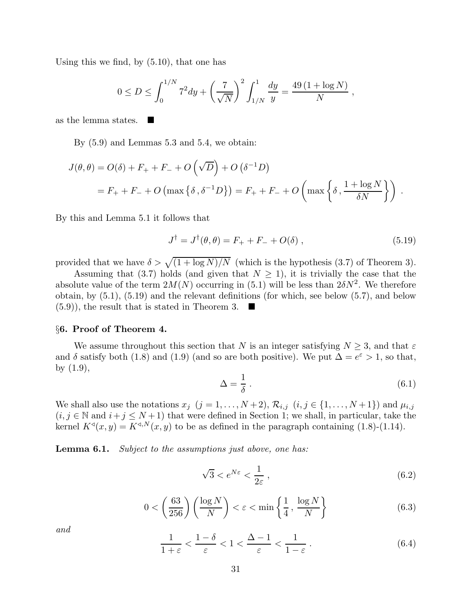Using this we find, by (5.10), that one has

$$
0 \le D \le \int_0^{1/N} 7^2 dy + \left(\frac{7}{\sqrt{N}}\right)^2 \int_{1/N}^1 \frac{dy}{y} = \frac{49(1 + \log N)}{N},
$$

as the lemma states.

By (5.9) and Lemmas 5.3 and 5.4, we obtain:

$$
J(\theta, \theta) = O(\delta) + F_+ + F_- + O\left(\sqrt{D}\right) + O\left(\delta^{-1}D\right)
$$
  
= F\_+ + F\_- + O\left(\max\left\{\delta, \delta^{-1}D\right\}\right) = F\_+ + F\_- + O\left(\max\left\{\delta, \frac{1 + \log N}{\delta N}\right\}\right).

By this and Lemma 5.1 it follows that

$$
J^{\dagger} = J^{\dagger}(\theta, \theta) = F_{+} + F_{-} + O(\delta) , \qquad (5.19)
$$

provided that we have  $\delta > \sqrt{\frac{(1 + \log N)}{N}}$  (which is the hypothesis (3.7) of Theorem 3).

Assuming that (3.7) holds (and given that  $N \geq 1$ ), it is trivially the case that the absolute value of the term  $2M(N)$  occurring in (5.1) will be less than  $2\delta N^2$ . We therefore obtain, by (5.1), (5.19) and the relevant definitions (for which, see below (5.7), and below  $(5.9)$ , the result that is stated in Theorem 3.

### §6. Proof of Theorem 4.

We assume throughout this section that N is an integer satisfying  $N \geq 3$ , and that  $\varepsilon$ and  $\delta$  satisfy both (1.8) and (1.9) (and so are both positive). We put  $\Delta = e^{\epsilon} > 1$ , so that, by (1.9),

$$
\Delta = \frac{1}{\delta} \,. \tag{6.1}
$$

We shall also use the notations  $x_j$   $(j = 1, ..., N+2)$ ,  $\mathcal{R}_{i,j}$   $(i, j \in \{1, ..., N+1\})$  and  $\mu_{i,j}$  $(i, j \in \mathbb{N}$  and  $i + j \leq N + 1$ ) that were defined in Section 1; we shall, in particular, take the kernel  $K^{\triangleleft}(x, y) = K^{\triangleleft, N}(x, y)$  to be as defined in the paragraph containing (1.8)-(1.14).

Lemma 6.1. *Subject to the assumptions just above, one has:*

$$
\sqrt{3} < e^{N\varepsilon} < \frac{1}{2\varepsilon} \,,\tag{6.2}
$$

$$
0 < \left(\frac{63}{256}\right) \left(\frac{\log N}{N}\right) < \varepsilon < \min\left\{\frac{1}{4}, \frac{\log N}{N}\right\} \tag{6.3}
$$

*and*

$$
\frac{1}{1+\varepsilon} < \frac{1-\delta}{\varepsilon} < 1 < \frac{\Delta - 1}{\varepsilon} < \frac{1}{1-\varepsilon} \,. \tag{6.4}
$$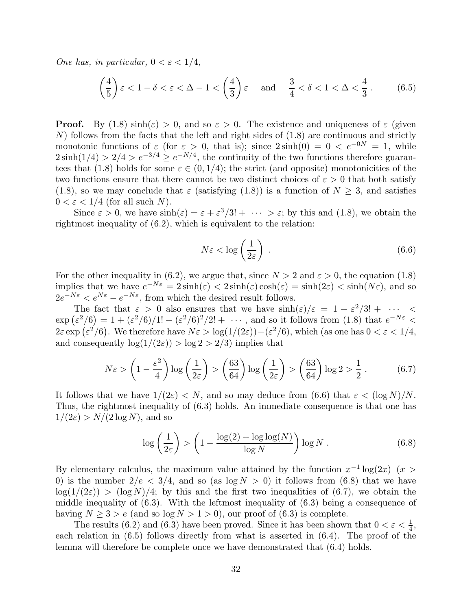*One has, in particular,*  $0 < \varepsilon < 1/4$ *,* 

$$
\left(\frac{4}{5}\right)\varepsilon < 1 - \delta < \varepsilon < \Delta - 1 < \left(\frac{4}{3}\right)\varepsilon \quad \text{and} \quad \frac{3}{4} < \delta < 1 < \Delta < \frac{4}{3} \,. \tag{6.5}
$$

**Proof.** By  $(1.8) \sinh(\epsilon) > 0$ , and so  $\epsilon > 0$ . The existence and uniqueness of  $\epsilon$  (given  $N$ ) follows from the facts that the left and right sides of  $(1.8)$  are continuous and strictly monotonic functions of  $\varepsilon$  (for  $\varepsilon > 0$ , that is); since  $2\sinh(0) = 0 < e^{-0N} = 1$ , while  $2\sinh(1/4) > 2/4 > e^{-3/4} \ge e^{-N/4}$ , the continuity of the two functions therefore guarantees that (1.8) holds for some  $\varepsilon \in (0, 1/4)$ ; the strict (and opposite) monotonicities of the two functions ensure that there cannot be two distinct choices of  $\varepsilon > 0$  that both satisfy (1.8), so we may conclude that  $\varepsilon$  (satisfying (1.8)) is a function of  $N \geq 3$ , and satisfies  $0 < \varepsilon < 1/4$  (for all such N).

Since  $\varepsilon > 0$ , we have  $\sinh(\varepsilon) = \varepsilon + \varepsilon^3/3! + \cdots > \varepsilon$ ; by this and (1.8), we obtain the rightmost inequality of (6.2), which is equivalent to the relation:

$$
N\varepsilon < \log\left(\frac{1}{2\varepsilon}\right) \,. \tag{6.6}
$$

For the other inequality in (6.2), we argue that, since  $N > 2$  and  $\varepsilon > 0$ , the equation (1.8) implies that we have  $e^{-N\varepsilon} = 2\sinh(\varepsilon) < 2\sinh(\varepsilon)\cosh(\varepsilon) = \sinh(2\varepsilon) < \sinh(N\varepsilon)$ , and so  $2e^{-N\varepsilon} < e^{N\varepsilon} - e^{-N\varepsilon}$ , from which the desired result follows.

The fact that  $\varepsilon > 0$  also ensures that we have  $\sinh(\varepsilon)/\varepsilon = 1 + \varepsilon^2/3! + \cdots$  $\exp\left(\varepsilon^2/6\right) = 1 + \frac{\varepsilon^2}{6}$ /1! +  $\frac{\varepsilon^2}{6^2}$ /2! + ···, and so it follows from (1.8) that  $e^{-N\varepsilon}$  <  $2\varepsilon \exp(\varepsilon^2/6)$ . We therefore have  $N\varepsilon > \log(1/(2\varepsilon)) - (\varepsilon^2/6)$ , which (as one has  $0 < \varepsilon < 1/4$ , and consequently  $\log(1/(2\varepsilon)) > \log 2 > 2/3$  implies that

$$
N\varepsilon > \left(1 - \frac{\varepsilon^2}{4}\right) \log\left(\frac{1}{2\varepsilon}\right) > \left(\frac{63}{64}\right) \log\left(\frac{1}{2\varepsilon}\right) > \left(\frac{63}{64}\right) \log 2 > \frac{1}{2} \,. \tag{6.7}
$$

It follows that we have  $1/(2\varepsilon) < N$ , and so may deduce from (6.6) that  $\varepsilon < (\log N)/N$ . Thus, the rightmost inequality of (6.3) holds. An immediate consequence is that one has  $1/(2\varepsilon) > N/(2 \log N)$ , and so

$$
\log\left(\frac{1}{2\varepsilon}\right) > \left(1 - \frac{\log(2) + \log\log(N)}{\log N}\right) \log N. \tag{6.8}
$$

By elementary calculus, the maximum value attained by the function  $x^{-1} \log(2x)$  ( $x >$ 0) is the number  $2/e < 3/4$ , and so (as  $log N > 0$ ) it follows from (6.8) that we have  $\log(1/(2\varepsilon)) > (\log N)/4$ ; by this and the first two inequalities of (6.7), we obtain the middle inequality of  $(6.3)$ . With the leftmost inequality of  $(6.3)$  being a consequence of having  $N \geq 3 > e$  (and so  $\log N > 1 > 0$ ), our proof of (6.3) is complete.

The results (6.2) and (6.3) have been proved. Since it has been shown that  $0 < \varepsilon < \frac{1}{4}$ , each relation in (6.5) follows directly from what is asserted in (6.4). The proof of the lemma will therefore be complete once we have demonstrated that (6.4) holds.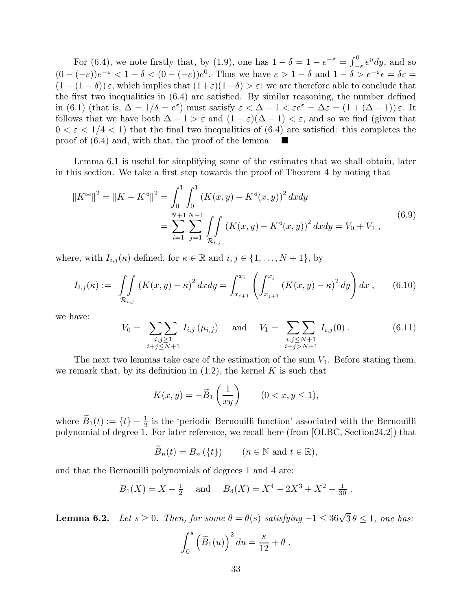For (6.4), we note firstly that, by (1.9), one has  $1 - \delta = 1 - e^{-\epsilon} = \int_{-}^{0}$  $\int_{-\varepsilon}^{0} e^{y} dy$ , and so  $(0 - (-\varepsilon))e^{-\varepsilon} < 1 - \delta < (0 - (-\varepsilon))e^{0}$ . Thus we have  $\varepsilon > 1 - \delta$  and  $1 - \delta > e^{-\varepsilon} \epsilon = \delta \varepsilon =$  $(1 - (1 - \delta))\varepsilon$ , which implies that  $(1 + \varepsilon)(1 - \delta) > \varepsilon$ : we are therefore able to conclude that the first two inequalities in  $(6.4)$  are satisfied. By similar reasoning, the number defined in (6.1) (that is,  $\Delta = 1/\delta = e^{\varepsilon}$ ) must satisfy  $\varepsilon < \Delta - 1 < \varepsilon e^{\varepsilon} = \Delta \varepsilon = (1 + (\Delta - 1)) \varepsilon$ . It follows that we have both  $\Delta - 1 > \varepsilon$  and  $(1 - \varepsilon)(\Delta - 1) < \varepsilon$ , and so we find (given that  $0 < \varepsilon < 1/4 < 1$ ) that the final two inequalities of (6.4) are satisfied: this completes the proof of (6.4) and, with that, the proof of the lemma

Lemma 6.1 is useful for simplifying some of the estimates that we shall obtain, later in this section. We take a first step towards the proof of Theorem 4 by noting that

$$
||K^{\bowtie}||^{2} = ||K - K^{\triangleleft}||^{2} = \int_{0}^{1} \int_{0}^{1} (K(x, y) - K^{\triangleleft}(x, y))^{2} dx dy
$$
  
= 
$$
\sum_{i=1}^{N+1} \sum_{j=1}^{N+1} \int_{\mathcal{R}_{i,j}} (K(x, y) - K^{\triangleleft}(x, y))^{2} dx dy = V_{0} + V_{1},
$$
 (6.9)

where, with  $I_{i,j}(\kappa)$  defined, for  $\kappa \in \mathbb{R}$  and  $i, j \in \{1, ..., N + 1\}$ , by

$$
I_{i,j}(\kappa) := \iint\limits_{\mathcal{R}_{i,j}} (K(x,y) - \kappa)^2 dx dy = \int_{x_{i+1}}^{x_i} \left( \int_{x_{j+1}}^{x_j} (K(x,y) - \kappa)^2 dy \right) dx , \qquad (6.10)
$$

we have:

$$
V_0 = \sum_{\substack{i,j \ge 1 \\ i+j \le N+1}} I_{i,j}(\mu_{i,j}) \quad \text{and} \quad V_1 = \sum_{\substack{i,j \le N+1 \\ i+j>N+1}} I_{i,j}(0) \,. \tag{6.11}
$$

The next two lemmas take care of the estimation of the sum  $V_1$ . Before stating them, we remark that, by its definition in  $(1.2)$ , the kernel K is such that

$$
K(x,y) = -\widetilde{B}_1\left(\frac{1}{xy}\right) \qquad (0 < x, y \le 1),
$$

where  $\tilde{B}_1(t) := \{t\} - \frac{1}{2}$  is the 'periodic Bernouilli function' associated with the Bernouilli polynomial of degree 1. For later reference, we recall here (from [OLBC, Section24.2]) that

$$
\widetilde{B}_n(t) = B_n(\lbrace t \rbrace) \qquad (n \in \mathbb{N} \text{ and } t \in \mathbb{R}),
$$

and that the Bernouilli polynomials of degrees 1 and 4 are:

$$
B_1(X) = X - \frac{1}{2}
$$
 and  $B_4(X) = X^4 - 2X^3 + X^2 - \frac{1}{30}$ .

**Lemma 6.2.** *Let*  $s \ge 0$ *. Then, for some*  $\theta = \theta(s)$  *satisfying*  $-1 \le 36\sqrt{3} \theta \le 1$ *, one has:* 

$$
\int_0^s \left(\widetilde{B}_1(u)\right)^2 du = \frac{s}{12} + \theta.
$$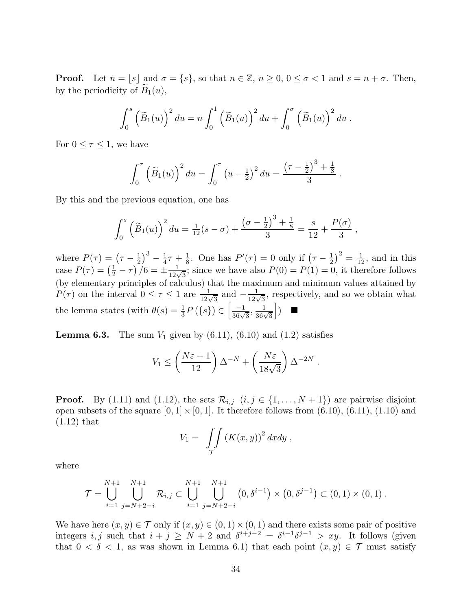**Proof.** Let  $n = |s|$  and  $\sigma = \{s\}$ , so that  $n \in \mathbb{Z}$ ,  $n \geq 0$ ,  $0 \leq \sigma < 1$  and  $s = n + \sigma$ . Then, by the periodicity of  $\widetilde{B}_1(u)$ ,

$$
\int_0^s \left(\widetilde{B}_1(u)\right)^2 du = n \int_0^1 \left(\widetilde{B}_1(u)\right)^2 du + \int_0^\sigma \left(\widetilde{B}_1(u)\right)^2 du.
$$

For  $0 \leq \tau \leq 1$ , we have

$$
\int_0^{\tau} \left( \widetilde{B}_1(u) \right)^2 du = \int_0^{\tau} \left( u - \frac{1}{2} \right)^2 du = \frac{\left( \tau - \frac{1}{2} \right)^3 + \frac{1}{8}}{3}.
$$

By this and the previous equation, one has

$$
\int_0^s \left( \widetilde{B}_1(u) \right)^2 du = \frac{1}{12}(s - \sigma) + \frac{\left( \sigma - \frac{1}{2} \right)^3 + \frac{1}{8}}{3} = \frac{s}{12} + \frac{P(\sigma)}{3} ,
$$

where  $P(\tau) = \left(\tau - \frac{1}{2}\right)$  $\frac{1}{2}$ )<sup>3</sup> –  $\frac{1}{4}$  $rac{1}{4}\tau + \frac{1}{8}$  $\frac{1}{8}$ . One has  $P'(\tau) = 0$  only if  $(\tau - \frac{1}{2})$  $\left(\frac{1}{2}\right)^2 = \frac{1}{12}$ , and in this case  $P(\tau) = \left(\frac{1}{2} - \tau\right)/6 = \pm \frac{1}{12\sqrt{3}}$ ; since we have also  $P(0) = P(1) = 0$ , it therefore follows (by elementary principles of calculus) that the maximum and minimum values attained by  $P(\tau)$  on the interval  $0 \leq \tau \leq 1$  are  $\frac{1}{12\sqrt{3}}$  and  $-\frac{1}{12\sqrt{3}}$ , respectively, and so we obtain what the lemma states (with  $\theta(s) = \frac{1}{3}P(\lbrace s \rbrace) \in \left[\frac{-1}{36\sqrt{3}}, \frac{1}{36\sqrt{3}}\right]$  $\vert$ )  $\blacksquare$ 

**Lemma 6.3.** The sum  $V_1$  given by  $(6.11)$ ,  $(6.10)$  and  $(1.2)$  satisfies

$$
V_1 \leq \left(\frac{N\varepsilon + 1}{12}\right)\Delta^{-N} + \left(\frac{N\varepsilon}{18\sqrt{3}}\right)\Delta^{-2N}.
$$

**Proof.** By (1.11) and (1.12), the sets  $\mathcal{R}_{i,j}$   $(i, j \in \{1, ..., N+1\})$  are pairwise disjoint open subsets of the square  $[0, 1] \times [0, 1]$ . It therefore follows from  $(6.10)$ ,  $(6.11)$ ,  $(1.10)$  and (1.12) that

$$
V_1 = \int_{\mathcal{T}} \int \left( K(x, y) \right)^2 dx dy ,
$$

where

$$
\mathcal{T} = \bigcup_{i=1}^{N+1} \bigcup_{j=N+2-i}^{N+1} \mathcal{R}_{i,j} \subset \bigcup_{i=1}^{N+1} \bigcup_{j=N+2-i}^{N+1} \left(0, \delta^{i-1}\right) \times \left(0, \delta^{j-1}\right) \subset (0,1) \times (0,1).
$$

We have here  $(x, y) \in \mathcal{T}$  only if  $(x, y) \in (0, 1) \times (0, 1)$  and there exists some pair of positive integers *i*, *j* such that  $i + j \geq N + 2$  and  $\delta^{i+j-2} = \delta^{i-1}\delta^{j-1} > xy$ . It follows (given that  $0 < \delta < 1$ , as was shown in Lemma 6.1) that each point  $(x, y) \in \mathcal{T}$  must satisfy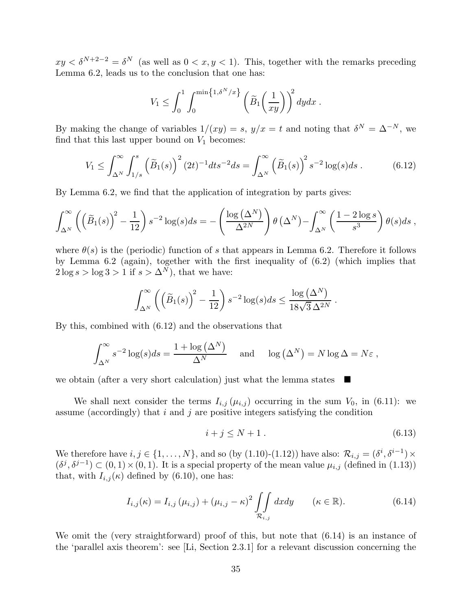$xy < \delta^{N+2-2} = \delta^N$  (as well as  $0 < x, y < 1$ ). This, together with the remarks preceding Lemma 6.2, leads us to the conclusion that one has:

$$
V_1 \leq \int_0^1 \int_0^{\min\{1,\delta^N/x\}} \left(\widetilde{B}_1\left(\frac{1}{xy}\right)\right)^2 dy dx.
$$

By making the change of variables  $1/(xy) = s$ ,  $y/x = t$  and noting that  $\delta^N = \Delta^{-N}$ , we find that this last upper bound on  $V_1$  becomes:

$$
V_1 \le \int_{\Delta^N}^{\infty} \int_{1/s}^s \left( \widetilde{B}_1(s) \right)^2 (2t)^{-1} dt s^{-2} ds = \int_{\Delta^N}^{\infty} \left( \widetilde{B}_1(s) \right)^2 s^{-2} \log(s) ds . \tag{6.12}
$$

By Lemma 6.2, we find that the application of integration by parts gives:

$$
\int_{\Delta^N}^{\infty} \left( \left( \widetilde{B}_1(s) \right)^2 - \frac{1}{12} \right) s^{-2} \log(s) ds = - \left( \frac{\log \left( \Delta^N \right)}{\Delta^{2N}} \right) \theta \left( \Delta^N \right) - \int_{\Delta^N}^{\infty} \left( \frac{1 - 2 \log s}{s^3} \right) \theta(s) ds,
$$

where  $\theta(s)$  is the (periodic) function of s that appears in Lemma 6.2. Therefore it follows by Lemma 6.2 (again), together with the first inequality of (6.2) (which implies that  $2 \log s > \log 3 > 1$  if  $s > \Delta^N$ , that we have:

$$
\int_{\Delta^N}^{\infty} \left( \left( \widetilde{B}_1(s) \right)^2 - \frac{1}{12} \right) s^{-2} \log(s) ds \leq \frac{\log \left( \Delta^N \right)}{18\sqrt{3} \, \Delta^{2N}}.
$$

By this, combined with (6.12) and the observations that

$$
\int_{\Delta^N}^{\infty} s^{-2} \log(s) ds = \frac{1 + \log(\Delta^N)}{\Delta^N} \quad \text{and} \quad \log(\Delta^N) = N \log \Delta = N \varepsilon,
$$

we obtain (after a very short calculation) just what the lemma states  $\Box$ 

We shall next consider the terms  $I_{i,j}(\mu_{i,j})$  occurring in the sum  $V_0$ , in (6.11): we assume (accordingly) that i and j are positive integers satisfying the condition

$$
i + j \le N + 1. \tag{6.13}
$$

We therefore have  $i, j \in \{1, ..., N\}$ , and so (by  $(1.10)-(1.12)$ ) have also:  $\mathcal{R}_{i,j} = (\delta^i, \delta^{i-1}) \times$  $(\delta^j, \delta^{j-1}) \subset (0, 1) \times (0, 1)$ . It is a special property of the mean value  $\mu_{i,j}$  (defined in (1.13)) that, with  $I_{i,j}(\kappa)$  defined by (6.10), one has:

$$
I_{i,j}(\kappa) = I_{i,j} \left(\mu_{i,j}\right) + \left(\mu_{i,j} - \kappa\right)^2 \iint\limits_{\mathcal{R}_{i,j}} dx dy \qquad (\kappa \in \mathbb{R}). \tag{6.14}
$$

We omit the (very straightforward) proof of this, but note that  $(6.14)$  is an instance of the 'parallel axis theorem': see [Li, Section 2.3.1] for a relevant discussion concerning the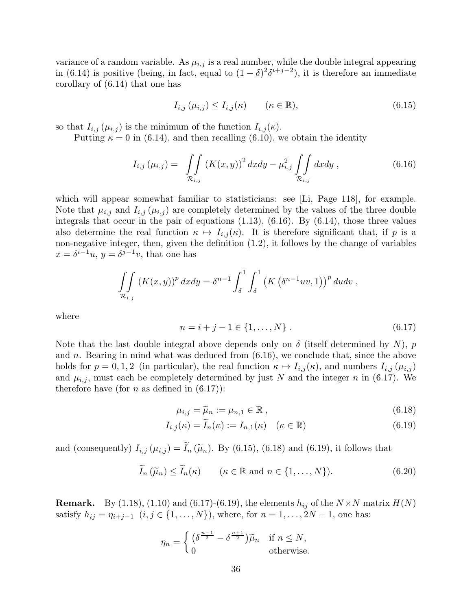variance of a random variable. As  $\mu_{i,j}$  is a real number, while the double integral appearing in (6.14) is positive (being, in fact, equal to  $(1 - \delta)^2 \delta^{i+j-2}$ ), it is therefore an immediate corollary of (6.14) that one has

$$
I_{i,j}(\mu_{i,j}) \le I_{i,j}(\kappa) \qquad (\kappa \in \mathbb{R}), \qquad (6.15)
$$

so that  $I_{i,j}(\mu_{i,j})$  is the minimum of the function  $I_{i,j}(\kappa)$ .

Putting  $\kappa = 0$  in (6.14), and then recalling (6.10), we obtain the identity

$$
I_{i,j}(\mu_{i,j}) = \iint\limits_{\mathcal{R}_{i,j}} (K(x,y))^2 dx dy - \mu_{i,j}^2 \iint\limits_{\mathcal{R}_{i,j}} dx dy , \qquad (6.16)
$$

which will appear somewhat familiar to statisticians: see [Li, Page 118], for example. Note that  $\mu_{i,j}$  and  $I_{i,j}(\mu_{i,j})$  are completely determined by the values of the three double integrals that occur in the pair of equations (1.13), (6.16). By (6.14), those three values also determine the real function  $\kappa \mapsto I_{i,j}(\kappa)$ . It is therefore significant that, if p is a non-negative integer, then, given the definition (1.2), it follows by the change of variables  $x = \delta^{i-1}u$ ,  $y = \delta^{j-1}v$ , that one has

$$
\iint\limits_{\mathcal{R}_{i,j}} \left( K(x,y) \right)^p dxdy = \delta^{n-1} \int_{\delta}^1 \int_{\delta}^1 \left( K\left( \delta^{n-1}uv, 1 \right) \right)^p dudv,
$$

where

$$
n = i + j - 1 \in \{1, ..., N\}.
$$
\n(6.17)

Note that the last double integral above depends only on  $\delta$  (itself determined by N), p and n. Bearing in mind what was deduced from (6.16), we conclude that, since the above holds for  $p = 0, 1, 2$  (in particular), the real function  $\kappa \mapsto I_{i,j}(\kappa)$ , and numbers  $I_{i,j}(\mu_{i,j})$ and  $\mu_{i,j}$ , must each be completely determined by just N and the integer n in (6.17). We therefore have (for *n* as defined in  $(6.17)$ ):

$$
\mu_{i,j} = \widetilde{\mu}_n := \mu_{n,1} \in \mathbb{R},\tag{6.18}
$$

$$
I_{i,j}(\kappa) = \widetilde{I}_n(\kappa) := I_{n,1}(\kappa) \quad (\kappa \in \mathbb{R})
$$
\n(6.19)

and (consequently)  $I_{i,j}(\mu_{i,j}) = \widetilde{I}_n(\widetilde{\mu}_n)$ . By (6.15), (6.18) and (6.19), it follows that

$$
\widetilde{I}_n(\widetilde{\mu}_n) \le \widetilde{I}_n(\kappa) \qquad (\kappa \in \mathbb{R} \text{ and } n \in \{1, \dots, N\}). \tag{6.20}
$$

**Remark.** By (1.18), (1.10) and (6.17)-(6.19), the elements  $h_{ij}$  of the  $N \times N$  matrix  $H(N)$ satisfy  $h_{ij} = \eta_{i+j-1}$   $(i, j \in \{1, ..., N\})$ , where, for  $n = 1, ..., 2N - 1$ , one has:

$$
\eta_n = \begin{cases} \left(\delta^{\frac{n-1}{2}} - \delta^{\frac{n+1}{2}}\right)\tilde{\mu}_n & \text{if } n \le N, \\ 0 & \text{otherwise.} \end{cases}
$$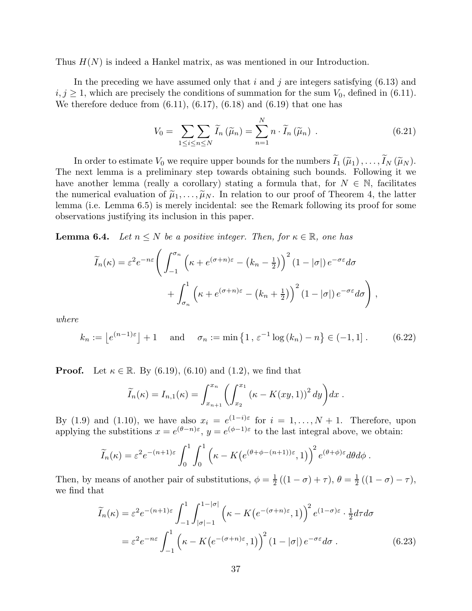Thus  $H(N)$  is indeed a Hankel matrix, as was mentioned in our Introduction.

In the preceding we have assumed only that i and j are integers satisfying  $(6.13)$  and  $i, j \geq 1$ , which are precisely the conditions of summation for the sum  $V_0$ , defined in (6.11). We therefore deduce from  $(6.11)$ ,  $(6.17)$ ,  $(6.18)$  and  $(6.19)$  that one has

$$
V_0 = \sum_{1 \leq i \leq n \leq N} \widetilde{I}_n \left( \widetilde{\mu}_n \right) = \sum_{n=1}^N n \cdot \widetilde{I}_n \left( \widetilde{\mu}_n \right) . \tag{6.21}
$$

In order to estimate  $V_0$  we require upper bounds for the numbers  $\widetilde{I}_1(\widetilde{\mu}_1), \ldots, \widetilde{I}_N(\widetilde{\mu}_N)$ . The next lemma is a preliminary step towards obtaining such bounds. Following it we have another lemma (really a corollary) stating a formula that, for  $N \in \mathbb{N}$ , facilitates the numerical evaluation of  $\tilde{\mu}_1, \ldots, \tilde{\mu}_N$ . In relation to our proof of Theorem 4, the latter lemma (i.e. Lemma 6.5) is merely incidental: see the Remark following its proof for some observations justifying its inclusion in this paper.

**Lemma 6.4.** *Let*  $n \leq N$  *be a positive integer. Then, for*  $\kappa \in \mathbb{R}$ *, one has* 

$$
\widetilde{I}_n(\kappa) = \varepsilon^2 e^{-n\varepsilon} \left( \int_{-1}^{\sigma_n} \left( \kappa + e^{(\sigma+n)\varepsilon} - \left( k_n - \frac{1}{2} \right) \right)^2 (1 - |\sigma|) e^{-\sigma \varepsilon} d\sigma \right) + \int_{\sigma_n}^1 \left( \kappa + e^{(\sigma+n)\varepsilon} - \left( k_n + \frac{1}{2} \right) \right)^2 (1 - |\sigma|) e^{-\sigma \varepsilon} d\sigma \right),
$$

*where*

$$
k_n := \left\lfloor e^{(n-1)\varepsilon} \right\rfloor + 1 \quad \text{and} \quad \sigma_n := \min\left\{1, \varepsilon^{-1} \log(k_n) - n\right\} \in (-1, 1]. \tag{6.22}
$$

**Proof.** Let  $\kappa \in \mathbb{R}$ . By (6.19), (6.10) and (1.2), we find that

$$
\widetilde{I}_n(\kappa) = I_{n,1}(\kappa) = \int_{x_{n+1}}^{x_n} \left( \int_{x_2}^{x_1} \left( \kappa - K(xy,1) \right)^2 dy \right) dx.
$$

By (1.9) and (1.10), we have also  $x_i = e^{(1-i)\varepsilon}$  for  $i = 1, ..., N + 1$ . Therefore, upon applying the substitions  $x = e^{(\theta - n)\varepsilon}$ ,  $y = e^{(\phi - 1)\varepsilon}$  to the last integral above, we obtain:

$$
\widetilde{I}_n(\kappa) = \varepsilon^2 e^{-(n+1)\varepsilon} \int_0^1 \int_0^1 \left( \kappa - K \left( e^{(\theta + \phi - (n+1))\varepsilon}, 1 \right) \right)^2 e^{(\theta + \phi)\varepsilon} d\theta d\phi.
$$

Then, by means of another pair of substitutions,  $\phi = \frac{1}{2}$  $\frac{1}{2}((1-\sigma)+\tau), \theta = \frac{1}{2}$  $\frac{1}{2}((1-\sigma)-\tau),$ we find that

$$
\widetilde{I}_n(\kappa) = \varepsilon^2 e^{-(n+1)\varepsilon} \int_{-1}^1 \int_{|\sigma|-1}^{1-|\sigma|} \left( \kappa - K\left(e^{-(\sigma+n)\varepsilon}, 1\right) \right)^2 e^{(1-\sigma)\varepsilon} \cdot \frac{1}{2} d\tau d\sigma
$$
\n
$$
= \varepsilon^2 e^{-n\varepsilon} \int_{-1}^1 \left( \kappa - K\left(e^{-(\sigma+n)\varepsilon}, 1\right) \right)^2 (1-|\sigma|) e^{-\sigma\varepsilon} d\sigma. \tag{6.23}
$$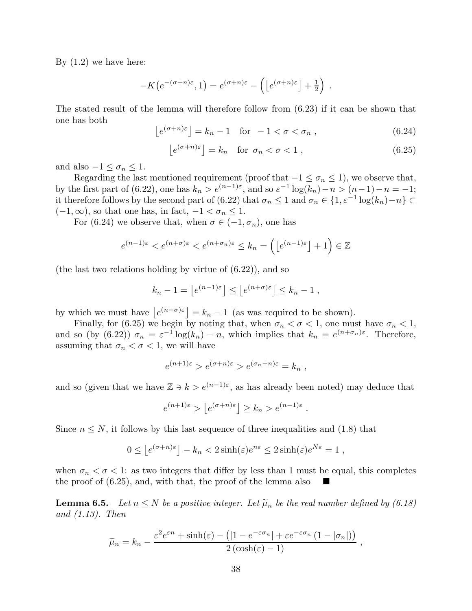By (1.2) we have here:

$$
-K\big(e^{-(\sigma+n)\varepsilon},1\big) = e^{(\sigma+n)\varepsilon} - \left(\big[e^{(\sigma+n)\varepsilon}\big] + \frac{1}{2}\right) .
$$

The stated result of the lemma will therefore follow from (6.23) if it can be shown that one has both

$$
\lfloor e^{(\sigma+n)\varepsilon} \rfloor = k_n - 1 \quad \text{for} \quad -1 < \sigma < \sigma_n \,, \tag{6.24}
$$

$$
\left[e^{(\sigma+n)\varepsilon}\right] = k_n \quad \text{for } \sigma_n < \sigma < 1 \,,\tag{6.25}
$$

and also  $-1 \leq \sigma_n \leq 1$ .

Regarding the last mentioned requirement (proof that  $-1 \leq \sigma_n \leq 1$ ), we observe that, by the first part of (6.22), one has  $k_n > e^{(n-1)\varepsilon}$ , and so  $\varepsilon^{-1} \log(k_n) - n > (n-1) - n = -1$ ; it therefore follows by the second part of (6.22) that  $\sigma_n \leq 1$  and  $\sigma_n \in \{1, \varepsilon^{-1} \log(k_n) - n\} \subset$  $(-1, \infty)$ , so that one has, in fact,  $-1 < \sigma_n \leq 1$ .

For (6.24) we observe that, when  $\sigma \in (-1, \sigma_n)$ , one has

$$
e^{(n-1)\varepsilon} < e^{(n+\sigma)\varepsilon} < e^{(n+\sigma_n)\varepsilon} \leq k_n = \left( \left\lfloor e^{(n-1)\varepsilon} \right\rfloor + 1 \right) \in \mathbb{Z}
$$

(the last two relations holding by virtue of (6.22)), and so

$$
k_n - 1 = \left\lfloor e^{(n-1)\varepsilon} \right\rfloor \le \left\lfloor e^{(n+\sigma)\varepsilon} \right\rfloor \le k_n - 1,
$$

by which we must have  $\lfloor e^{(n+\sigma)\varepsilon} \rfloor = k_n - 1$  (as was required to be shown).

Finally, for (6.25) we begin by noting that, when  $\sigma_n < \sigma < 1$ , one must have  $\sigma_n < 1$ , and so (by (6.22))  $\sigma_n = \varepsilon^{-1} \log(k_n) - n$ , which implies that  $k_n = e^{(n+\sigma_n)\varepsilon}$ . Therefore, assuming that  $\sigma_n < \sigma < 1$ , we will have

$$
e^{(n+1)\varepsilon} > e^{(\sigma+n)\varepsilon} > e^{(\sigma_n+n)\varepsilon} = k_n ,
$$

and so (given that we have  $\mathbb{Z} \ni k > e^{(n-1)\varepsilon}$ , as has already been noted) may deduce that

$$
e^{(n+1)\varepsilon} > \left\lfloor e^{(\sigma+n)\varepsilon} \right\rfloor \geq k_n > e^{(n-1)\varepsilon}
$$
.

Since  $n \leq N$ , it follows by this last sequence of three inequalities and (1.8) that

$$
0 \le \left\lfloor e^{(\sigma+n)\varepsilon} \right\rfloor - k_n < 2\sinh(\varepsilon)e^{n\varepsilon} \le 2\sinh(\varepsilon)e^{N\varepsilon} = 1 \;,
$$

when  $\sigma_n < \sigma < 1$ : as two integers that differ by less than 1 must be equal, this completes the proof of (6.25), and, with that, the proof of the lemma also

**Lemma 6.5.** Let  $n \leq N$  be a positive integer. Let  $\widetilde{\mu}_n$  be the real number defined by (6.18) *and (1.13). Then*

$$
\widetilde{\mu}_n = k_n - \frac{\varepsilon^2 e^{\varepsilon n} + \sinh(\varepsilon) - (|1 - e^{-\varepsilon \sigma_n}| + \varepsilon e^{-\varepsilon \sigma_n} (1 - |\sigma_n|))}{2 (\cosh(\varepsilon) - 1)},
$$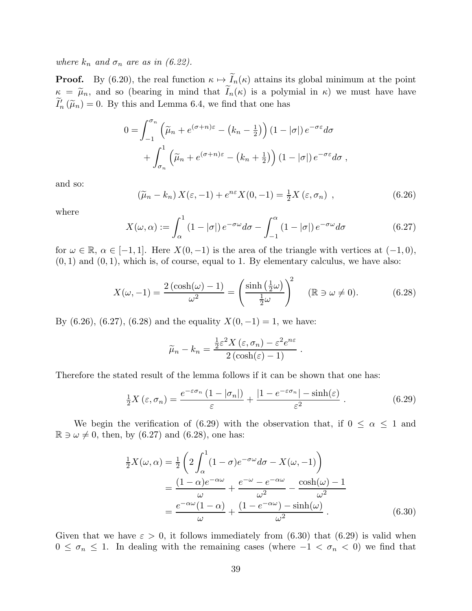*where*  $k_n$  *and*  $\sigma_n$  *are as in (6.22).* 

**Proof.** By (6.20), the real function  $\kappa \mapsto \widetilde{I}_n(\kappa)$  attains its global minimum at the point  $\kappa = \tilde{\mu}_n$ , and so (bearing in mind that  $\tilde{I}_n(\kappa)$  is a polymial in  $\kappa$ ) we must have have  $I'_n(\widetilde{\mu}_n) = 0$ . By this and Lemma 6.4, we find that one has

$$
0 = \int_{-1}^{\sigma_n} \left( \tilde{\mu}_n + e^{(\sigma + n)\varepsilon} - (k_n - \frac{1}{2}) \right) (1 - |\sigma|) e^{-\sigma \varepsilon} d\sigma
$$

$$
+ \int_{\sigma_n}^1 \left( \tilde{\mu}_n + e^{(\sigma + n)\varepsilon} - (k_n + \frac{1}{2}) \right) (1 - |\sigma|) e^{-\sigma \varepsilon} d\sigma ,
$$

and so:

$$
\left(\widetilde{\mu}_n - k_n\right) X(\varepsilon, -1) + e^{n\varepsilon} X(0, -1) = \frac{1}{2} X(\varepsilon, \sigma_n) \tag{6.26}
$$

where

$$
X(\omega,\alpha) := \int_{\alpha}^{1} (1 - |\sigma|) e^{-\sigma \omega} d\sigma - \int_{-1}^{\alpha} (1 - |\sigma|) e^{-\sigma \omega} d\sigma \qquad (6.27)
$$

for  $\omega \in \mathbb{R}$ ,  $\alpha \in [-1, 1]$ . Here  $X(0, -1)$  is the area of the triangle with vertices at  $(-1, 0)$ ,  $(0, 1)$  and  $(0, 1)$ , which is, of course, equal to 1. By elementary calculus, we have also:

$$
X(\omega, -1) = \frac{2(\cosh(\omega) - 1)}{\omega^2} = \left(\frac{\sinh\left(\frac{1}{2}\omega\right)}{\frac{1}{2}\omega}\right)^2 \quad (\mathbb{R} \ni \omega \neq 0). \tag{6.28}
$$

By (6.26), (6.27), (6.28) and the equality  $X(0, -1) = 1$ , we have:

$$
\widetilde{\mu}_n - k_n = \frac{\frac{1}{2}\varepsilon^2 X(\varepsilon, \sigma_n) - \varepsilon^2 e^{n\varepsilon}}{2(\cosh(\varepsilon) - 1)}.
$$

Therefore the stated result of the lemma follows if it can be shown that one has:

$$
\frac{1}{2}X(\varepsilon, \sigma_n) = \frac{e^{-\varepsilon \sigma_n} (1 - |\sigma_n|)}{\varepsilon} + \frac{|1 - e^{-\varepsilon \sigma_n}| - \sinh(\varepsilon)}{\varepsilon^2}.
$$
 (6.29)

We begin the verification of (6.29) with the observation that, if  $0 \leq \alpha \leq 1$  and  $\mathbb{R} \ni \omega \neq 0$ , then, by (6.27) and (6.28), one has:

$$
\frac{1}{2}X(\omega,\alpha) = \frac{1}{2}\left(2\int_{\alpha}^{1}(1-\sigma)e^{-\sigma\omega}d\sigma - X(\omega,-1)\right)
$$

$$
= \frac{(1-\alpha)e^{-\alpha\omega}}{\omega} + \frac{e^{-\omega} - e^{-\alpha\omega}}{\omega^2} - \frac{\cosh(\omega) - 1}{\omega^2}
$$

$$
= \frac{e^{-\alpha\omega}(1-\alpha)}{\omega} + \frac{(1 - e^{-\alpha\omega}) - \sinh(\omega)}{\omega^2}.
$$
(6.30)

Given that we have  $\varepsilon > 0$ , it follows immediately from (6.30) that (6.29) is valid when  $0 \leq \sigma_n \leq 1$ . In dealing with the remaining cases (where  $-1 < \sigma_n < 0$ ) we find that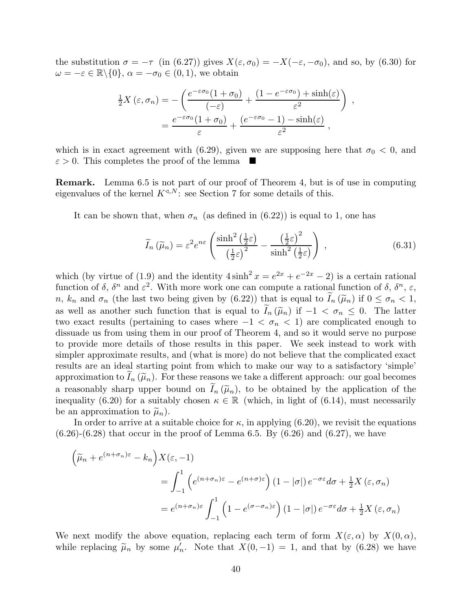the substitution  $\sigma = -\tau$  (in (6.27)) gives  $X(\varepsilon, \sigma_0) = -X(-\varepsilon, -\sigma_0)$ , and so, by (6.30) for  $\omega = -\varepsilon \in \mathbb{R} \backslash \{0\}, \, \alpha = -\sigma_0 \in (0, 1),$  we obtain

$$
\frac{1}{2}X(\varepsilon, \sigma_n) = -\left(\frac{e^{-\varepsilon\sigma_0}(1+\sigma_0)}{(-\varepsilon)} + \frac{(1-e^{-\varepsilon\sigma_0}) + \sinh(\varepsilon)}{\varepsilon^2}\right),
$$

$$
= \frac{e^{-\varepsilon\sigma_0}(1+\sigma_0)}{\varepsilon} + \frac{(e^{-\varepsilon\sigma_0} - 1) - \sinh(\varepsilon)}{\varepsilon^2},
$$

which is in exact agreement with (6.29), given we are supposing here that  $\sigma_0 < 0$ , and  $\varepsilon > 0$ . This completes the proof of the lemma

Remark. Lemma 6.5 is not part of our proof of Theorem 4, but is of use in computing eigenvalues of the kernel  $K^{\triangleleft,N}$ : see Section 7 for some details of this.

It can be shown that, when  $\sigma_n$  (as defined in (6.22)) is equal to 1, one has

$$
\widetilde{I}_n\left(\widetilde{\mu}_n\right) = \varepsilon^2 e^{n\varepsilon} \left( \frac{\sinh^2\left(\frac{1}{2}\varepsilon\right)}{\left(\frac{1}{2}\varepsilon\right)^2} - \frac{\left(\frac{1}{2}\varepsilon\right)^2}{\sinh^2\left(\frac{1}{2}\varepsilon\right)} \right) ,\qquad (6.31)
$$

which (by virtue of (1.9) and the identity  $4\sinh^2 x = e^{2x} + e^{-2x} - 2$ ) is a certain rational function of  $\delta$ ,  $\delta^n$  and  $\varepsilon^2$ . With more work one can compute a rational function of  $\delta$ ,  $\delta^n$ ,  $\varepsilon$ , n,  $k_n$  and  $\sigma_n$  (the last two being given by (6.22)) that is equal to  $I_n(\tilde{\mu}_n)$  if  $0 \le \sigma_n < 1$ , as well as another such function that is equal to  $\widetilde{I}_n(\widetilde{\mu}_n)$  if  $-1 < \sigma_n \leq 0$ . The latter two exact results (pertaining to cases where  $-1 < \sigma_n < 1$ ) are complicated enough to dissuade us from using them in our proof of Theorem 4, and so it would serve no purpose to provide more details of those results in this paper. We seek instead to work with simpler approximate results, and (what is more) do not believe that the complicated exact results are an ideal starting point from which to make our way to a satisfactory 'simple' approximation to  $I_n(\widetilde{\mu}_n)$ . For these reasons we take a different approach: our goal becomes a reasonably sharp upper bound on  $I_n(\tilde{\mu}_n)$ , to be obtained by the application of the inequality (6.20) for a suitably chosen  $\kappa \in \mathbb{R}$  (which, in light of (6.14), must necessarily be an approximation to  $\tilde{\mu}_n$ ).

In order to arrive at a suitable choice for  $\kappa$ , in applying (6.20), we revisit the equations  $(6.26)$ - $(6.28)$  that occur in the proof of Lemma 6.5. By  $(6.26)$  and  $(6.27)$ , we have

$$
\left(\widetilde{\mu}_n + e^{(n+\sigma_n)\varepsilon} - k_n\right) X(\varepsilon, -1)
$$
  
= 
$$
\int_{-1}^1 \left( e^{(n+\sigma_n)\varepsilon} - e^{(n+\sigma)\varepsilon} \right) (1 - |\sigma|) e^{-\sigma\varepsilon} d\sigma + \frac{1}{2} X(\varepsilon, \sigma_n)
$$
  
= 
$$
e^{(n+\sigma_n)\varepsilon} \int_{-1}^1 \left( 1 - e^{(\sigma-\sigma_n)\varepsilon} \right) (1 - |\sigma|) e^{-\sigma\varepsilon} d\sigma + \frac{1}{2} X(\varepsilon, \sigma_n)
$$

We next modify the above equation, replacing each term of form  $X(\varepsilon, \alpha)$  by  $X(0, \alpha)$ , while replacing  $\tilde{\mu}_n$  by some  $\mu'_n$ . Note that  $X(0,-1) = 1$ , and that by (6.28) we have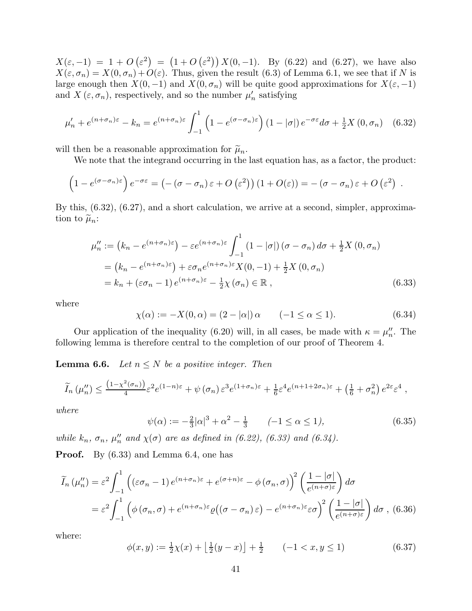$X(\varepsilon, -1) = 1 + O(\varepsilon^2) = (1 + O(\varepsilon^2)) X(0, -1)$ . By (6.22) and (6.27), we have also  $X(\varepsilon, \sigma_n) = X(0, \sigma_n) + O(\varepsilon)$ . Thus, given the result (6.3) of Lemma 6.1, we see that if N is large enough then  $X(0, -1)$  and  $X(0, \sigma_n)$  will be quite good approximations for  $X(\varepsilon, -1)$ and  $X(\varepsilon, \sigma_n)$ , respectively, and so the number  $\mu'_n$  satisfying

$$
\mu'_{n} + e^{(n+\sigma_{n})\varepsilon} - k_{n} = e^{(n+\sigma_{n})\varepsilon} \int_{-1}^{1} \left(1 - e^{(\sigma-\sigma_{n})\varepsilon}\right) (1-|\sigma|) e^{-\sigma\varepsilon} d\sigma + \frac{1}{2} X(0, \sigma_{n}) \quad (6.32)
$$

will then be a reasonable approximation for  $\tilde{\mu}_n$ .

We note that the integrand occurring in the last equation has, as a factor, the product:

$$
\left(1-e^{(\sigma-\sigma_n)\varepsilon}\right)e^{-\sigma\varepsilon}=\left(-(\sigma-\sigma_n)\varepsilon+O\left(\varepsilon^2\right)\right)\left(1+O(\varepsilon)\right)=-\left(\sigma-\sigma_n\right)\varepsilon+O\left(\varepsilon^2\right).
$$

By this, (6.32), (6.27), and a short calculation, we arrive at a second, simpler, approximation to  $\widetilde{\mu}_n$ :

$$
\mu_n^{\prime\prime} := (k_n - e^{(n+\sigma_n)\varepsilon}) - \varepsilon e^{(n+\sigma_n)\varepsilon} \int_{-1}^1 (1 - |\sigma|) (\sigma - \sigma_n) d\sigma + \frac{1}{2} X (0, \sigma_n)
$$
  
=  $(k_n - e^{(n+\sigma_n)\varepsilon}) + \varepsilon \sigma_n e^{(n+\sigma_n)\varepsilon} X(0, -1) + \frac{1}{2} X (0, \sigma_n)$   
=  $k_n + (\varepsilon \sigma_n - 1) e^{(n+\sigma_n)\varepsilon} - \frac{1}{2} \chi(\sigma_n) \in \mathbb{R}$ , (6.33)

where

$$
\chi(\alpha) := -X(0, \alpha) = (2 - |\alpha|) \alpha \qquad (-1 \le \alpha \le 1). \tag{6.34}
$$

Our application of the inequality (6.20) will, in all cases, be made with  $\kappa = \mu_n^{\prime\prime}$ . The following lemma is therefore central to the completion of our proof of Theorem 4.

**Lemma 6.6.** *Let*  $n \leq N$  *be a positive integer. Then* 

$$
\widetilde{I}_n(\mu_n'') \le \frac{\left(1-\chi^2(\sigma_n)\right)}{4} \varepsilon^2 e^{(1-n)\varepsilon} + \psi(\sigma_n) \varepsilon^3 e^{(1+\sigma_n)\varepsilon} + \frac{1}{6} \varepsilon^4 e^{(n+1+2\sigma_n)\varepsilon} + \left(\frac{1}{6} + \sigma_n^2\right) e^{2\varepsilon} \varepsilon^4,
$$

*where*

$$
\psi(\alpha) := -\frac{2}{3} |\alpha|^3 + \alpha^2 - \frac{1}{3} \qquad (-1 \le \alpha \le 1), \tag{6.35}
$$

*while*  $k_n$ ,  $\sigma_n$ ,  $\mu''_n$  and  $\chi(\sigma)$  are as defined in (6.22), (6.33) and (6.34).

Proof. By (6.33) and Lemma 6.4, one has

$$
\widetilde{I}_n(\mu_n^{\prime\prime}) = \varepsilon^2 \int_{-1}^1 \left( (\varepsilon \sigma_n - 1) e^{(n+\sigma_n)\varepsilon} + e^{(\sigma+n)\varepsilon} - \phi(\sigma_n, \sigma) \right)^2 \left( \frac{1 - |\sigma|}{e^{(n+\sigma)\varepsilon}} \right) d\sigma
$$
\n
$$
= \varepsilon^2 \int_{-1}^1 \left( \phi(\sigma_n, \sigma) + e^{(n+\sigma_n)\varepsilon} \varrho((\sigma - \sigma_n)\varepsilon) - e^{(n+\sigma_n)\varepsilon} \varepsilon \sigma \right)^2 \left( \frac{1 - |\sigma|}{e^{(n+\sigma)\varepsilon}} \right) d\sigma, \quad (6.36)
$$

where:

$$
\phi(x,y) := \frac{1}{2}\chi(x) + \left\lfloor \frac{1}{2}(y-x) \right\rfloor + \frac{1}{2} \qquad (-1 < x, y \le 1) \tag{6.37}
$$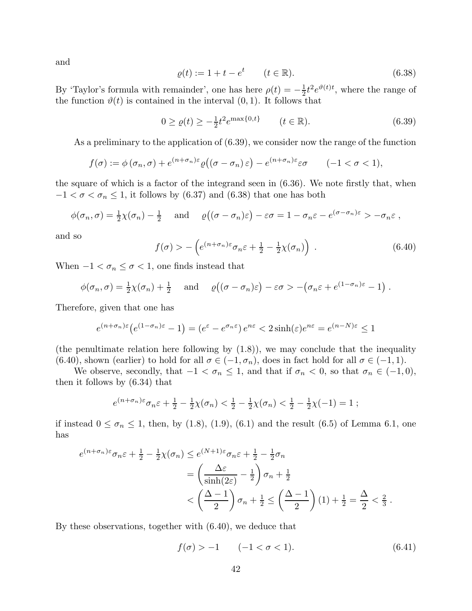and

$$
\varrho(t) := 1 + t - e^t \qquad (t \in \mathbb{R}).
$$
\n(6.38)

By 'Taylor's formula with remainder', one has here  $\rho(t) = -\frac{1}{2}$  $\frac{1}{2}t^2e^{\vartheta(t)t}$ , where the range of the function  $\vartheta(t)$  is contained in the interval  $(0, 1)$ . It follows that

$$
0 \ge \varrho(t) \ge -\frac{1}{2}t^2 e^{\max\{0,t\}} \qquad (t \in \mathbb{R}). \tag{6.39}
$$

As a preliminary to the application of (6.39), we consider now the range of the function

$$
f(\sigma) := \phi(\sigma_n, \sigma) + e^{(n+\sigma_n)\varepsilon} \varrho((\sigma - \sigma_n)\varepsilon) - e^{(n+\sigma_n)\varepsilon}\varepsilon\sigma \qquad (-1 < \sigma < 1),
$$

the square of which is a factor of the integrand seen in (6.36). We note firstly that, when  $-1 < \sigma < \sigma_n \leq 1$ , it follows by (6.37) and (6.38) that one has both

$$
\phi(\sigma_n, \sigma) = \frac{1}{2}\chi(\sigma_n) - \frac{1}{2} \quad \text{and} \quad \varrho((\sigma - \sigma_n)\varepsilon) - \varepsilon\sigma = 1 - \sigma_n\varepsilon - e^{(\sigma - \sigma_n)\varepsilon} > -\sigma_n\varepsilon,
$$

and so

$$
f(\sigma) > -\left(e^{(n+\sigma_n)\varepsilon}\sigma_n\varepsilon + \frac{1}{2} - \frac{1}{2}\chi(\sigma_n)\right) . \tag{6.40}
$$

When  $-1 < \sigma_n \leq \sigma < 1$ , one finds instead that

$$
\phi(\sigma_n, \sigma) = \frac{1}{2}\chi(\sigma_n) + \frac{1}{2} \quad \text{and} \quad \varrho((\sigma - \sigma_n)\varepsilon) - \varepsilon\sigma > -(\sigma_n\varepsilon + e^{(1-\sigma_n)\varepsilon} - 1).
$$

Therefore, given that one has

$$
e^{(n+\sigma_n)\varepsilon} \left(e^{(1-\sigma_n)\varepsilon} - 1\right) = \left(e^{\varepsilon} - e^{\sigma_n \varepsilon}\right) e^{n\varepsilon} < 2\sinh(\varepsilon) e^{n\varepsilon} = e^{(n-N)\varepsilon} \le 1
$$

(the penultimate relation here following by (1.8)), we may conclude that the inequality (6.40), shown (earlier) to hold for all  $\sigma \in (-1, \sigma_n)$ , does in fact hold for all  $\sigma \in (-1, 1)$ .

We observe, secondly, that  $-1 < \sigma_n \leq 1$ , and that if  $\sigma_n < 0$ , so that  $\sigma_n \in (-1,0)$ , then it follows by (6.34) that

$$
e^{(n+\sigma_n)\varepsilon}\sigma_n\varepsilon + \frac{1}{2} - \frac{1}{2}\chi(\sigma_n) < \frac{1}{2} - \frac{1}{2}\chi(\sigma_n) < \frac{1}{2} - \frac{1}{2}\chi(-1) = 1;
$$

if instead  $0 \le \sigma_n \le 1$ , then, by (1.8), (1.9), (6.1) and the result (6.5) of Lemma 6.1, one has

$$
e^{(n+\sigma_n)\varepsilon}\sigma_n\varepsilon + \frac{1}{2} - \frac{1}{2}\chi(\sigma_n) \le e^{(N+1)\varepsilon}\sigma_n\varepsilon + \frac{1}{2} - \frac{1}{2}\sigma_n
$$
  
=  $\left(\frac{\Delta\varepsilon}{\sinh(2\varepsilon)} - \frac{1}{2}\right)\sigma_n + \frac{1}{2}$   
 $< \left(\frac{\Delta-1}{2}\right)\sigma_n + \frac{1}{2} \le \left(\frac{\Delta-1}{2}\right)(1) + \frac{1}{2} = \frac{\Delta}{2} < \frac{2}{3}.$ 

By these observations, together with (6.40), we deduce that

$$
f(\sigma) > -1 \qquad (-1 < \sigma < 1). \tag{6.41}
$$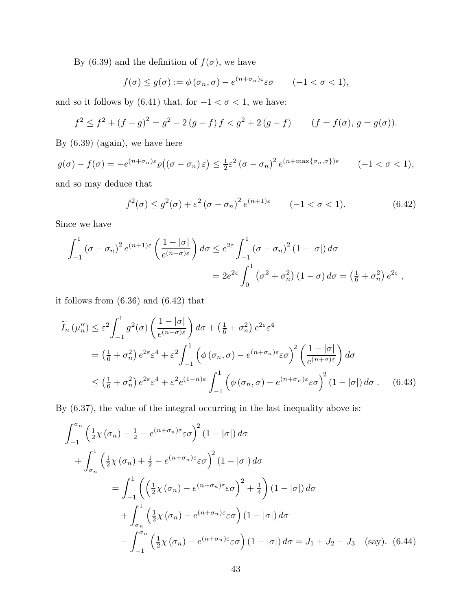By (6.39) and the definition of  $f(\sigma)$ , we have

$$
f(\sigma) \le g(\sigma) := \phi(\sigma_n, \sigma) - e^{(n+\sigma_n)\varepsilon} \varepsilon \sigma \qquad (-1 < \sigma < 1),
$$

and so it follows by (6.41) that, for  $-1 < \sigma < 1$ , we have:

$$
f^{2} \le f^{2} + (f - g)^{2} = g^{2} - 2(g - f)f < g^{2} + 2(g - f) \qquad (f = f(\sigma), g = g(\sigma)).
$$

By (6.39) (again), we have here

$$
g(\sigma) - f(\sigma) = -e^{(n+\sigma_n)\varepsilon} \varrho((\sigma - \sigma_n)\varepsilon) \le \frac{1}{2}\varepsilon^2 (\sigma - \sigma_n)^2 e^{(n+\max\{\sigma_n, \sigma\})\varepsilon} \qquad (-1 < \sigma < 1),
$$

and so may deduce that

$$
f^{2}(\sigma) \le g^{2}(\sigma) + \varepsilon^{2} (\sigma - \sigma_{n})^{2} e^{(n+1)\varepsilon} \qquad (-1 < \sigma < 1).
$$
 (6.42)

Since we have

$$
\int_{-1}^{1} (\sigma - \sigma_n)^2 e^{(n+1)\varepsilon} \left( \frac{1 - |\sigma|}{e^{(n+\sigma)\varepsilon}} \right) d\sigma \le e^{2\varepsilon} \int_{-1}^{1} (\sigma - \sigma_n)^2 (1 - |\sigma|) d\sigma
$$
  
=  $2e^{2\varepsilon} \int_{0}^{1} (\sigma^2 + \sigma_n^2) (1 - \sigma) d\sigma = \left( \frac{1}{6} + \sigma_n^2 \right) e^{2\varepsilon}$ ,

it follows from (6.36) and (6.42) that

$$
\widetilde{I}_{n}(\mu_{n}^{"}) \leq \varepsilon^{2} \int_{-1}^{1} g^{2}(\sigma) \left( \frac{1 - |\sigma|}{e^{(n+\sigma)\varepsilon}} \right) d\sigma + \left( \frac{1}{6} + \sigma_{n}^{2} \right) e^{2\varepsilon} \varepsilon^{4}
$$
\n
$$
= \left( \frac{1}{6} + \sigma_{n}^{2} \right) e^{2\varepsilon} \varepsilon^{4} + \varepsilon^{2} \int_{-1}^{1} \left( \phi\left(\sigma_{n}, \sigma\right) - e^{(n+\sigma_{n})\varepsilon} \varepsilon \sigma \right)^{2} \left( \frac{1 - |\sigma|}{e^{(n+\sigma)\varepsilon}} \right) d\sigma
$$
\n
$$
\leq \left( \frac{1}{6} + \sigma_{n}^{2} \right) e^{2\varepsilon} \varepsilon^{4} + \varepsilon^{2} e^{(1-n)\varepsilon} \int_{-1}^{1} \left( \phi\left(\sigma_{n}, \sigma\right) - e^{(n+\sigma_{n})\varepsilon} \varepsilon \sigma \right)^{2} (1 - |\sigma|) d\sigma. \tag{6.43}
$$

By (6.37), the value of the integral occurring in the last inequality above is:

$$
\int_{-1}^{\sigma_n} \left( \frac{1}{2} \chi(\sigma_n) - \frac{1}{2} - e^{(n+\sigma_n)\varepsilon} \varepsilon \sigma \right)^2 (1 - |\sigma|) d\sigma
$$
  
+ 
$$
\int_{\sigma_n}^1 \left( \frac{1}{2} \chi(\sigma_n) + \frac{1}{2} - e^{(n+\sigma_n)\varepsilon} \varepsilon \sigma \right)^2 (1 - |\sigma|) d\sigma
$$
  
= 
$$
\int_{-1}^1 \left( \left( \frac{1}{2} \chi(\sigma_n) - e^{(n+\sigma_n)\varepsilon} \varepsilon \sigma \right)^2 + \frac{1}{4} \right) (1 - |\sigma|) d\sigma
$$
  
+ 
$$
\int_{\sigma_n}^1 \left( \frac{1}{2} \chi(\sigma_n) - e^{(n+\sigma_n)\varepsilon} \varepsilon \sigma \right) (1 - |\sigma|) d\sigma
$$
  
- 
$$
\int_{-1}^{\sigma_n} \left( \frac{1}{2} \chi(\sigma_n) - e^{(n+\sigma_n)\varepsilon} \varepsilon \sigma \right) (1 - |\sigma|) d\sigma = J_1 + J_2 - J_3 \quad \text{(say)}.
$$
 (6.44)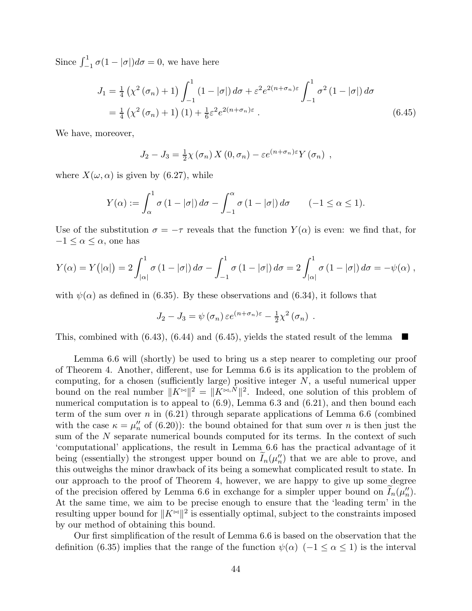Since  $\int_{-1}^{1} \sigma(1-|\sigma|)d\sigma = 0$ , we have here

$$
J_1 = \frac{1}{4} \left( \chi^2 (\sigma_n) + 1 \right) \int_{-1}^1 (1 - |\sigma|) d\sigma + \varepsilon^2 e^{2(n + \sigma_n)\varepsilon} \int_{-1}^1 \sigma^2 (1 - |\sigma|) d\sigma
$$
  
=  $\frac{1}{4} \left( \chi^2 (\sigma_n) + 1 \right) (1) + \frac{1}{6} \varepsilon^2 e^{2(n + \sigma_n)\varepsilon}$ . (6.45)

We have, moreover,

$$
J_2 - J_3 = \frac{1}{2}\chi(\sigma_n) X(0, \sigma_n) - \varepsilon e^{(n+\sigma_n)\varepsilon} Y(\sigma_n) ,
$$

where  $X(\omega, \alpha)$  is given by (6.27), while

$$
Y(\alpha) := \int_{\alpha}^{1} \sigma (1 - |\sigma|) d\sigma - \int_{-1}^{\alpha} \sigma (1 - |\sigma|) d\sigma \qquad (-1 \le \alpha \le 1).
$$

Use of the substitution  $\sigma = -\tau$  reveals that the function  $Y(\alpha)$  is even: we find that, for  $-1 \leq \alpha \leq \alpha$ , one has

$$
Y(\alpha) = Y(|\alpha|) = 2 \int_{|\alpha|}^{1} \sigma (1 - |\sigma|) d\sigma - \int_{-1}^{1} \sigma (1 - |\sigma|) d\sigma = 2 \int_{|\alpha|}^{1} \sigma (1 - |\sigma|) d\sigma = -\psi(\alpha) ,
$$

with  $\psi(\alpha)$  as defined in (6.35). By these observations and (6.34), it follows that

$$
J_2 - J_3 = \psi(\sigma_n) \varepsilon e^{(n+\sigma_n)\varepsilon} - \frac{1}{2}\chi^2(\sigma_n) .
$$

This, combined with  $(6.43)$ ,  $(6.44)$  and  $(6.45)$ , yields the stated result of the lemma

Lemma 6.6 will (shortly) be used to bring us a step nearer to completing our proof of Theorem 4. Another, different, use for Lemma 6.6 is its application to the problem of computing, for a chosen (sufficiently large) positive integer  $N$ , a useful numerical upper bound on the real number  $||K^{\bowtie}||^2 = ||K^{\bowtie,N}||^2$ . Indeed, one solution of this problem of numerical computation is to appeal to  $(6.9)$ , Lemma 6.3 and  $(6.21)$ , and then bound each term of the sum over n in  $(6.21)$  through separate applications of Lemma 6.6 (combined with the case  $\kappa = \mu_n''$  of (6.20)): the bound obtained for that sum over *n* is then just the sum of the N separate numerical bounds computed for its terms. In the context of such 'computational' applications, the result in Lemma 6.6 has the practical advantage of it being (essentially) the strongest upper bound on  $I_n(\mu_n)$  that we are able to prove, and this outweighs the minor drawback of its being a somewhat complicated result to state. In our approach to the proof of Theorem 4, however, we are happy to give up some degree of the precision offered by Lemma 6.6 in exchange for a simpler upper bound on  $I_n(\mu_n)$ . At the same time, we aim to be precise enough to ensure that the 'leading term' in the resulting upper bound for  $||K^{\bowtie}||^2$  is essentially optimal, subject to the constraints imposed by our method of obtaining this bound.

Our first simplification of the result of Lemma 6.6 is based on the observation that the definition (6.35) implies that the range of the function  $\psi(\alpha)$  (−1 ≤  $\alpha$  ≤ 1) is the interval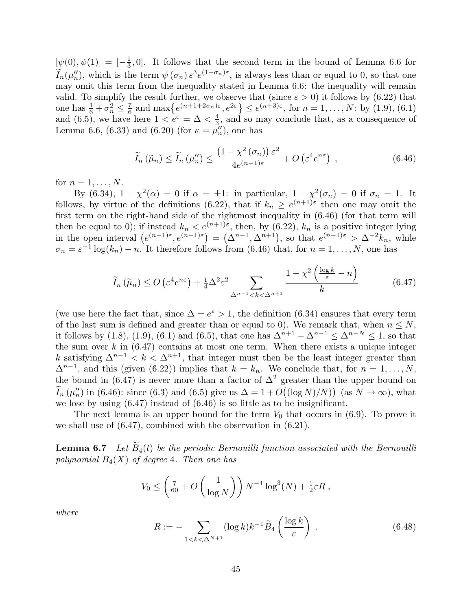$[\psi(0), \psi(1)] = [-\frac{1}{3}]$  $\frac{1}{3}$ , 0. It follows that the second term in the bound of Lemma 6.6 for  $I_n(\mu''_n)$ , which is the term  $\psi(\sigma_n) \varepsilon^3 e^{(1+\sigma_n)\varepsilon}$ , is always less than or equal to 0, so that one may omit this term from the inequality stated in Lemma 6.6: the inequality will remain valid. To simplify the result further, we observe that (since  $\varepsilon > 0$ ) it follows by (6.22) that one has  $\frac{1}{6} + \sigma_n^2 \leq \frac{7}{6}$  $\frac{7}{6}$  and max  $\{e^{(n+1+2\sigma_n)\varepsilon}, e^{2\varepsilon}\}\leq e^{(n+3)\varepsilon}$ , for  $n=1,\ldots,N$ : by  $(1.9)$ ,  $(6.1)$ and (6.5), we have here  $1 < e^{\varepsilon} = \Delta < \frac{4}{3}$  $\frac{4}{3}$ , and so may conclude that, as a consequence of Lemma 6.6, (6.33) and (6.20) (for  $\kappa = \mu_n''$ ), one has

$$
\widetilde{I}_n\left(\widetilde{\mu}_n\right) \le \widetilde{I}_n\left(\mu_n''\right) \le \frac{\left(1 - \chi^2\left(\sigma_n\right)\right)\varepsilon^2}{4e^{(n-1)\varepsilon}} + O\left(\varepsilon^4 e^{n\varepsilon}\right) \;, \tag{6.46}
$$

for  $n = 1, \ldots, N$ .

By (6.34),  $1 - \chi^2(\alpha) = 0$  if  $\alpha = \pm 1$ : in particular,  $1 - \chi^2(\sigma_n) = 0$  if  $\sigma_n = 1$ . It follows, by virtue of the definitions (6.22), that if  $k_n \geq e^{(n+1)\epsilon}$  then one may omit the first term on the right-hand side of the rightmost inequality in (6.46) (for that term will then be equal to 0); if instead  $k_n < e^{(n+1)\varepsilon}$ , then, by (6.22),  $k_n$  is a positive integer lying in the open interval  $(e^{(n-1)\varepsilon}, e^{(n+1)\varepsilon}) = (\Delta^{n-1}, \Delta^{n+1}),$  so that  $e^{(n-1)\varepsilon} > \Delta^{-2}k_n$ , while  $\sigma_n = \varepsilon^{-1} \log(k_n) - n$ . It therefore follows from (6.46) that, for  $n = 1, ..., N$ , one has

$$
\widetilde{I}_n\left(\widetilde{\mu}_n\right) \le O\left(\varepsilon^4 e^{n\varepsilon}\right) + \frac{1}{4}\Delta^2 \varepsilon^2 \sum_{\Delta^{n-1} < k < \Delta^{n+1}} \frac{1 - \chi^2\left(\frac{\log k}{\varepsilon} - n\right)}{k} \tag{6.47}
$$

(we use here the fact that, since  $\Delta = e^{\varepsilon} > 1$ , the definition (6.34) ensures that every term of the last sum is defined and greater than or equal to 0). We remark that, when  $n \leq N$ , it follows by (1.8), (1.9), (6.1) and (6.5), that one has  $\Delta^{n+1} - \Delta^{n-1} < \Delta^{n-N} < 1$ , so that the sum over  $k$  in  $(6.47)$  contains at most one term. When there exists a unique integer k satisfying  $\Delta^{n-1} < k < \Delta^{n+1}$ , that integer must then be the least integer greater than  $\Delta^{n-1}$ , and this (given (6.22)) implies that  $k = k_n$ . We conclude that, for  $n = 1, ..., N$ , the bound in (6.47) is never more than a factor of  $\Delta^2$  greater than the upper bound on  $\widetilde{I}_n(\mu''_n)$  in (6.46): since (6.3) and (6.5) give us  $\Delta = 1 + O((\log N)/N)$  (as  $N \to \infty$ ), what we lose by using (6.47) instead of (6.46) is so little as to be insignificant.

The next lemma is an upper bound for the term  $V_0$  that occurs in (6.9). To prove it we shall use of (6.47), combined with the observation in (6.21).

**Lemma 6.7** Let  $\overline{B}_4(t)$  be the periodic Bernouilli function associated with the Bernouilli *polynomial*  $B_4(X)$  *of degree* 4*. Then one has* 

$$
V_0 \leq \left(\frac{7}{60} + O\left(\frac{1}{\log N}\right)\right) N^{-1} \log^3(N) + \frac{1}{2}\varepsilon R,
$$

*where*

$$
R := -\sum_{1 < k < \Delta^{N+1}} (\log k) k^{-1} \widetilde{B}_4 \left( \frac{\log k}{\varepsilon} \right) \,. \tag{6.48}
$$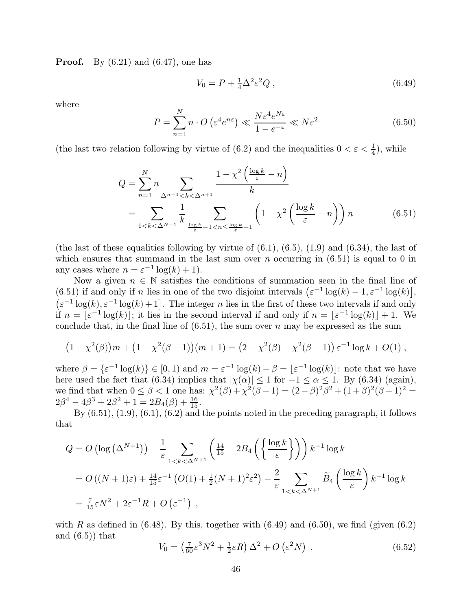**Proof.** By  $(6.21)$  and  $(6.47)$ , one has

$$
V_0 = P + \frac{1}{4} \Delta^2 \varepsilon^2 Q \,, \tag{6.49}
$$

where

$$
P = \sum_{n=1}^{N} n \cdot O\left(\varepsilon^4 e^{n\varepsilon}\right) \ll \frac{N\varepsilon^4 e^{N\varepsilon}}{1 - e^{-\varepsilon}} \ll N\varepsilon^2 \tag{6.50}
$$

(the last two relation following by virtue of (6.2) and the inequalities  $0 < \varepsilon < \frac{1}{4}$ ), while

$$
Q = \sum_{n=1}^{N} n \sum_{\Delta^{n-1} < k < \Delta^{n+1}} \frac{1 - \chi^2 \left(\frac{\log k}{\varepsilon} - n\right)}{k}
$$
\n
$$
= \sum_{1 < k < \Delta^{N+1}} \frac{1}{k} \sum_{\frac{\log k}{\varepsilon} - 1 < n \le \frac{\log k}{\varepsilon} + 1} \left(1 - \chi^2 \left(\frac{\log k}{\varepsilon} - n\right)\right) n \tag{6.51}
$$

(the last of these equalities following by virtue of  $(6.1)$ ,  $(6.5)$ ,  $(1.9)$  and  $(6.34)$ , the last of which ensures that summand in the last sum over  $n$  occurring in  $(6.51)$  is equal to 0 in any cases where  $n = \varepsilon^{-1} \log(k) + 1$ .

Now a given  $n \in \mathbb{N}$  satisfies the conditions of summation seen in the final line of (6.51) if and only if n lies in one of the two disjoint intervals  $(\varepsilon^{-1} \log(k) - 1, \varepsilon^{-1} \log(k))$ ,  $\left(\varepsilon^{-1}\log(k), \varepsilon^{-1}\log(k)+1\right]$ . The integer *n* lies in the first of these two intervals if and only if  $n = \lfloor \varepsilon^{-1} \log(k) \rfloor$ ; it lies in the second interval if and only if  $n = \lfloor \varepsilon^{-1} \log(k) \rfloor + 1$ . We conclude that, in the final line of  $(6.51)$ , the sum over n may be expressed as the sum

$$
(1 - \chi^2(\beta))m + (1 - \chi^2(\beta - 1))(m + 1) = (2 - \chi^2(\beta) - \chi^2(\beta - 1)) \varepsilon^{-1} \log k + O(1),
$$

where  $\beta = {\varepsilon^{-1} \log(k)} \in [0, 1)$  and  $m = {\varepsilon^{-1} \log(k)} - \beta = {\varepsilon^{-1} \log(k)}$ : note that we have here used the fact that (6.34) implies that  $|\chi(\alpha)| \le 1$  for  $-1 \le \alpha \le 1$ . By (6.34) (again), we find that when  $0 \le \beta < 1$  one has:  $\chi^2(\beta) + \chi^2(\beta - 1) = (2 - \beta)^2 \beta^2 + (1 + \beta)^2 (\beta - 1)^2 =$  $2\beta^4 - 4\beta^3 + 2\beta^2 + 1 = 2B_4(\beta) + \frac{16}{15}.$ 

By (6.51), (1.9), (6.1), (6.2) and the points noted in the preceding paragraph, it follows that

$$
Q = O\left(\log\left(\Delta^{N+1}\right)\right) + \frac{1}{\varepsilon} \sum_{1 < k < \Delta^{N+1}} \left(\frac{14}{15} - 2B_4\left(\left\{\frac{\log k}{\varepsilon}\right\}\right)\right) k^{-1} \log k
$$
\n
$$
= O\left((N+1)\varepsilon\right) + \frac{14}{15}\varepsilon^{-1}\left(O(1) + \frac{1}{2}(N+1)^2\varepsilon^2\right) - \frac{2}{\varepsilon} \sum_{1 < k < \Delta^{N+1}} \widetilde{B}_4\left(\frac{\log k}{\varepsilon}\right) k^{-1} \log k
$$
\n
$$
= \frac{7}{15}\varepsilon N^2 + 2\varepsilon^{-1}R + O\left(\varepsilon^{-1}\right) ,
$$

with R as defined in  $(6.48)$ . By this, together with  $(6.49)$  and  $(6.50)$ , we find (given  $(6.2)$ ) and  $(6.5)$  that

$$
V_0 = \left(\frac{7}{60}\varepsilon^3 N^2 + \frac{1}{2}\varepsilon R\right)\Delta^2 + O\left(\varepsilon^2 N\right) \,. \tag{6.52}
$$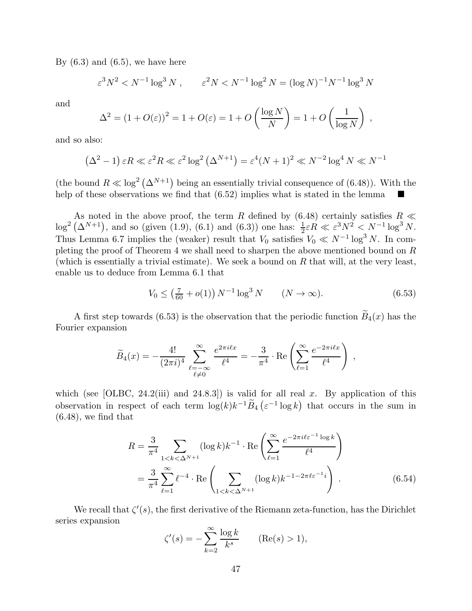By  $(6.3)$  and  $(6.5)$ , we have here

$$
\varepsilon^3 N^2 < N^{-1} \log^3 N \;, \qquad \varepsilon^2 N < N^{-1} \log^2 N = (\log N)^{-1} N^{-1} \log^3 N
$$

and

$$
\Delta^{2} = (1 + O(\varepsilon))^{2} = 1 + O(\varepsilon) = 1 + O\left(\frac{\log N}{N}\right) = 1 + O\left(\frac{1}{\log N}\right),
$$

and so also:

$$
(\Delta^2 - 1) \varepsilon R \ll \varepsilon^2 R \ll \varepsilon^2 \log^2 (\Delta^{N+1}) = \varepsilon^4 (N+1)^2 \ll N^{-2} \log^4 N \ll N^{-1}
$$

(the bound  $R \ll \log^2 (\Delta^{N+1})$  being an essentially trivial consequence of (6.48)). With the help of these observations we find that (6.52) implies what is stated in the lemma

As noted in the above proof, the term R defined by (6.48) certainly satisfies  $R \ll$  $\log^2(\Delta^{N+1})$ , and so (given (1.9), (6.1) and (6.3)) one has:  $\frac{1}{2}\varepsilon R \ll \varepsilon^3 N^2 < N^{-1}\log^3 N$ . Thus Lemma 6.7 implies the (weaker) result that  $V_0$  satisfies  $V_0 \ll N^{-1} \log^3 N$ . In completing the proof of Theorem 4 we shall need to sharpen the above mentioned bound on R (which is essentially a trivial estimate). We seek a bound on  $R$  that will, at the very least, enable us to deduce from Lemma 6.1 that

$$
V_0 \le \left(\frac{7}{60} + o(1)\right) N^{-1} \log^3 N \qquad (N \to \infty). \tag{6.53}
$$

A first step towards (6.53) is the observation that the periodic function  $\widetilde{B}_4(x)$  has the Fourier expansion

$$
\widetilde{B}_4(x) = -\frac{4!}{(2\pi i)^4} \sum_{\substack{\ell=-\infty \\ \ell \neq 0}}^{\infty} \frac{e^{2\pi i \ell x}}{\ell^4} = -\frac{3}{\pi^4} \cdot \text{Re}\left(\sum_{\ell=1}^{\infty} \frac{e^{-2\pi i \ell x}}{\ell^4}\right) ,
$$

which (see [OLBC, 24.2(iii) and 24.8.3]) is valid for all real x. By application of this observation in respect of each term  $\log(k)k^{-1}\widetilde{B}_4\left(\varepsilon^{-1}\log k\right)$  that occurs in the sum in  $(6.48)$ , we find that

$$
R = \frac{3}{\pi^4} \sum_{1 < k < \Delta^{N+1}} (\log k) k^{-1} \cdot \text{Re}\left(\sum_{\ell=1}^{\infty} \frac{e^{-2\pi i \ell \varepsilon^{-1} \log k}}{\ell^4}\right)
$$
\n
$$
= \frac{3}{\pi^4} \sum_{\ell=1}^{\infty} \ell^{-4} \cdot \text{Re}\left(\sum_{1 < k < \Delta^{N+1}} (\log k) k^{-1-2\pi \ell \varepsilon^{-1} i}\right). \tag{6.54}
$$

We recall that  $\zeta'(s)$ , the first derivative of the Riemann zeta-function, has the Dirichlet series expansion

$$
\zeta'(s) = -\sum_{k=2}^{\infty} \frac{\log k}{k^s} \qquad (\text{Re}(s) > 1),
$$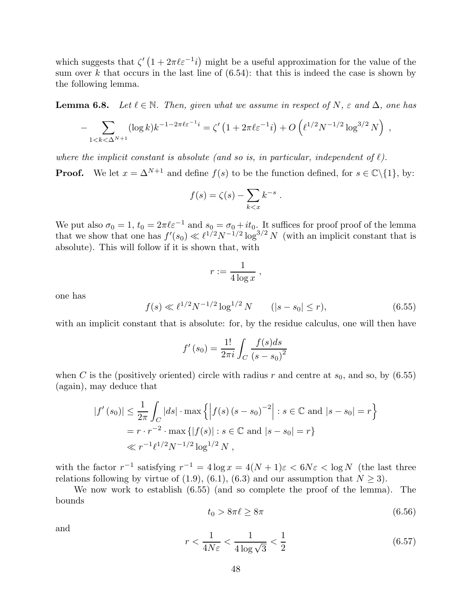which suggests that  $\zeta' (1 + 2\pi \ell \varepsilon^{-1} i)$  might be a useful approximation for the value of the sum over k that occurs in the last line of  $(6.54)$ : that this is indeed the case is shown by the following lemma.

**Lemma 6.8.** Let  $\ell \in \mathbb{N}$ . Then, given what we assume in respect of N,  $\varepsilon$  and  $\Delta$ , one has

$$
- \sum_{1 \le k \le \Delta^{N+1}} (\log k) k^{-1-2\pi \ell \varepsilon^{-1} i} = \zeta' \left( 1 + 2\pi \ell \varepsilon^{-1} i \right) + O\left( \ell^{1/2} N^{-1/2} \log^{3/2} N \right) ,
$$

*where the implicit constant is absolute (and so is, in particular, independent of*  $\ell$ *).* 

**Proof.** We let  $x = \Delta^{N+1}$  and define  $f(s)$  to be the function defined, for  $s \in \mathbb{C} \setminus \{1\}$ , by:

$$
f(s) = \zeta(s) - \sum_{k < x} k^{-s} \; .
$$

We put also  $\sigma_0 = 1$ ,  $t_0 = 2\pi \ell \varepsilon^{-1}$  and  $s_0 = \sigma_0 + it_0$ . It suffices for proof proof of the lemma that we show that one has  $f'(s_0) \ll l^{1/2} N^{-1/2} \log^{3/2} N$  (with an implicit constant that is absolute). This will follow if it is shown that, with

$$
r := \frac{1}{4\log x} \;,
$$

one has

$$
f(s) \ll \ell^{1/2} N^{-1/2} \log^{1/2} N \qquad (|s - s_0| \le r), \tag{6.55}
$$

with an implicit constant that is absolute: for, by the residue calculus, one will then have

$$
f'(s_0) = \frac{1!}{2\pi i} \int_C \frac{f(s)ds}{(s - s_0)^2}
$$

when C is the (positively oriented) circle with radius r and centre at  $s_0$ , and so, by (6.55) (again), may deduce that

$$
|f'(s_0)| \le \frac{1}{2\pi} \int_C |ds| \cdot \max\left\{ \left| f(s) \left( s - s_0 \right)^{-2} \right| : s \in \mathbb{C} \text{ and } |s - s_0| = r \right\}
$$
  
=  $r \cdot r^{-2} \cdot \max\left\{ |f(s)| : s \in \mathbb{C} \text{ and } |s - s_0| = r \right\}$   
 $\ll r^{-1} \ell^{1/2} N^{-1/2} \log^{1/2} N ,$ 

with the factor  $r^{-1}$  satisfying  $r^{-1} = 4 \log x = 4(N+1)\varepsilon < 6N\varepsilon < \log N$  (the last three relations following by virtue of  $(1.9)$ ,  $(6.1)$ ,  $(6.3)$  and our assumption that  $N > 3$ .

We now work to establish (6.55) (and so complete the proof of the lemma). The bounds

$$
t_0 > 8\pi\ell \ge 8\pi\tag{6.56}
$$

and

$$
r < \frac{1}{4N\varepsilon} < \frac{1}{4\log\sqrt{3}} < \frac{1}{2} \tag{6.57}
$$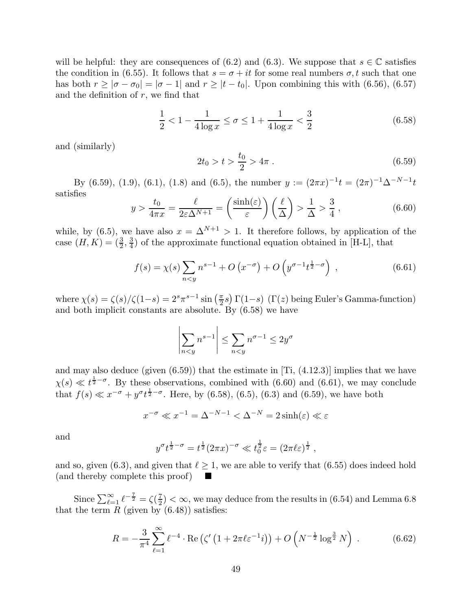will be helpful: they are consequences of (6.2) and (6.3). We suppose that  $s \in \mathbb{C}$  satisfies the condition in (6.55). It follows that  $s = \sigma + it$  for some real numbers  $\sigma, t$  such that one has both  $r \ge |\sigma - \sigma_0| = |\sigma - 1|$  and  $r \ge |t - t_0|$ . Upon combining this with (6.56), (6.57) and the definition of  $r$ , we find that

$$
\frac{1}{2} < 1 - \frac{1}{4\log x} \le \sigma \le 1 + \frac{1}{4\log x} < \frac{3}{2} \tag{6.58}
$$

and (similarly)

$$
2t_0 > t > \frac{t_0}{2} > 4\pi \ . \tag{6.59}
$$

By (6.59), (1.9), (6.1), (1.8) and (6.5), the number  $y := (2\pi x)^{-1}t = (2\pi)^{-1}\Delta^{-N-1}t$ satisfies

$$
y > \frac{t_0}{4\pi x} = \frac{\ell}{2\varepsilon\Delta^{N+1}} = \left(\frac{\sinh(\varepsilon)}{\varepsilon}\right)\left(\frac{\ell}{\Delta}\right) > \frac{1}{\Delta} > \frac{3}{4},\tag{6.60}
$$

while, by (6.5), we have also  $x = \Delta^{N+1} > 1$ . It therefore follows, by application of the case  $(H, K) = (\frac{3}{2}, \frac{3}{4})$  $\frac{3}{4}$ ) of the approximate functional equation obtained in [H-L], that

$$
f(s) = \chi(s) \sum_{n < y} n^{s-1} + O\left(x^{-\sigma}\right) + O\left(y^{\sigma - 1} t^{\frac{1}{2} - \sigma}\right) \,,\tag{6.61}
$$

where  $\chi(s) = \frac{\zeta(s)}{\zeta(1-s)} = 2^s \pi^{s-1} \sin\left(\frac{\pi}{2}\right)$  $(\frac{\pi}{2}s) \Gamma(1-s)$  ( $\Gamma(z)$  being Euler's Gamma-function) and both implicit constants are absolute. By (6.58) we have

$$
\left| \sum_{n < y} n^{s-1} \right| \le \sum_{n < y} n^{\sigma - 1} \le 2y^{\sigma}
$$

and may also deduce (given  $(6.59)$ ) that the estimate in [Ti,  $(4.12.3)$ ] implies that we have  $\chi(s) \ll t^{\frac{1}{2}-\sigma}$ . By these observations, combined with (6.60) and (6.61), we may conclude that  $f(s) \ll x^{-\sigma} + y^{\sigma} t^{\frac{1}{2}-\sigma}$ . Here, by (6.58), (6.5), (6.3) and (6.59), we have both

$$
x^{-\sigma} \ll x^{-1} = \Delta^{-N-1} < \Delta^{-N} = 2\sinh(\varepsilon) \ll \varepsilon
$$

and

$$
y^{\sigma}t^{\frac{1}{2}-\sigma}=t^{\frac{1}{2}}(2\pi x)^{-\sigma}\ll t_0^{\frac{1}{2}}\varepsilon=(2\pi\ell\varepsilon)^{\frac{1}{2}},
$$

and so, given (6.3), and given that  $\ell \geq 1$ , we are able to verify that (6.55) does indeed hold (and thereby complete this proof)  $\blacksquare$ 

Since  $\sum_{\ell=1}^{\infty} \ell^{-\frac{7}{2}} = \zeta(\frac{7}{2})$  $\frac{1}{2}$  <  $\infty$ , we may deduce from the results in (6.54) and Lemma 6.8 that the term  $R$  (given by  $(6.48)$ ) satisfies:

$$
R = -\frac{3}{\pi^4} \sum_{\ell=1}^{\infty} \ell^{-4} \cdot \text{Re}\left(\zeta' \left(1 + 2\pi \ell \varepsilon^{-1} i\right)\right) + O\left(N^{-\frac{1}{2}} \log^{\frac{3}{2}} N\right) \,. \tag{6.62}
$$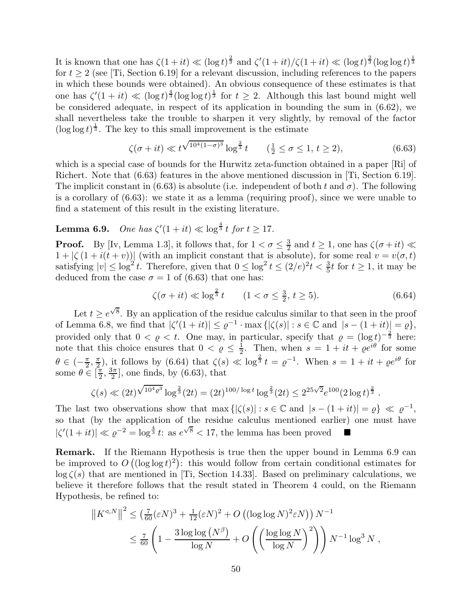It is known that one has  $\zeta(1+it) \ll (\log t)^{\frac{2}{3}}$  and  $\zeta'(1+it)/\zeta(1+it) \ll (\log t)^{\frac{2}{3}}(\log \log t)^{\frac{1}{3}}$ for  $t \geq 2$  (see [Ti, Section 6.19] for a relevant discussion, including references to the papers in which these bounds were obtained). An obvious consequence of these estimates is that one has  $\zeta'(1+it) \ll (\log t)^{\frac{4}{3}} (\log \log t)^{\frac{1}{3}}$  for  $t \geq 2$ . Although this last bound might well be considered adequate, in respect of its application in bounding the sum in (6.62), we shall nevertheless take the trouble to sharpen it very slightly, by removal of the factor  $(\log \log t)^{\frac{1}{3}}$ . The key to this small improvement is the estimate

$$
\zeta(\sigma + it) \ll t^{\sqrt{10^4 (1 - \sigma)^3}} \log^{\frac{2}{3}} t \qquad (\frac{1}{2} \le \sigma \le 1, t \ge 2), \tag{6.63}
$$

which is a special case of bounds for the Hurwitz zeta-function obtained in a paper [Ri] of Richert. Note that (6.63) features in the above mentioned discussion in [Ti, Section 6.19]. The implicit constant in (6.63) is absolute (i.e. independent of both t and  $\sigma$ ). The following is a corollary of (6.63): we state it as a lemma (requiring proof), since we were unable to find a statement of this result in the existing literature.

#### Lemma 6.9.  $\mathcal{C}(1+it) \ll \log^{\frac{4}{3}} t \text{ for } t \geq 17.$

**Proof.** By [Iv, Lemma 1.3], it follows that, for  $1 < \sigma \leq \frac{3}{2}$  $\frac{3}{2}$  and  $t \geq 1$ , one has  $\zeta(\sigma + it) \ll$  $1 + |\zeta(1 + i(t + v))|$  (with an implicit constant that is absolute), for some real  $v = v(\sigma, t)$ satisfying  $|v| \leq \log^2 t$ . Therefore, given that  $0 \leq \log^2 t \leq (2/e)^2 t < \frac{3}{5}t$  for  $t \geq 1$ , it may be deduced from the case  $\sigma = 1$  of (6.63) that one has:

$$
\zeta(\sigma + it) \ll \log^{\frac{2}{3}} t \qquad (1 < \sigma \le \frac{3}{2}, t \ge 5).
$$
 (6.64)

Let  $t \geq e^{\sqrt{8}}$ . By an application of the residue calculus similar to that seen in the proof of Lemma 6.8, we find that  $|\zeta'(1+it)| \leq \varrho^{-1} \cdot \max\{|\zeta(s)| : s \in \mathbb{C} \text{ and } |s-(1+it)| = \varrho\},\$ provided only that  $0 < \varrho < t$ . One may, in particular, specify that  $\varrho = (\log t)^{-\frac{2}{3}}$  here: note that this choice ensures that  $0 < \varrho \leq \frac{1}{2}$  $\frac{1}{2}$ . Then, when  $s = 1 + it + \varrho e^{i\theta}$  for some  $\theta \in \left(-\frac{\pi}{2}\right)$  $\frac{\pi}{2}, \frac{\pi}{2}$  $\frac{\pi}{2}$ , it follows by (6.64) that  $\zeta(s) \ll \log^{\frac{2}{3}} t = \varrho^{-1}$ . When  $s = 1 + it + \varrho e^{i\theta}$  for some  $\theta \in \left[\frac{\pi}{2}\right]$  $\frac{\pi}{2}, \frac{3\pi}{2}$  $\frac{3\pi}{2}$ , one finds, by (6.63), that

$$
\zeta(s) \ll (2t)^{\sqrt{10^4 \varrho^3}} \log^{\frac{2}{3}}(2t) = (2t)^{100/\log t} \log^{\frac{2}{3}}(2t) \leq 2^{25\sqrt{2}} e^{100} (2 \log t)^{\frac{2}{3}}.
$$

The last two observations show that  $\max\left\{|\zeta(s)| : s \in \mathbb{C} \text{ and } |s-(1+it)| = \varrho\right\} \ll \varrho^{-1}$ , so that (by the application of the residue calculus mentioned earlier) one must have  $|\zeta'(1+it)| \ll \varrho^{-2} = \log^{\frac{4}{3}} t$ : as  $e^{\sqrt{8}} < 17$ , the lemma has been proved  $\blacksquare$ 

Remark. If the Riemann Hypothesis is true then the upper bound in Lemma 6.9 can be improved to  $O((\log \log t)^2)$ : this would follow from certain conditional estimates for  $\log \zeta(s)$  that are mentioned in [Ti, Section 14.33]. Based on preliminary calculations, we believe it therefore follows that the result stated in Theorem 4 could, on the Riemann Hypothesis, be refined to:

$$
||K^{d,N}||^{2} \leq \left(\frac{7}{60}(\varepsilon N)^{3} + \frac{1}{12}(\varepsilon N)^{2} + O\left((\log \log N)^{2} \varepsilon N\right)\right) N^{-1}
$$
  

$$
\leq \frac{7}{60} \left(1 - \frac{3 \log \log (N^{\beta})}{\log N} + O\left(\left(\frac{\log \log N}{\log N}\right)^{2}\right)\right) N^{-1} \log^{3} N ,
$$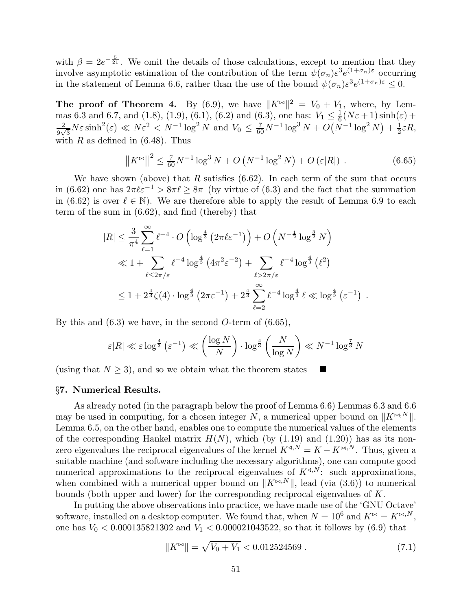with  $\beta = 2e^{-\frac{5}{21}}$ . We omit the details of those calculations, except to mention that they involve asymptotic estimation of the contribution of the term  $\psi(\sigma_n) \varepsilon^3 e^{(1+\sigma_n)\varepsilon}$  occurring in the statement of Lemma 6.6, rather than the use of the bound  $\psi(\sigma_n) \varepsilon^3 e^{(1+\sigma_n)\varepsilon} \leq 0$ .

The proof of Theorem 4. By (6.9), we have  $||K^{\infty}||^2 = V_0 + V_1$ , where, by Lemmas 6.3 and 6.7, and (1.8), (1.9), (6.1), (6.2) and (6.3), one has:  $V_1 \n\t\leq \frac{1}{6}(N\varepsilon + 1)\sinh(\varepsilon) +$  $N \epsilon^2 \geq N \epsilon \sinh^2(\epsilon) \ll N \epsilon^2 \ll N^{-1} \log^2 N$  and  $V_c \ll \frac{7}{\epsilon} N^{-1} \log^3 N + O(N)$  $\frac{2}{9\sqrt{3}}N\varepsilon \sinh^2(\varepsilon) \ll N\varepsilon^2 < N^{-1}\log^2 N$  and  $V_0 \leq \frac{7}{60}N^{-1}\log^3 N + O(N^{-1}\log^2 N) + \frac{1}{2}$  $rac{1}{2}\varepsilon R,$ with  $R$  as defined in (6.48). Thus

$$
\left\|K^{\bowtie}\right\|^2 \le \frac{7}{60}N^{-1}\log^3 N + O\left(N^{-1}\log^2 N\right) + O\left(\varepsilon|R|\right) \,. \tag{6.65}
$$

We have shown (above) that  $R$  satisfies (6.62). In each term of the sum that occurs in (6.62) one has  $2\pi\ell\varepsilon^{-1} > 8\pi\ell \geq 8\pi$  (by virtue of (6.3) and the fact that the summation in (6.62) is over  $\ell \in \mathbb{N}$ ). We are therefore able to apply the result of Lemma 6.9 to each term of the sum in (6.62), and find (thereby) that

$$
|R| \leq \frac{3}{\pi^4} \sum_{\ell=1}^{\infty} \ell^{-4} \cdot O\left(\log^{\frac{4}{3}} \left(2\pi \ell \varepsilon^{-1}\right)\right) + O\left(N^{-\frac{1}{2}} \log^{\frac{3}{2}} N\right)
$$
  

$$
\ll 1 + \sum_{\ell \leq 2\pi/\varepsilon} \ell^{-4} \log^{\frac{4}{3}} \left(4\pi^2 \varepsilon^{-2}\right) + \sum_{\ell > 2\pi/\varepsilon} \ell^{-4} \log^{\frac{4}{3}} \left(\ell^2\right)
$$
  

$$
\leq 1 + 2^{\frac{4}{3}} \zeta(4) \cdot \log^{\frac{4}{3}} \left(2\pi \varepsilon^{-1}\right) + 2^{\frac{4}{3}} \sum_{\ell=2}^{\infty} \ell^{-4} \log^{\frac{4}{3}} \ell \ll \log^{\frac{4}{3}} \left(\varepsilon^{-1}\right) .
$$

By this and  $(6.3)$  we have, in the second O-term of  $(6.65)$ ,

$$
\varepsilon |R| \ll \varepsilon \log^{\frac{4}{3}} \left( \varepsilon^{-1} \right) \ll \left( \frac{\log N}{N} \right) \cdot \log^{\frac{4}{3}} \left( \frac{N}{\log N} \right) \ll N^{-1} \log^{\frac{7}{3}} N
$$

(using that  $N \geq 3$ ), and so we obtain what the theorem states

## §7. Numerical Results.

As already noted (in the paragraph below the proof of Lemma 6.6) Lemmas 6.3 and 6.6 may be used in computing, for a chosen integer N, a numerical upper bound on  $||K^{\bowtie,N}||$ . Lemma 6.5, on the other hand, enables one to compute the numerical values of the elements of the corresponding Hankel matrix  $H(N)$ , which (by (1.19) and (1.20)) has as its nonzero eigenvalues the reciprocal eigenvalues of the kernel  $K^{\triangleleft, N} = K - K^{\bowtie, N}$ . Thus, given a suitable machine (and software including the necessary algorithms), one can compute good numerical approximations to the reciprocal eigenvalues of  $K^{\triangleleft,N}$ : such approximations, when combined with a numerical upper bound on  $||K^{\bowtie,N}||$ , lead (via (3.6)) to numerical bounds (both upper and lower) for the corresponding reciprocal eigenvalues of K.

In putting the above observations into practice, we have made use of the 'GNU Octave' software, installed on a desktop computer. We found that, when  $N = 10^6$  and  $K^{\bowtie} = K^{\bowtie, N}$ , one has  $V_0 < 0.000135821302$  and  $V_1 < 0.000021043522$ , so that it follows by (6.9) that

$$
||K^{\bowtie}|| = \sqrt{V_0 + V_1} < 0.012524569 \,. \tag{7.1}
$$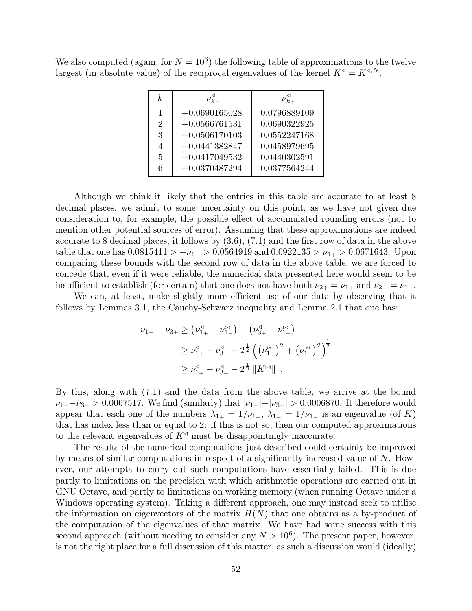We also computed (again, for  $N = 10^6$ ) the following table of approximations to the twelve largest (in absolute value) of the reciprocal eigenvalues of the kernel  $K^{\triangleleft} = K^{\triangleleft, N}$ .

| k                           | $\nu_{k_{-}}^{\triangleleft}$ | $\nu_{k_\pm}^\mathbb{N}$ |
|-----------------------------|-------------------------------|--------------------------|
| 1                           | $-0.0690165028$               | 0.0796889109             |
| $\mathcal{D}_{\mathcal{L}}$ | $-0.0566761531$               | 0.0690322925             |
| 3                           | $-0.0506170103$               | 0.0552247168             |
| 4                           | $-0.0441382847$               | 0.0458979695             |
| 5                           | $-0.0417049532$               | 0.0440302591             |
| 6                           | $-0.0370487294$               | 0.0377564244             |

Although we think it likely that the entries in this table are accurate to at least 8 decimal places, we admit to some uncertainty on this point, as we have not given due consideration to, for example, the possible effect of accumulated rounding errors (not to mention other potential sources of error). Assuming that these approximations are indeed accurate to 8 decimal places, it follows by (3.6), (7.1) and the first row of data in the above table that one has  $0.0815411 > -\nu_{1-} > 0.0564919$  and  $0.0922135 > \nu_{1+} > 0.0671643$ . Upon comparing these bounds with the second row of data in the above table, we are forced to concede that, even if it were reliable, the numerical data presented here would seem to be insufficient to establish (for certain) that one does not have both  $\nu_{2+} = \nu_{1+}$  and  $\nu_{2-} = \nu_{1-}$ .

We can, at least, make slightly more efficient use of our data by observing that it follows by Lemmas 3.1, the Cauchy-Schwarz inequality and Lemma 2.1 that one has:

$$
\nu_{1+} - \nu_{3+} \geq (\nu_{1+}^4 + \nu_{1-}^4) - (\nu_{3+}^4 + \nu_{1+}^4)
$$
  
\n
$$
\geq \nu_{1+}^4 - \nu_{3+}^4 - 2^{\frac{1}{2}} ((\nu_{1-}^4)^2 + (\nu_{1+}^4)^2)^{\frac{1}{2}}
$$
  
\n
$$
\geq \nu_{1+}^4 - \nu_{3+}^4 - 2^{\frac{1}{2}} ||K^{\bowtie}||.
$$

By this, along with (7.1) and the data from the above table, we arrive at the bound  $\nu_{1+}-\nu_{3+} > 0.0067517$ . We find (similarly) that  $|\nu_{1-}|-|\nu_{3-}| > 0.0006870$ . It therefore would appear that each one of the numbers  $\lambda_{1+} = 1/\nu_{1+}$ ,  $\lambda_{1-} = 1/\nu_{1-}$  is an eigenvalue (of K) that has index less than or equal to 2: if this is not so, then our computed approximations to the relevant eigenvalues of  $K^{\triangleleft}$  must be disappointingly inaccurate.

The results of the numerical computations just described could certainly be improved by means of similar computations in respect of a significantly increased value of N. However, our attempts to carry out such computations have essentially failed. This is due partly to limitations on the precision with which arithmetic operations are carried out in GNU Octave, and partly to limitations on working memory (when running Octave under a Windows operating system). Taking a different approach, one may instead seek to utilise the information on eigenvectors of the matrix  $H(N)$  that one obtains as a by-product of the computation of the eigenvalues of that matrix. We have had some success with this second approach (without needing to consider any  $N > 10^6$ ). The present paper, however, is not the right place for a full discussion of this matter, as such a discussion would (ideally)